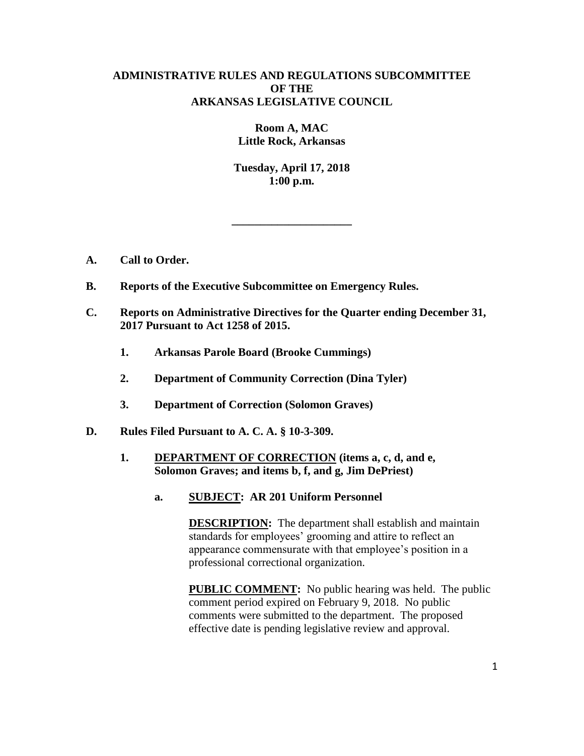# **ADMINISTRATIVE RULES AND REGULATIONS SUBCOMMITTEE OF THE ARKANSAS LEGISLATIVE COUNCIL**

**Room A, MAC Little Rock, Arkansas**

**Tuesday, April 17, 2018 1:00 p.m.**

**\_\_\_\_\_\_\_\_\_\_\_\_\_\_\_\_\_\_\_\_\_**

- **A. Call to Order.**
- **B. Reports of the Executive Subcommittee on Emergency Rules.**
- **C. Reports on Administrative Directives for the Quarter ending December 31, 2017 Pursuant to Act 1258 of 2015.**
	- **1. Arkansas Parole Board (Brooke Cummings)**
	- **2. Department of Community Correction (Dina Tyler)**
	- **3. Department of Correction (Solomon Graves)**
- **D. Rules Filed Pursuant to A. C. A. § 10-3-309.**
	- **1. DEPARTMENT OF CORRECTION (items a, c, d, and e, Solomon Graves; and items b, f, and g, Jim DePriest)**
		- **a. SUBJECT: AR 201 Uniform Personnel**

**DESCRIPTION:** The department shall establish and maintain standards for employees' grooming and attire to reflect an appearance commensurate with that employee's position in a professional correctional organization.

**PUBLIC COMMENT:** No public hearing was held. The public comment period expired on February 9, 2018. No public comments were submitted to the department. The proposed effective date is pending legislative review and approval.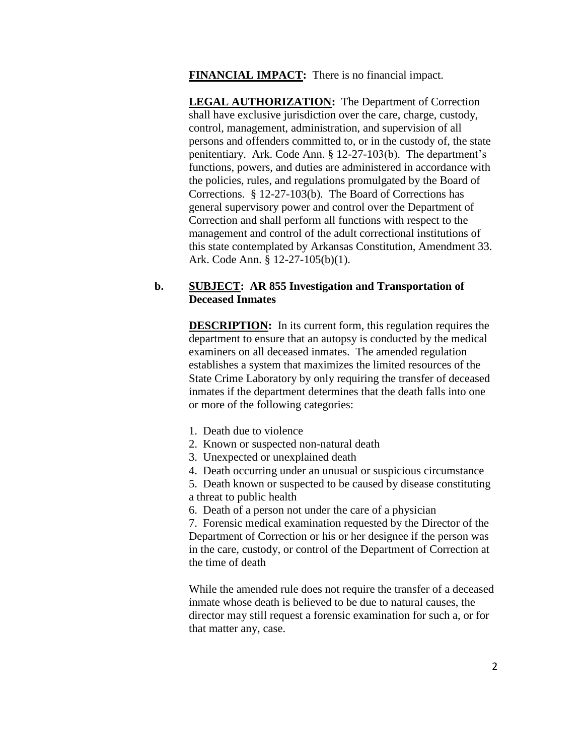**FINANCIAL IMPACT:** There is no financial impact.

**LEGAL AUTHORIZATION:** The Department of Correction shall have exclusive jurisdiction over the care, charge, custody, control, management, administration, and supervision of all persons and offenders committed to, or in the custody of, the state penitentiary. Ark. Code Ann. § 12-27-103(b). The department's functions, powers, and duties are administered in accordance with the policies, rules, and regulations promulgated by the Board of Corrections. § 12-27-103(b). The Board of Corrections has general supervisory power and control over the Department of Correction and shall perform all functions with respect to the management and control of the adult correctional institutions of this state contemplated by Arkansas Constitution, Amendment 33. Ark. Code Ann. § 12-27-105(b)(1).

# **b. SUBJECT: AR 855 Investigation and Transportation of Deceased Inmates**

**DESCRIPTION:** In its current form, this regulation requires the department to ensure that an autopsy is conducted by the medical examiners on all deceased inmates. The amended regulation establishes a system that maximizes the limited resources of the State Crime Laboratory by only requiring the transfer of deceased inmates if the department determines that the death falls into one or more of the following categories:

- 1. Death due to violence
- 2. Known or suspected non-natural death
- 3. Unexpected or unexplained death
- 4. Death occurring under an unusual or suspicious circumstance
- 5. Death known or suspected to be caused by disease constituting a threat to public health
- 6. Death of a person not under the care of a physician

7. Forensic medical examination requested by the Director of the Department of Correction or his or her designee if the person was in the care, custody, or control of the Department of Correction at the time of death

While the amended rule does not require the transfer of a deceased inmate whose death is believed to be due to natural causes, the director may still request a forensic examination for such a, or for that matter any, case.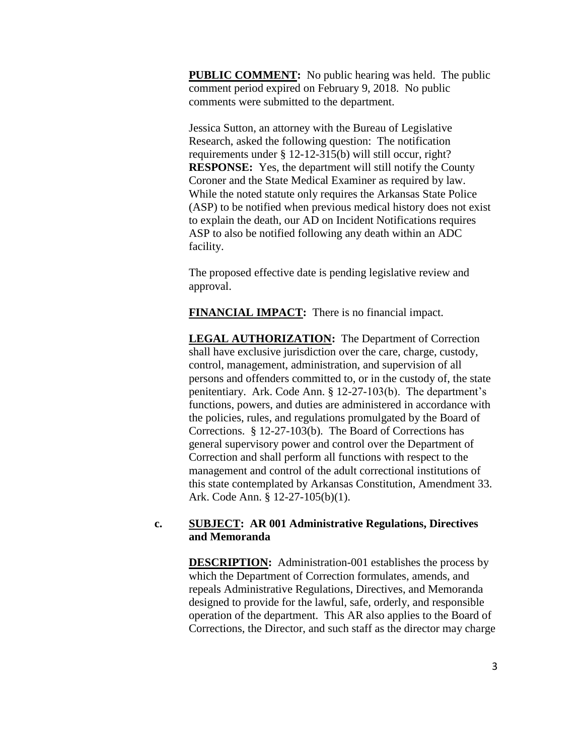**PUBLIC COMMENT:** No public hearing was held. The public comment period expired on February 9, 2018. No public comments were submitted to the department.

Jessica Sutton, an attorney with the Bureau of Legislative Research, asked the following question: The notification requirements under § 12-12-315(b) will still occur, right? **RESPONSE:** Yes, the department will still notify the County Coroner and the State Medical Examiner as required by law. While the noted statute only requires the Arkansas State Police (ASP) to be notified when previous medical history does not exist to explain the death, our AD on Incident Notifications requires ASP to also be notified following any death within an ADC facility.

The proposed effective date is pending legislative review and approval.

**FINANCIAL IMPACT:** There is no financial impact.

**LEGAL AUTHORIZATION:** The Department of Correction shall have exclusive jurisdiction over the care, charge, custody, control, management, administration, and supervision of all persons and offenders committed to, or in the custody of, the state penitentiary. Ark. Code Ann. § 12-27-103(b). The department's functions, powers, and duties are administered in accordance with the policies, rules, and regulations promulgated by the Board of Corrections. § 12-27-103(b). The Board of Corrections has general supervisory power and control over the Department of Correction and shall perform all functions with respect to the management and control of the adult correctional institutions of this state contemplated by Arkansas Constitution, Amendment 33. Ark. Code Ann. § 12-27-105(b)(1).

# **c. SUBJECT: AR 001 Administrative Regulations, Directives and Memoranda**

**DESCRIPTION:** Administration-001 establishes the process by which the Department of Correction formulates, amends, and repeals Administrative Regulations, Directives, and Memoranda designed to provide for the lawful, safe, orderly, and responsible operation of the department. This AR also applies to the Board of Corrections, the Director, and such staff as the director may charge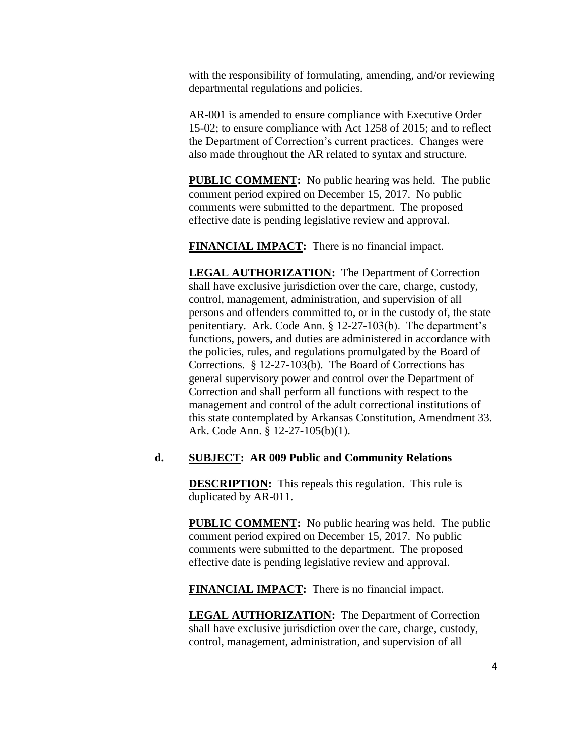with the responsibility of formulating, amending, and/or reviewing departmental regulations and policies.

AR-001 is amended to ensure compliance with Executive Order 15-02; to ensure compliance with Act 1258 of 2015; and to reflect the Department of Correction's current practices. Changes were also made throughout the AR related to syntax and structure.

**PUBLIC COMMENT:** No public hearing was held. The public comment period expired on December 15, 2017. No public comments were submitted to the department. The proposed effective date is pending legislative review and approval.

**FINANCIAL IMPACT:** There is no financial impact.

**LEGAL AUTHORIZATION:** The Department of Correction shall have exclusive jurisdiction over the care, charge, custody, control, management, administration, and supervision of all persons and offenders committed to, or in the custody of, the state penitentiary. Ark. Code Ann. § 12-27-103(b). The department's functions, powers, and duties are administered in accordance with the policies, rules, and regulations promulgated by the Board of Corrections. § 12-27-103(b). The Board of Corrections has general supervisory power and control over the Department of Correction and shall perform all functions with respect to the management and control of the adult correctional institutions of this state contemplated by Arkansas Constitution, Amendment 33. Ark. Code Ann. § 12-27-105(b)(1).

### **d. SUBJECT: AR 009 Public and Community Relations**

**DESCRIPTION:** This repeals this regulation. This rule is duplicated by AR-011.

**PUBLIC COMMENT:** No public hearing was held. The public comment period expired on December 15, 2017. No public comments were submitted to the department. The proposed effective date is pending legislative review and approval.

**FINANCIAL IMPACT:** There is no financial impact.

**LEGAL AUTHORIZATION:** The Department of Correction shall have exclusive jurisdiction over the care, charge, custody, control, management, administration, and supervision of all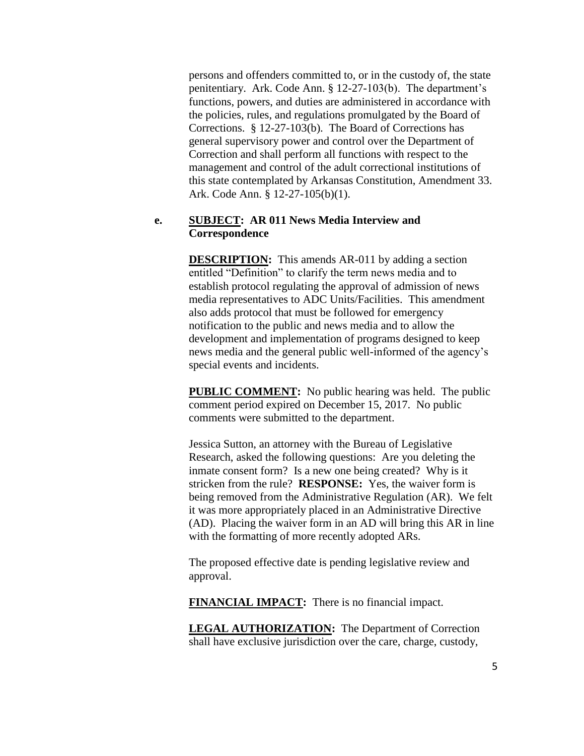persons and offenders committed to, or in the custody of, the state penitentiary. Ark. Code Ann. § 12-27-103(b). The department's functions, powers, and duties are administered in accordance with the policies, rules, and regulations promulgated by the Board of Corrections. § 12-27-103(b). The Board of Corrections has general supervisory power and control over the Department of Correction and shall perform all functions with respect to the management and control of the adult correctional institutions of this state contemplated by Arkansas Constitution, Amendment 33. Ark. Code Ann. § 12-27-105(b)(1).

### **e. SUBJECT: AR 011 News Media Interview and Correspondence**

**DESCRIPTION:** This amends AR-011 by adding a section entitled "Definition" to clarify the term news media and to establish protocol regulating the approval of admission of news media representatives to ADC Units/Facilities. This amendment also adds protocol that must be followed for emergency notification to the public and news media and to allow the development and implementation of programs designed to keep news media and the general public well-informed of the agency's special events and incidents.

**PUBLIC COMMENT:** No public hearing was held. The public comment period expired on December 15, 2017. No public comments were submitted to the department.

Jessica Sutton, an attorney with the Bureau of Legislative Research, asked the following questions: Are you deleting the inmate consent form? Is a new one being created? Why is it stricken from the rule? **RESPONSE:** Yes, the waiver form is being removed from the Administrative Regulation (AR). We felt it was more appropriately placed in an Administrative Directive (AD). Placing the waiver form in an AD will bring this AR in line with the formatting of more recently adopted ARs.

The proposed effective date is pending legislative review and approval.

**FINANCIAL IMPACT:** There is no financial impact.

**LEGAL AUTHORIZATION:** The Department of Correction shall have exclusive jurisdiction over the care, charge, custody,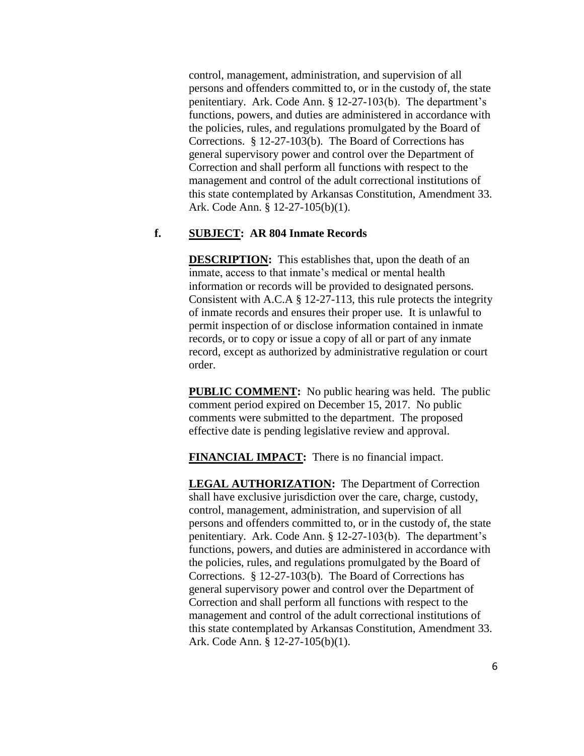control, management, administration, and supervision of all persons and offenders committed to, or in the custody of, the state penitentiary. Ark. Code Ann. § 12-27-103(b). The department's functions, powers, and duties are administered in accordance with the policies, rules, and regulations promulgated by the Board of Corrections. § 12-27-103(b). The Board of Corrections has general supervisory power and control over the Department of Correction and shall perform all functions with respect to the management and control of the adult correctional institutions of this state contemplated by Arkansas Constitution, Amendment 33. Ark. Code Ann. § 12-27-105(b)(1).

### **f. SUBJECT: AR 804 Inmate Records**

**DESCRIPTION:** This establishes that, upon the death of an inmate, access to that inmate's medical or mental health information or records will be provided to designated persons. Consistent with A.C.A § 12-27-113, this rule protects the integrity of inmate records and ensures their proper use. It is unlawful to permit inspection of or disclose information contained in inmate records, or to copy or issue a copy of all or part of any inmate record, except as authorized by administrative regulation or court order.

**PUBLIC COMMENT:** No public hearing was held. The public comment period expired on December 15, 2017. No public comments were submitted to the department. The proposed effective date is pending legislative review and approval.

**FINANCIAL IMPACT:** There is no financial impact.

**LEGAL AUTHORIZATION:** The Department of Correction shall have exclusive jurisdiction over the care, charge, custody, control, management, administration, and supervision of all persons and offenders committed to, or in the custody of, the state penitentiary. Ark. Code Ann. § 12-27-103(b). The department's functions, powers, and duties are administered in accordance with the policies, rules, and regulations promulgated by the Board of Corrections. § 12-27-103(b). The Board of Corrections has general supervisory power and control over the Department of Correction and shall perform all functions with respect to the management and control of the adult correctional institutions of this state contemplated by Arkansas Constitution, Amendment 33. Ark. Code Ann. § 12-27-105(b)(1).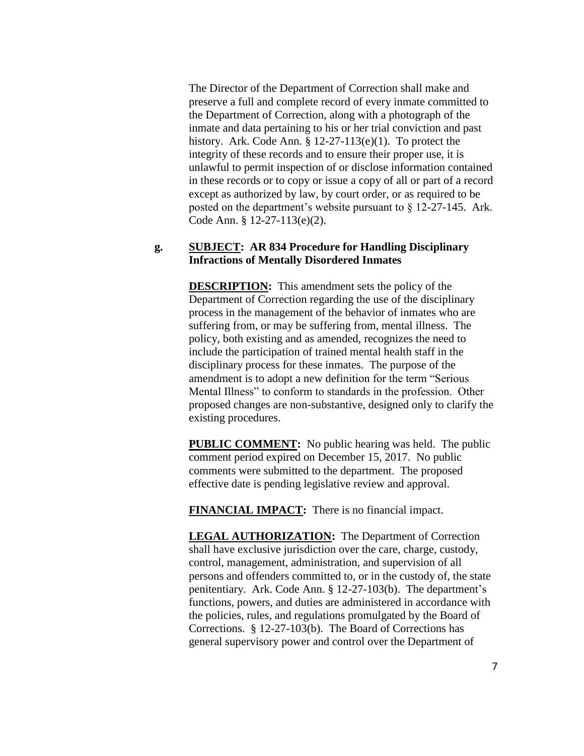The Director of the Department of Correction shall make and preserve a full and complete record of every inmate committed to the Department of Correction, along with a photograph of the inmate and data pertaining to his or her trial conviction and past history. Ark. Code Ann. § 12-27-113(e)(1). To protect the integrity of these records and to ensure their proper use, it is unlawful to permit inspection of or disclose information contained in these records or to copy or issue a copy of all or part of a record except as authorized by law, by court order, or as required to be posted on the department's website pursuant to § 12-27-145. Ark. Code Ann. § 12-27-113(e)(2).

### **g. SUBJECT: AR 834 Procedure for Handling Disciplinary Infractions of Mentally Disordered Inmates**

**DESCRIPTION:** This amendment sets the policy of the Department of Correction regarding the use of the disciplinary process in the management of the behavior of inmates who are suffering from, or may be suffering from, mental illness. The policy, both existing and as amended, recognizes the need to include the participation of trained mental health staff in the disciplinary process for these inmates. The purpose of the amendment is to adopt a new definition for the term "Serious Mental Illness" to conform to standards in the profession. Other proposed changes are non-substantive, designed only to clarify the existing procedures.

**PUBLIC COMMENT:** No public hearing was held. The public comment period expired on December 15, 2017. No public comments were submitted to the department. The proposed effective date is pending legislative review and approval.

**FINANCIAL IMPACT:** There is no financial impact.

**LEGAL AUTHORIZATION:** The Department of Correction shall have exclusive jurisdiction over the care, charge, custody, control, management, administration, and supervision of all persons and offenders committed to, or in the custody of, the state penitentiary. Ark. Code Ann. § 12-27-103(b). The department's functions, powers, and duties are administered in accordance with the policies, rules, and regulations promulgated by the Board of Corrections. § 12-27-103(b). The Board of Corrections has general supervisory power and control over the Department of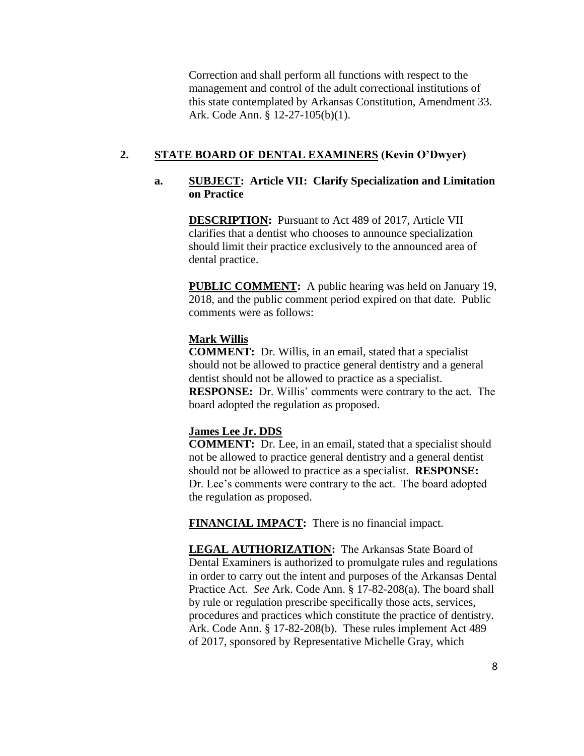Correction and shall perform all functions with respect to the management and control of the adult correctional institutions of this state contemplated by Arkansas Constitution, Amendment 33. Ark. Code Ann. § 12-27-105(b)(1).

# **2. STATE BOARD OF DENTAL EXAMINERS (Kevin O'Dwyer)**

# **a. SUBJECT: Article VII: Clarify Specialization and Limitation on Practice**

**DESCRIPTION:** Pursuant to Act 489 of 2017, Article VII clarifies that a dentist who chooses to announce specialization should limit their practice exclusively to the announced area of dental practice.

**PUBLIC COMMENT:** A public hearing was held on January 19, 2018, and the public comment period expired on that date. Public comments were as follows:

### **Mark Willis**

**COMMENT:** Dr. Willis, in an email, stated that a specialist should not be allowed to practice general dentistry and a general dentist should not be allowed to practice as a specialist. **RESPONSE:** Dr. Willis' comments were contrary to the act. The board adopted the regulation as proposed.

### **James Lee Jr. DDS**

**COMMENT:** Dr. Lee, in an email, stated that a specialist should not be allowed to practice general dentistry and a general dentist should not be allowed to practice as a specialist. **RESPONSE:**  Dr. Lee's comments were contrary to the act. The board adopted the regulation as proposed.

**FINANCIAL IMPACT:** There is no financial impact.

**LEGAL AUTHORIZATION:** The Arkansas State Board of Dental Examiners is authorized to promulgate rules and regulations in order to carry out the intent and purposes of the Arkansas Dental Practice Act. *See* Ark. Code Ann. § 17-82-208(a). The board shall by rule or regulation prescribe specifically those acts, services, procedures and practices which constitute the practice of dentistry. Ark. Code Ann. § 17-82-208(b). These rules implement Act 489 of 2017, sponsored by Representative Michelle Gray, which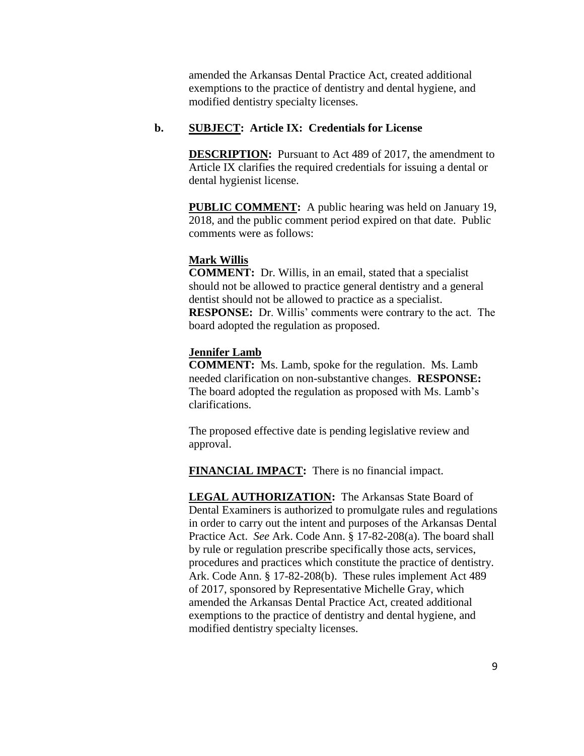amended the Arkansas Dental Practice Act, created additional exemptions to the practice of dentistry and dental hygiene, and modified dentistry specialty licenses.

### **b. SUBJECT: Article IX: Credentials for License**

**DESCRIPTION:** Pursuant to Act 489 of 2017, the amendment to Article IX clarifies the required credentials for issuing a dental or dental hygienist license.

**PUBLIC COMMENT:** A public hearing was held on January 19, 2018, and the public comment period expired on that date. Public comments were as follows:

# **Mark Willis**

**COMMENT:** Dr. Willis, in an email, stated that a specialist should not be allowed to practice general dentistry and a general dentist should not be allowed to practice as a specialist. **RESPONSE:** Dr. Willis' comments were contrary to the act. The board adopted the regulation as proposed.

### **Jennifer Lamb**

**COMMENT:** Ms. Lamb, spoke for the regulation. Ms. Lamb needed clarification on non-substantive changes. **RESPONSE:**  The board adopted the regulation as proposed with Ms. Lamb's clarifications.

The proposed effective date is pending legislative review and approval.

**FINANCIAL IMPACT:** There is no financial impact.

**LEGAL AUTHORIZATION:** The Arkansas State Board of Dental Examiners is authorized to promulgate rules and regulations in order to carry out the intent and purposes of the Arkansas Dental Practice Act. *See* Ark. Code Ann. § 17-82-208(a). The board shall by rule or regulation prescribe specifically those acts, services, procedures and practices which constitute the practice of dentistry. Ark. Code Ann. § 17-82-208(b). These rules implement Act 489 of 2017, sponsored by Representative Michelle Gray, which amended the Arkansas Dental Practice Act, created additional exemptions to the practice of dentistry and dental hygiene, and modified dentistry specialty licenses.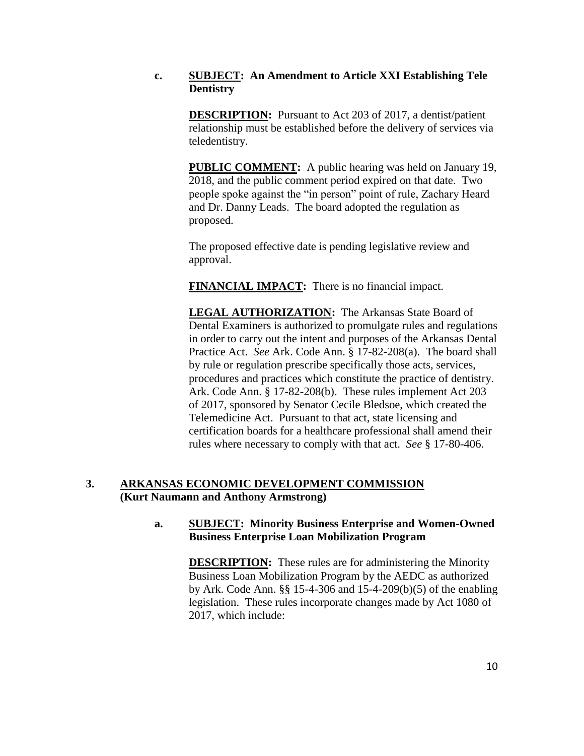# **c. SUBJECT: An Amendment to Article XXI Establishing Tele Dentistry**

**DESCRIPTION:** Pursuant to Act 203 of 2017, a dentist/patient relationship must be established before the delivery of services via teledentistry.

**PUBLIC COMMENT:** A public hearing was held on January 19, 2018, and the public comment period expired on that date. Two people spoke against the "in person" point of rule, Zachary Heard and Dr. Danny Leads. The board adopted the regulation as proposed.

The proposed effective date is pending legislative review and approval.

**FINANCIAL IMPACT:** There is no financial impact.

**LEGAL AUTHORIZATION:** The Arkansas State Board of Dental Examiners is authorized to promulgate rules and regulations in order to carry out the intent and purposes of the Arkansas Dental Practice Act. *See* Ark. Code Ann. § 17-82-208(a). The board shall by rule or regulation prescribe specifically those acts, services, procedures and practices which constitute the practice of dentistry. Ark. Code Ann. § 17-82-208(b). These rules implement Act 203 of 2017, sponsored by Senator Cecile Bledsoe, which created the Telemedicine Act. Pursuant to that act, state licensing and certification boards for a healthcare professional shall amend their rules where necessary to comply with that act. *See* § 17-80-406.

# **3. ARKANSAS ECONOMIC DEVELOPMENT COMMISSION (Kurt Naumann and Anthony Armstrong)**

# **a. SUBJECT: Minority Business Enterprise and Women-Owned Business Enterprise Loan Mobilization Program**

**DESCRIPTION:** These rules are for administering the Minority Business Loan Mobilization Program by the AEDC as authorized by Ark. Code Ann. §§ 15-4-306 and 15-4-209(b)(5) of the enabling legislation. These rules incorporate changes made by Act 1080 of 2017, which include: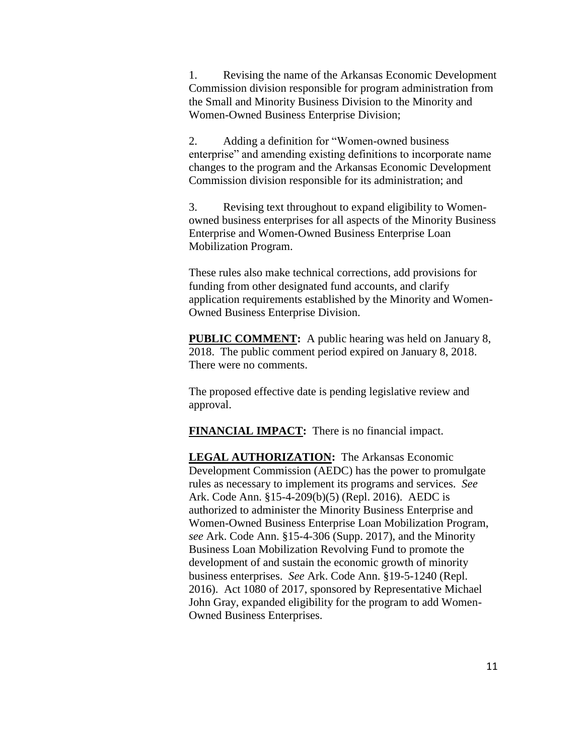1. Revising the name of the Arkansas Economic Development Commission division responsible for program administration from the Small and Minority Business Division to the Minority and Women-Owned Business Enterprise Division;

2. Adding a definition for "Women-owned business enterprise" and amending existing definitions to incorporate name changes to the program and the Arkansas Economic Development Commission division responsible for its administration; and

3. Revising text throughout to expand eligibility to Womenowned business enterprises for all aspects of the Minority Business Enterprise and Women-Owned Business Enterprise Loan Mobilization Program.

These rules also make technical corrections, add provisions for funding from other designated fund accounts, and clarify application requirements established by the Minority and Women-Owned Business Enterprise Division.

**PUBLIC COMMENT:** A public hearing was held on January 8, 2018. The public comment period expired on January 8, 2018. There were no comments.

The proposed effective date is pending legislative review and approval.

**FINANCIAL IMPACT:** There is no financial impact.

**LEGAL AUTHORIZATION:** The Arkansas Economic Development Commission (AEDC) has the power to promulgate rules as necessary to implement its programs and services. *See* Ark. Code Ann. §15-4-209(b)(5) (Repl. 2016). AEDC is authorized to administer the Minority Business Enterprise and Women-Owned Business Enterprise Loan Mobilization Program, *see* Ark. Code Ann. §15-4-306 (Supp. 2017), and the Minority Business Loan Mobilization Revolving Fund to promote the development of and sustain the economic growth of minority business enterprises. *See* Ark. Code Ann. §19-5-1240 (Repl. 2016). Act 1080 of 2017, sponsored by Representative Michael John Gray, expanded eligibility for the program to add Women-Owned Business Enterprises.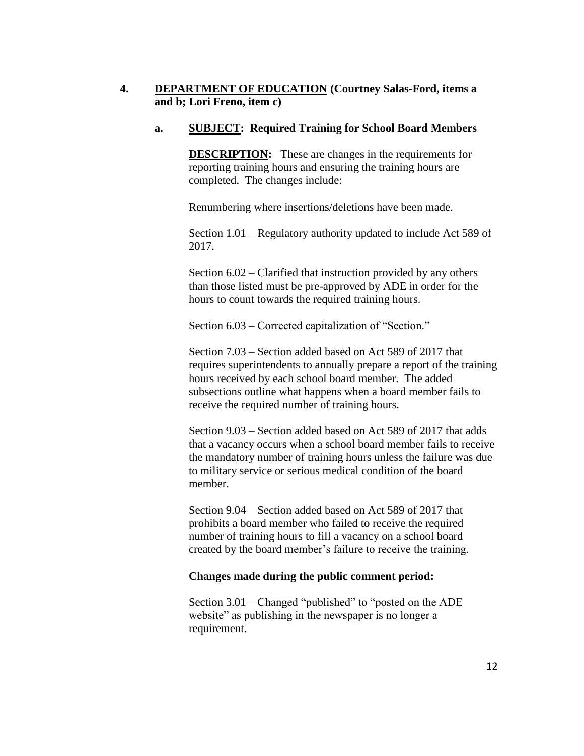# **4. DEPARTMENT OF EDUCATION (Courtney Salas-Ford, items a and b; Lori Freno, item c)**

# **a. SUBJECT: Required Training for School Board Members**

**DESCRIPTION:** These are changes in the requirements for reporting training hours and ensuring the training hours are completed. The changes include:

Renumbering where insertions/deletions have been made.

Section 1.01 – Regulatory authority updated to include Act 589 of 2017.

Section 6.02 – Clarified that instruction provided by any others than those listed must be pre-approved by ADE in order for the hours to count towards the required training hours.

Section 6.03 – Corrected capitalization of "Section."

Section 7.03 – Section added based on Act 589 of 2017 that requires superintendents to annually prepare a report of the training hours received by each school board member. The added subsections outline what happens when a board member fails to receive the required number of training hours.

Section 9.03 – Section added based on Act 589 of 2017 that adds that a vacancy occurs when a school board member fails to receive the mandatory number of training hours unless the failure was due to military service or serious medical condition of the board member.

Section 9.04 – Section added based on Act 589 of 2017 that prohibits a board member who failed to receive the required number of training hours to fill a vacancy on a school board created by the board member's failure to receive the training.

# **Changes made during the public comment period:**

Section 3.01 – Changed "published" to "posted on the ADE website" as publishing in the newspaper is no longer a requirement.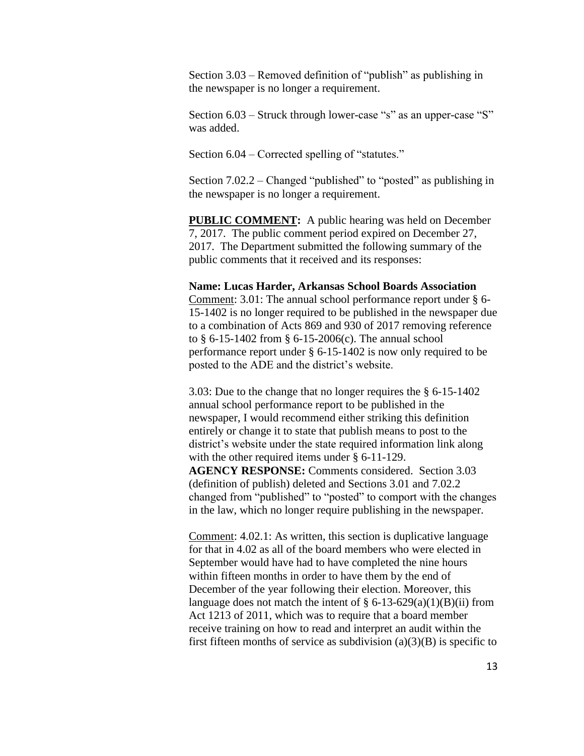Section 3.03 – Removed definition of "publish" as publishing in the newspaper is no longer a requirement.

Section 6.03 – Struck through lower-case "s" as an upper-case "S" was added.

Section 6.04 – Corrected spelling of "statutes."

Section 7.02.2 – Changed "published" to "posted" as publishing in the newspaper is no longer a requirement.

**PUBLIC COMMENT:** A public hearing was held on December 7, 2017. The public comment period expired on December 27, 2017. The Department submitted the following summary of the public comments that it received and its responses:

#### **Name: Lucas Harder, Arkansas School Boards Association**

Comment: 3.01: The annual school performance report under § 6- 15-1402 is no longer required to be published in the newspaper due to a combination of Acts 869 and 930 of 2017 removing reference to § 6-15-1402 from § 6-15-2006(c). The annual school performance report under § 6-15-1402 is now only required to be posted to the ADE and the district's website.

3.03: Due to the change that no longer requires the § 6-15-1402 annual school performance report to be published in the newspaper, I would recommend either striking this definition entirely or change it to state that publish means to post to the district's website under the state required information link along with the other required items under § 6-11-129. **AGENCY RESPONSE:** Comments considered. Section 3.03 (definition of publish) deleted and Sections 3.01 and 7.02.2 changed from "published" to "posted" to comport with the changes in the law, which no longer require publishing in the newspaper.

Comment: 4.02.1: As written, this section is duplicative language for that in 4.02 as all of the board members who were elected in September would have had to have completed the nine hours within fifteen months in order to have them by the end of December of the year following their election. Moreover, this language does not match the intent of  $\S 6-13-629(a)(1)(B)(ii)$  from Act 1213 of 2011, which was to require that a board member receive training on how to read and interpret an audit within the first fifteen months of service as subdivision  $(a)(3)(B)$  is specific to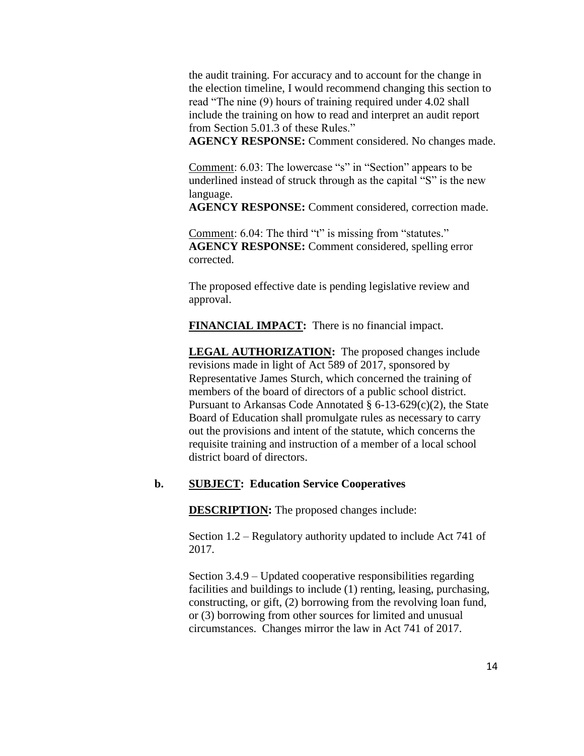the audit training. For accuracy and to account for the change in the election timeline, I would recommend changing this section to read "The nine (9) hours of training required under 4.02 shall include the training on how to read and interpret an audit report from Section 5.01.3 of these Rules."

**AGENCY RESPONSE:** Comment considered. No changes made.

Comment: 6.03: The lowercase "s" in "Section" appears to be underlined instead of struck through as the capital "S" is the new language.

**AGENCY RESPONSE:** Comment considered, correction made.

Comment: 6.04: The third "t" is missing from "statutes." **AGENCY RESPONSE:** Comment considered, spelling error corrected.

The proposed effective date is pending legislative review and approval.

**FINANCIAL IMPACT:** There is no financial impact.

**LEGAL AUTHORIZATION:** The proposed changes include revisions made in light of Act 589 of 2017, sponsored by Representative James Sturch, which concerned the training of members of the board of directors of a public school district. Pursuant to Arkansas Code Annotated § 6-13-629(c)(2), the State Board of Education shall promulgate rules as necessary to carry out the provisions and intent of the statute, which concerns the requisite training and instruction of a member of a local school district board of directors.

### **b. SUBJECT: Education Service Cooperatives**

**DESCRIPTION:** The proposed changes include:

Section 1.2 – Regulatory authority updated to include Act 741 of 2017.

Section 3.4.9 – Updated cooperative responsibilities regarding facilities and buildings to include (1) renting, leasing, purchasing, constructing, or gift, (2) borrowing from the revolving loan fund, or (3) borrowing from other sources for limited and unusual circumstances. Changes mirror the law in Act 741 of 2017.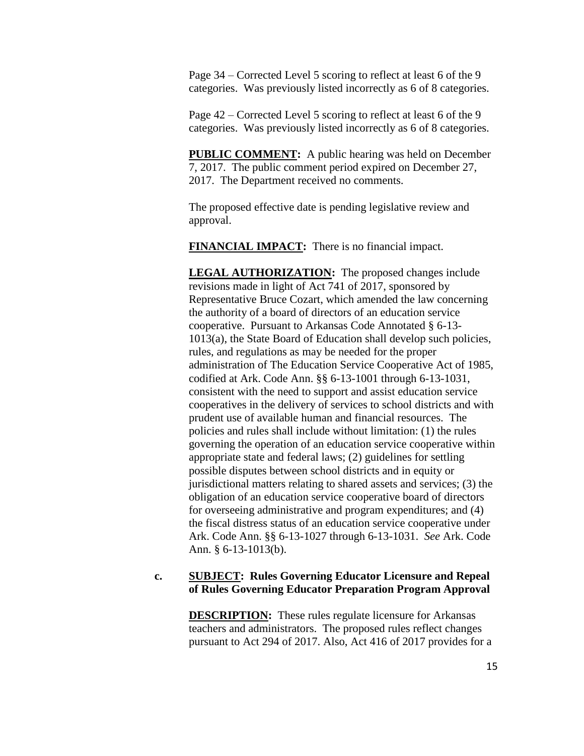Page 34 – Corrected Level 5 scoring to reflect at least 6 of the 9 categories. Was previously listed incorrectly as 6 of 8 categories.

Page 42 – Corrected Level 5 scoring to reflect at least 6 of the 9 categories. Was previously listed incorrectly as 6 of 8 categories.

**PUBLIC COMMENT:** A public hearing was held on December 7, 2017. The public comment period expired on December 27, 2017. The Department received no comments.

The proposed effective date is pending legislative review and approval.

**FINANCIAL IMPACT:** There is no financial impact.

**LEGAL AUTHORIZATION:** The proposed changes include revisions made in light of Act 741 of 2017, sponsored by Representative Bruce Cozart, which amended the law concerning the authority of a board of directors of an education service cooperative. Pursuant to Arkansas Code Annotated § 6-13- 1013(a), the State Board of Education shall develop such policies, rules, and regulations as may be needed for the proper administration of The Education Service Cooperative Act of 1985, codified at Ark. Code Ann. §§ 6-13-1001 through 6-13-1031, consistent with the need to support and assist education service cooperatives in the delivery of services to school districts and with prudent use of available human and financial resources. The policies and rules shall include without limitation: (1) the rules governing the operation of an education service cooperative within appropriate state and federal laws; (2) guidelines for settling possible disputes between school districts and in equity or jurisdictional matters relating to shared assets and services; (3) the obligation of an education service cooperative board of directors for overseeing administrative and program expenditures; and (4) the fiscal distress status of an education service cooperative under Ark. Code Ann. §§ 6-13-1027 through 6-13-1031. *See* Ark. Code Ann. § 6-13-1013(b).

### **c. SUBJECT: Rules Governing Educator Licensure and Repeal of Rules Governing Educator Preparation Program Approval**

**DESCRIPTION:** These rules regulate licensure for Arkansas teachers and administrators. The proposed rules reflect changes pursuant to Act 294 of 2017. Also, Act 416 of 2017 provides for a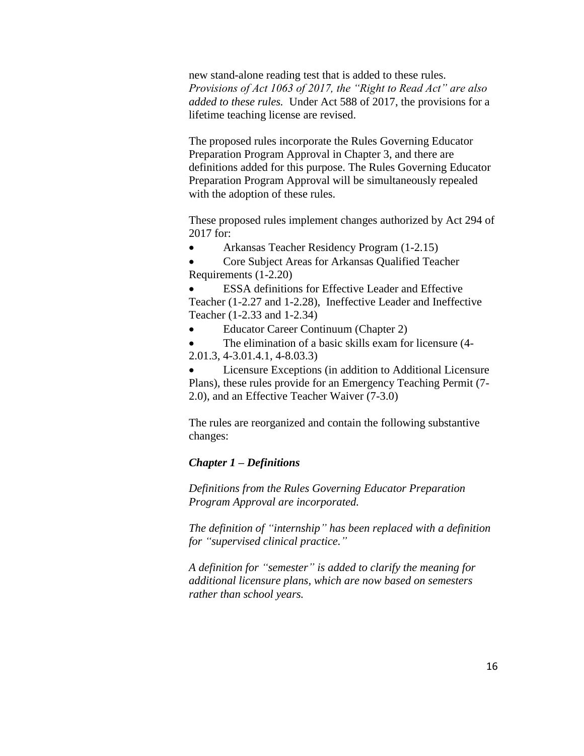new stand-alone reading test that is added to these rules. *Provisions of Act 1063 of 2017, the "Right to Read Act" are also added to these rules.* Under Act 588 of 2017, the provisions for a lifetime teaching license are revised.

The proposed rules incorporate the Rules Governing Educator Preparation Program Approval in Chapter 3, and there are definitions added for this purpose. The Rules Governing Educator Preparation Program Approval will be simultaneously repealed with the adoption of these rules.

These proposed rules implement changes authorized by Act 294 of 2017 for:

Arkansas Teacher Residency Program (1-2.15)

 Core Subject Areas for Arkansas Qualified Teacher Requirements (1-2.20)

 ESSA definitions for Effective Leader and Effective Teacher (1-2.27 and 1-2.28), Ineffective Leader and Ineffective Teacher (1-2.33 and 1-2.34)

Educator Career Continuum (Chapter 2)

 The elimination of a basic skills exam for licensure (4- 2.01.3, 4-3.01.4.1, 4-8.03.3)

 Licensure Exceptions (in addition to Additional Licensure Plans), these rules provide for an Emergency Teaching Permit (7- 2.0), and an Effective Teacher Waiver (7-3.0)

The rules are reorganized and contain the following substantive changes:

# *Chapter 1 – Definitions*

*Definitions from the Rules Governing Educator Preparation Program Approval are incorporated.*

*The definition of "internship" has been replaced with a definition for "supervised clinical practice."*

*A definition for "semester" is added to clarify the meaning for additional licensure plans, which are now based on semesters rather than school years.*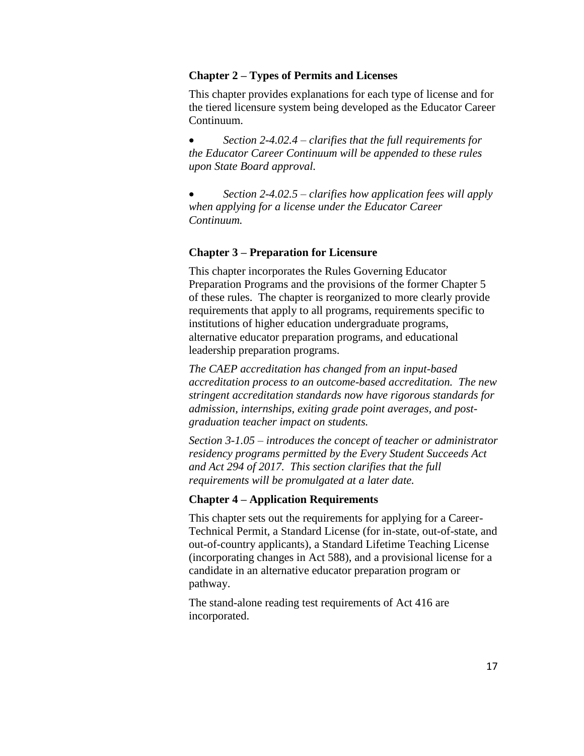### **Chapter 2 – Types of Permits and Licenses**

This chapter provides explanations for each type of license and for the tiered licensure system being developed as the Educator Career Continuum.

 *Section 2-4.02.4 – clarifies that the full requirements for the Educator Career Continuum will be appended to these rules upon State Board approval.*

 *Section 2-4.02.5 – clarifies how application fees will apply when applying for a license under the Educator Career Continuum.*

#### **Chapter 3 – Preparation for Licensure**

This chapter incorporates the Rules Governing Educator Preparation Programs and the provisions of the former Chapter 5 of these rules. The chapter is reorganized to more clearly provide requirements that apply to all programs, requirements specific to institutions of higher education undergraduate programs, alternative educator preparation programs, and educational leadership preparation programs.

*The CAEP accreditation has changed from an input-based accreditation process to an outcome-based accreditation. The new stringent accreditation standards now have rigorous standards for admission, internships, exiting grade point averages, and postgraduation teacher impact on students.* 

*Section 3-1.05 – introduces the concept of teacher or administrator residency programs permitted by the Every Student Succeeds Act and Act 294 of 2017. This section clarifies that the full requirements will be promulgated at a later date.*

#### **Chapter 4 – Application Requirements**

This chapter sets out the requirements for applying for a Career-Technical Permit, a Standard License (for in-state, out-of-state, and out-of-country applicants), a Standard Lifetime Teaching License (incorporating changes in Act 588), and a provisional license for a candidate in an alternative educator preparation program or pathway.

The stand-alone reading test requirements of Act 416 are incorporated.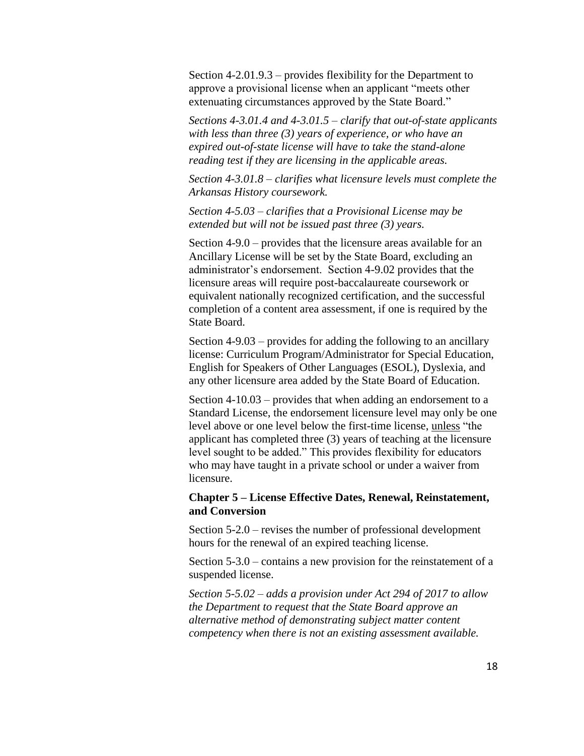Section 4-2.01.9.3 – provides flexibility for the Department to approve a provisional license when an applicant "meets other extenuating circumstances approved by the State Board."

*Sections 4-3.01.4 and 4-3.01.5 – clarify that out-of-state applicants with less than three (3) years of experience, or who have an expired out-of-state license will have to take the stand-alone reading test if they are licensing in the applicable areas.*

*Section 4-3.01.8 – clarifies what licensure levels must complete the Arkansas History coursework.*

*Section 4-5.03 – clarifies that a Provisional License may be extended but will not be issued past three (3) years.*

Section 4-9.0 – provides that the licensure areas available for an Ancillary License will be set by the State Board, excluding an administrator's endorsement. Section 4-9.02 provides that the licensure areas will require post-baccalaureate coursework or equivalent nationally recognized certification, and the successful completion of a content area assessment, if one is required by the State Board.

Section 4-9.03 – provides for adding the following to an ancillary license: Curriculum Program/Administrator for Special Education, English for Speakers of Other Languages (ESOL), Dyslexia, and any other licensure area added by the State Board of Education.

Section 4-10.03 – provides that when adding an endorsement to a Standard License, the endorsement licensure level may only be one level above or one level below the first-time license, unless "the applicant has completed three (3) years of teaching at the licensure level sought to be added." This provides flexibility for educators who may have taught in a private school or under a waiver from licensure.

# **Chapter 5 – License Effective Dates, Renewal, Reinstatement, and Conversion**

Section 5-2.0 – revises the number of professional development hours for the renewal of an expired teaching license.

Section 5-3.0 – contains a new provision for the reinstatement of a suspended license.

*Section 5-5.02 – adds a provision under Act 294 of 2017 to allow the Department to request that the State Board approve an alternative method of demonstrating subject matter content competency when there is not an existing assessment available.*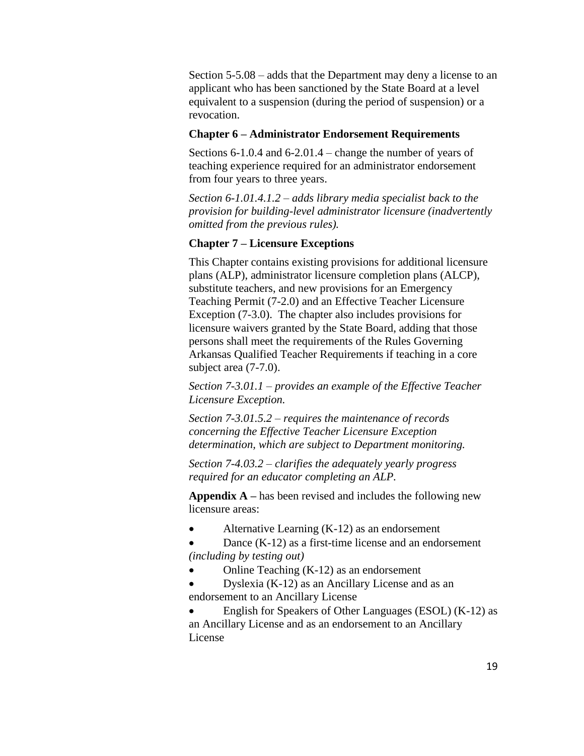Section 5-5.08 – adds that the Department may deny a license to an applicant who has been sanctioned by the State Board at a level equivalent to a suspension (during the period of suspension) or a revocation.

#### **Chapter 6 – Administrator Endorsement Requirements**

Sections 6-1.0.4 and 6-2.01.4 – change the number of years of teaching experience required for an administrator endorsement from four years to three years.

*Section 6-1.01.4.1.2 – adds library media specialist back to the provision for building-level administrator licensure (inadvertently omitted from the previous rules).*

### **Chapter 7 – Licensure Exceptions**

This Chapter contains existing provisions for additional licensure plans (ALP), administrator licensure completion plans (ALCP), substitute teachers, and new provisions for an Emergency Teaching Permit (7-2.0) and an Effective Teacher Licensure Exception (7-3.0). The chapter also includes provisions for licensure waivers granted by the State Board, adding that those persons shall meet the requirements of the Rules Governing Arkansas Qualified Teacher Requirements if teaching in a core subject area (7-7.0).

*Section 7-3.01.1 – provides an example of the Effective Teacher Licensure Exception.*

*Section 7-3.01.5.2 – requires the maintenance of records concerning the Effective Teacher Licensure Exception determination, which are subject to Department monitoring.*

*Section 7-4.03.2 – clarifies the adequately yearly progress required for an educator completing an ALP.*

**Appendix A –** has been revised and includes the following new licensure areas:

Alternative Learning (K-12) as an endorsement

 Dance (K-12) as a first-time license and an endorsement *(including by testing out)*

- Online Teaching (K-12) as an endorsement
- Dyslexia (K-12) as an Ancillary License and as an endorsement to an Ancillary License

 English for Speakers of Other Languages (ESOL) (K-12) as an Ancillary License and as an endorsement to an Ancillary License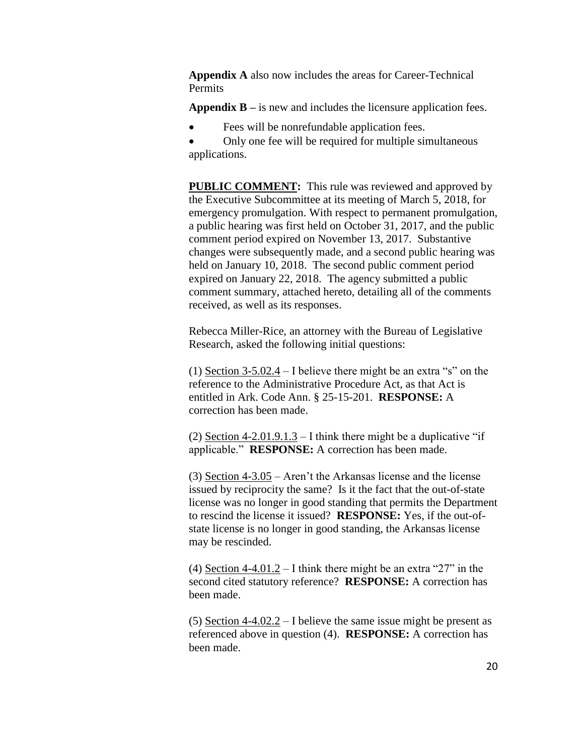**Appendix A** also now includes the areas for Career-Technical Permits

**Appendix B –** is new and includes the licensure application fees.

Fees will be nonrefundable application fees.

 Only one fee will be required for multiple simultaneous applications.

**PUBLIC COMMENT:** This rule was reviewed and approved by the Executive Subcommittee at its meeting of March 5, 2018, for emergency promulgation. With respect to permanent promulgation, a public hearing was first held on October 31, 2017, and the public comment period expired on November 13, 2017. Substantive changes were subsequently made, and a second public hearing was held on January 10, 2018. The second public comment period expired on January 22, 2018. The agency submitted a public comment summary, attached hereto, detailing all of the comments received, as well as its responses.

Rebecca Miller-Rice, an attorney with the Bureau of Legislative Research, asked the following initial questions:

(1) Section 3-5.02.4 – I believe there might be an extra "s" on the reference to the Administrative Procedure Act, as that Act is entitled in Ark. Code Ann. § 25-15-201. **RESPONSE:** A correction has been made.

(2) Section 4-2.01.9.1.3 – I think there might be a duplicative "if applicable." **RESPONSE:** A correction has been made.

(3) Section 4-3.05 – Aren't the Arkansas license and the license issued by reciprocity the same? Is it the fact that the out-of-state license was no longer in good standing that permits the Department to rescind the license it issued? **RESPONSE:** Yes, if the out-ofstate license is no longer in good standing, the Arkansas license may be rescinded.

(4) Section 4-4.01.2 – I think there might be an extra "27" in the second cited statutory reference? **RESPONSE:** A correction has been made.

(5) Section 4-4.02.2 – I believe the same issue might be present as referenced above in question (4). **RESPONSE:** A correction has been made.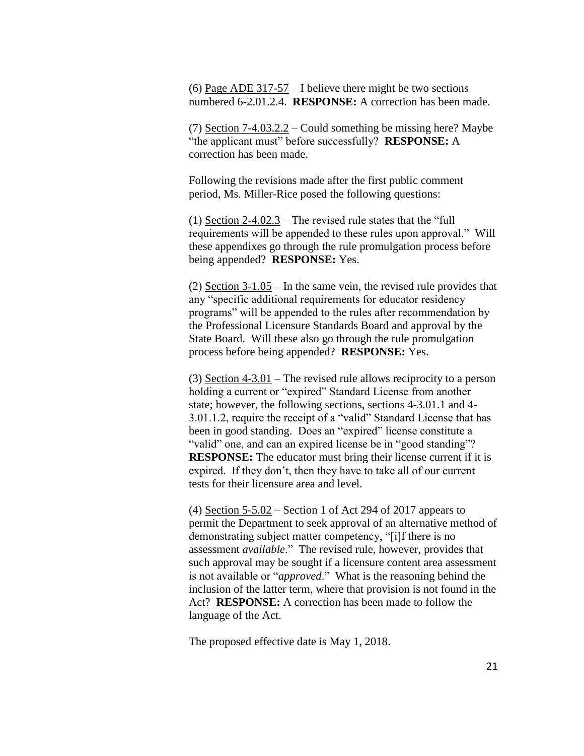(6) Page ADE  $317-57$  – I believe there might be two sections numbered 6-2.01.2.4. **RESPONSE:** A correction has been made.

(7) Section 7-4.03.2.2 – Could something be missing here? Maybe "the applicant must" before successfully? **RESPONSE:** A correction has been made.

Following the revisions made after the first public comment period, Ms. Miller-Rice posed the following questions:

(1) Section  $2-4.02.3$  – The revised rule states that the "full requirements will be appended to these rules upon approval." Will these appendixes go through the rule promulgation process before being appended? **RESPONSE:** Yes.

(2) Section 3-1.05 – In the same vein, the revised rule provides that any "specific additional requirements for educator residency programs" will be appended to the rules after recommendation by the Professional Licensure Standards Board and approval by the State Board. Will these also go through the rule promulgation process before being appended? **RESPONSE:** Yes.

(3) Section 4-3.01 – The revised rule allows reciprocity to a person holding a current or "expired" Standard License from another state; however, the following sections, sections 4-3.01.1 and 4- 3.01.1.2, require the receipt of a "valid" Standard License that has been in good standing. Does an "expired" license constitute a "valid" one, and can an expired license be in "good standing"? **RESPONSE:** The educator must bring their license current if it is expired. If they don't, then they have to take all of our current tests for their licensure area and level.

(4) Section 5-5.02 – Section 1 of Act 294 of 2017 appears to permit the Department to seek approval of an alternative method of demonstrating subject matter competency, "[i]f there is no assessment *available*." The revised rule, however, provides that such approval may be sought if a licensure content area assessment is not available or "*approved*." What is the reasoning behind the inclusion of the latter term, where that provision is not found in the Act? **RESPONSE:** A correction has been made to follow the language of the Act.

The proposed effective date is May 1, 2018.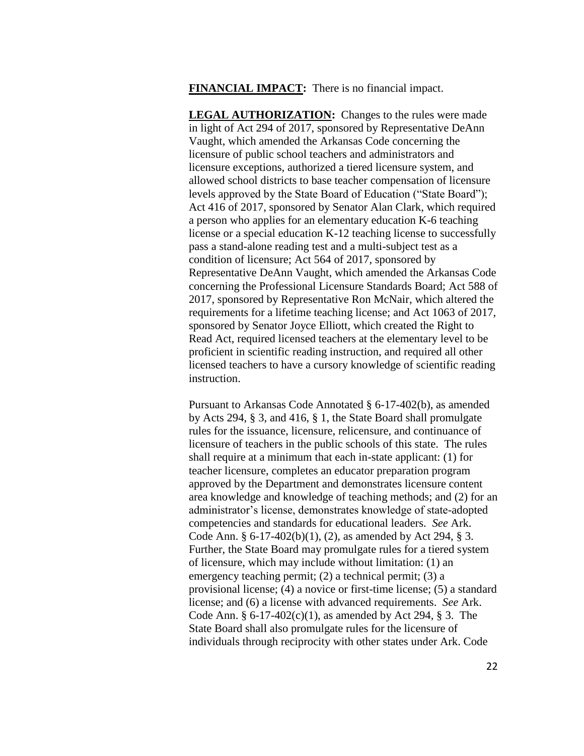**FINANCIAL IMPACT:** There is no financial impact.

**LEGAL AUTHORIZATION:** Changes to the rules were made in light of Act 294 of 2017, sponsored by Representative DeAnn Vaught, which amended the Arkansas Code concerning the licensure of public school teachers and administrators and licensure exceptions, authorized a tiered licensure system, and allowed school districts to base teacher compensation of licensure levels approved by the State Board of Education ("State Board"); Act 416 of 2017, sponsored by Senator Alan Clark, which required a person who applies for an elementary education K-6 teaching license or a special education K-12 teaching license to successfully pass a stand-alone reading test and a multi-subject test as a condition of licensure; Act 564 of 2017, sponsored by Representative DeAnn Vaught, which amended the Arkansas Code concerning the Professional Licensure Standards Board; Act 588 of 2017, sponsored by Representative Ron McNair, which altered the requirements for a lifetime teaching license; and Act 1063 of 2017, sponsored by Senator Joyce Elliott, which created the Right to Read Act, required licensed teachers at the elementary level to be proficient in scientific reading instruction, and required all other licensed teachers to have a cursory knowledge of scientific reading instruction.

Pursuant to Arkansas Code Annotated § 6-17-402(b), as amended by Acts 294, § 3, and 416, § 1, the State Board shall promulgate rules for the issuance, licensure, relicensure, and continuance of licensure of teachers in the public schools of this state. The rules shall require at a minimum that each in-state applicant: (1) for teacher licensure, completes an educator preparation program approved by the Department and demonstrates licensure content area knowledge and knowledge of teaching methods; and (2) for an administrator's license, demonstrates knowledge of state-adopted competencies and standards for educational leaders. *See* Ark. Code Ann. § 6-17-402(b)(1), (2), as amended by Act 294, § 3. Further, the State Board may promulgate rules for a tiered system of licensure, which may include without limitation: (1) an emergency teaching permit; (2) a technical permit; (3) a provisional license; (4) a novice or first-time license; (5) a standard license; and (6) a license with advanced requirements. *See* Ark. Code Ann. § 6-17-402(c)(1), as amended by Act 294, § 3. The State Board shall also promulgate rules for the licensure of individuals through reciprocity with other states under Ark. Code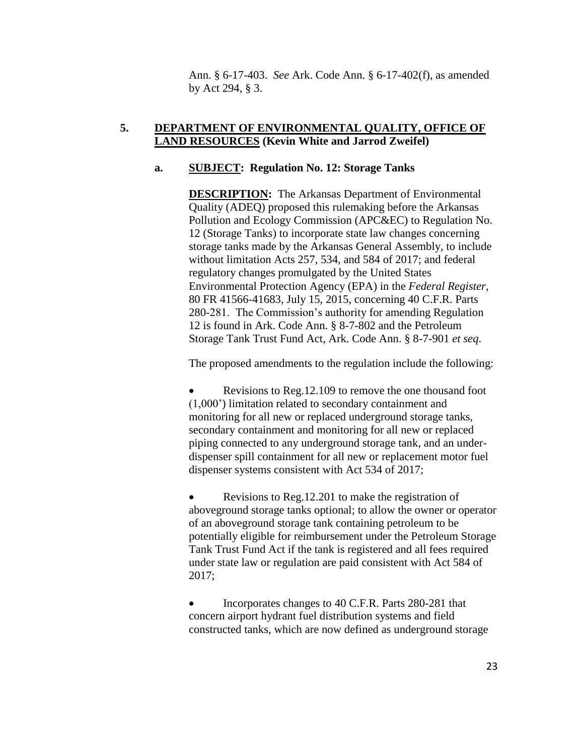Ann. § 6-17-403. *See* Ark. Code Ann. § 6-17-402(f), as amended by Act 294, § 3.

# **5. DEPARTMENT OF ENVIRONMENTAL QUALITY, OFFICE OF LAND RESOURCES (Kevin White and Jarrod Zweifel)**

# **a. SUBJECT: Regulation No. 12: Storage Tanks**

**DESCRIPTION:** The Arkansas Department of Environmental Quality (ADEQ) proposed this rulemaking before the Arkansas Pollution and Ecology Commission (APC&EC) to Regulation No. 12 (Storage Tanks) to incorporate state law changes concerning storage tanks made by the Arkansas General Assembly, to include without limitation Acts 257, 534, and 584 of 2017; and federal regulatory changes promulgated by the United States Environmental Protection Agency (EPA) in the *Federal Register*, 80 FR 41566-41683, July 15, 2015, concerning 40 C.F.R. Parts 280-281. The Commission's authority for amending Regulation 12 is found in Ark. Code Ann. § 8-7-802 and the Petroleum Storage Tank Trust Fund Act, Ark. Code Ann. § 8-7-901 *et seq*.

The proposed amendments to the regulation include the following:

 Revisions to Reg.12.109 to remove the one thousand foot (1,000') limitation related to secondary containment and monitoring for all new or replaced underground storage tanks, secondary containment and monitoring for all new or replaced piping connected to any underground storage tank, and an underdispenser spill containment for all new or replacement motor fuel dispenser systems consistent with Act 534 of 2017;

 Revisions to Reg.12.201 to make the registration of aboveground storage tanks optional; to allow the owner or operator of an aboveground storage tank containing petroleum to be potentially eligible for reimbursement under the Petroleum Storage Tank Trust Fund Act if the tank is registered and all fees required under state law or regulation are paid consistent with Act 584 of 2017;

 Incorporates changes to 40 C.F.R. Parts 280-281 that concern airport hydrant fuel distribution systems and field constructed tanks, which are now defined as underground storage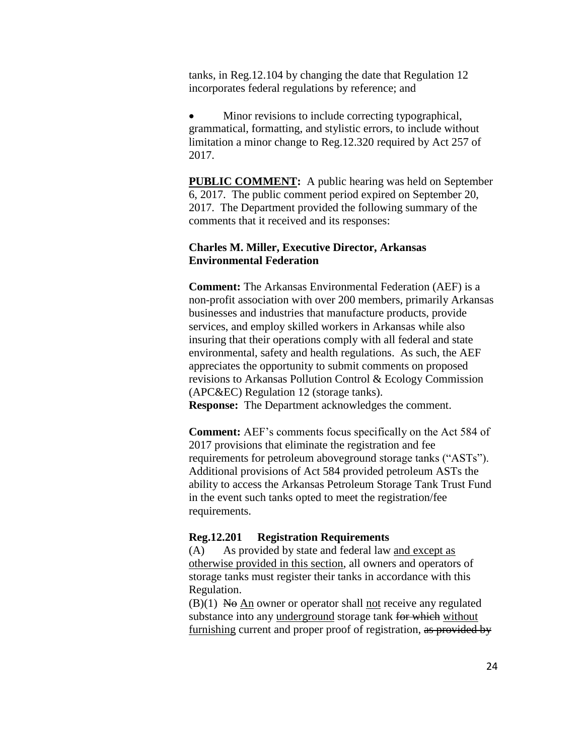tanks, in Reg.12.104 by changing the date that Regulation 12 incorporates federal regulations by reference; and

 Minor revisions to include correcting typographical, grammatical, formatting, and stylistic errors, to include without limitation a minor change to Reg.12.320 required by Act 257 of 2017.

**PUBLIC COMMENT:** A public hearing was held on September 6, 2017. The public comment period expired on September 20, 2017. The Department provided the following summary of the comments that it received and its responses:

# **Charles M. Miller, Executive Director, Arkansas Environmental Federation**

**Comment:** The Arkansas Environmental Federation (AEF) is a non-profit association with over 200 members, primarily Arkansas businesses and industries that manufacture products, provide services, and employ skilled workers in Arkansas while also insuring that their operations comply with all federal and state environmental, safety and health regulations. As such, the AEF appreciates the opportunity to submit comments on proposed revisions to Arkansas Pollution Control & Ecology Commission (APC&EC) Regulation 12 (storage tanks). **Response:** The Department acknowledges the comment.

**Comment:** AEF's comments focus specifically on the Act 584 of 2017 provisions that eliminate the registration and fee requirements for petroleum aboveground storage tanks ("ASTs"). Additional provisions of Act 584 provided petroleum ASTs the ability to access the Arkansas Petroleum Storage Tank Trust Fund in the event such tanks opted to meet the registration/fee requirements.

#### **Reg.12.201 Registration Requirements**

(A) As provided by state and federal law and except as otherwise provided in this section, all owners and operators of storage tanks must register their tanks in accordance with this Regulation.

 $(B)(1)$  No An owner or operator shall not receive any regulated substance into any underground storage tank for which without furnishing current and proper proof of registration, as provided by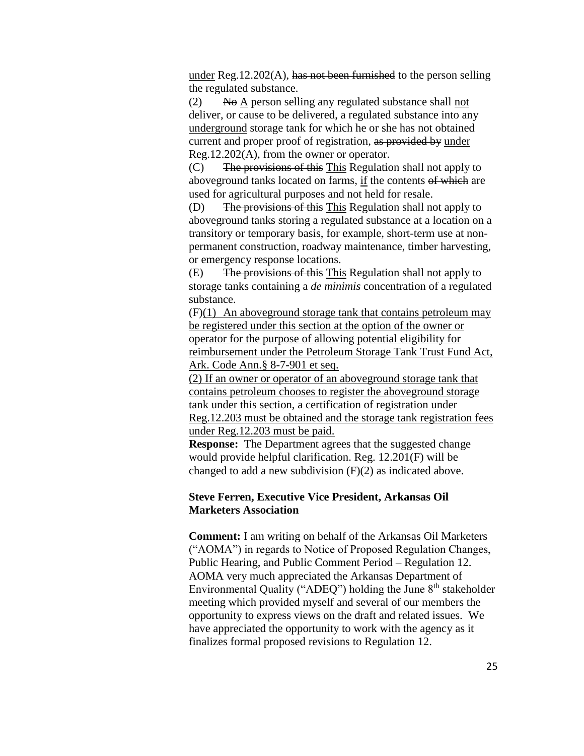under Reg.12.202(A), has not been furnished to the person selling the regulated substance.

(2) No A person selling any regulated substance shall not deliver, or cause to be delivered, a regulated substance into any underground storage tank for which he or she has not obtained current and proper proof of registration, as provided by under Reg.12.202(A), from the owner or operator.

(C) The provisions of this This Regulation shall not apply to aboveground tanks located on farms, if the contents of which are used for agricultural purposes and not held for resale.

(D) The provisions of this This Regulation shall not apply to aboveground tanks storing a regulated substance at a location on a transitory or temporary basis, for example, short-term use at nonpermanent construction, roadway maintenance, timber harvesting, or emergency response locations.

(E) The provisions of this This Regulation shall not apply to storage tanks containing a *de minimis* concentration of a regulated substance.

(F)(1) An aboveground storage tank that contains petroleum may be registered under this section at the option of the owner or operator for the purpose of allowing potential eligibility for reimbursement under the Petroleum Storage Tank Trust Fund Act, Ark. Code Ann.§ 8-7-901 et seq.

(2) If an owner or operator of an aboveground storage tank that contains petroleum chooses to register the aboveground storage tank under this section, a certification of registration under Reg.12.203 must be obtained and the storage tank registration fees under Reg.12.203 must be paid.

**Response:** The Department agrees that the suggested change would provide helpful clarification. Reg. 12.201(F) will be changed to add a new subdivision (F)(2) as indicated above.

### **Steve Ferren, Executive Vice President, Arkansas Oil Marketers Association**

**Comment:** I am writing on behalf of the Arkansas Oil Marketers ("AOMA") in regards to Notice of Proposed Regulation Changes, Public Hearing, and Public Comment Period – Regulation 12. AOMA very much appreciated the Arkansas Department of Environmental Quality ("ADEQ") holding the June  $8<sup>th</sup>$  stakeholder meeting which provided myself and several of our members the opportunity to express views on the draft and related issues. We have appreciated the opportunity to work with the agency as it finalizes formal proposed revisions to Regulation 12.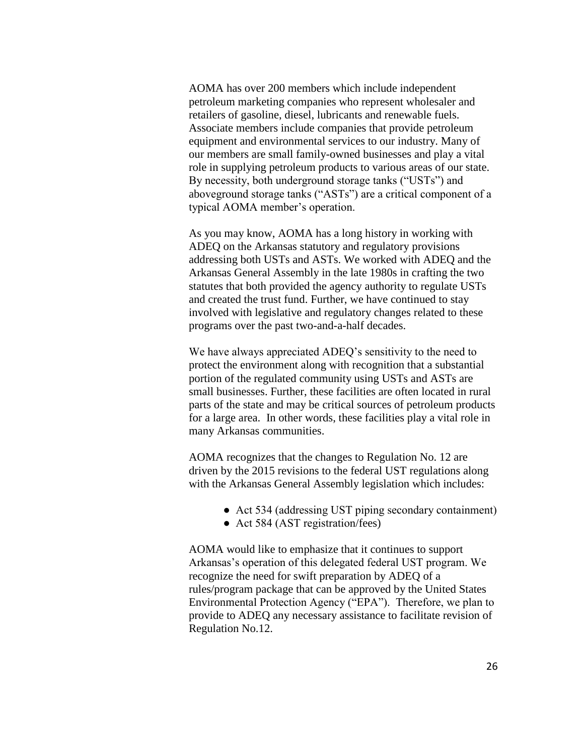AOMA has over 200 members which include independent petroleum marketing companies who represent wholesaler and retailers of gasoline, diesel, lubricants and renewable fuels. Associate members include companies that provide petroleum equipment and environmental services to our industry. Many of our members are small family-owned businesses and play a vital role in supplying petroleum products to various areas of our state. By necessity, both underground storage tanks ("USTs") and aboveground storage tanks ("ASTs") are a critical component of a typical AOMA member's operation.

As you may know, AOMA has a long history in working with ADEQ on the Arkansas statutory and regulatory provisions addressing both USTs and ASTs. We worked with ADEQ and the Arkansas General Assembly in the late 1980s in crafting the two statutes that both provided the agency authority to regulate USTs and created the trust fund. Further, we have continued to stay involved with legislative and regulatory changes related to these programs over the past two-and-a-half decades.

We have always appreciated ADEQ's sensitivity to the need to protect the environment along with recognition that a substantial portion of the regulated community using USTs and ASTs are small businesses. Further, these facilities are often located in rural parts of the state and may be critical sources of petroleum products for a large area. In other words, these facilities play a vital role in many Arkansas communities.

AOMA recognizes that the changes to Regulation No. 12 are driven by the 2015 revisions to the federal UST regulations along with the Arkansas General Assembly legislation which includes:

- Act 534 (addressing UST piping secondary containment)
- Act 584 (AST registration/fees)

AOMA would like to emphasize that it continues to support Arkansas's operation of this delegated federal UST program. We recognize the need for swift preparation by ADEQ of a rules/program package that can be approved by the United States Environmental Protection Agency ("EPA"). Therefore, we plan to provide to ADEQ any necessary assistance to facilitate revision of Regulation No.12.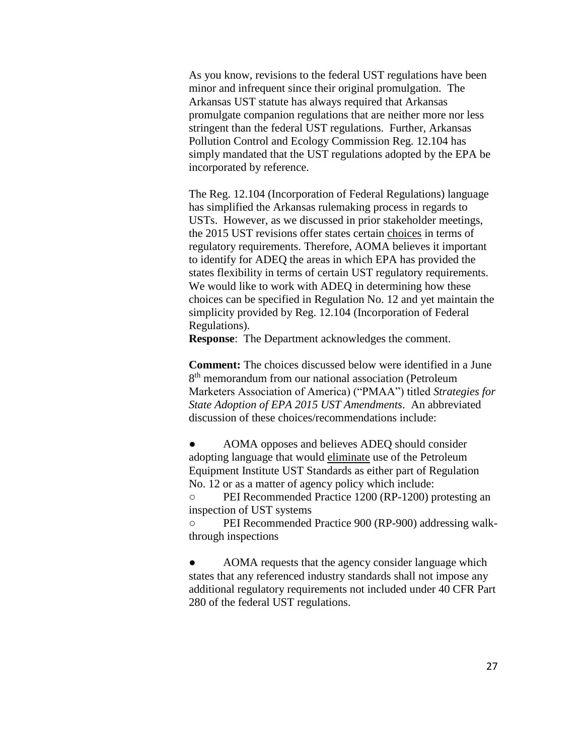As you know, revisions to the federal UST regulations have been minor and infrequent since their original promulgation. The Arkansas UST statute has always required that Arkansas promulgate companion regulations that are neither more nor less stringent than the federal UST regulations. Further, Arkansas Pollution Control and Ecology Commission Reg. 12.104 has simply mandated that the UST regulations adopted by the EPA be incorporated by reference.

The Reg. 12.104 (Incorporation of Federal Regulations) language has simplified the Arkansas rulemaking process in regards to USTs. However, as we discussed in prior stakeholder meetings, the 2015 UST revisions offer states certain choices in terms of regulatory requirements. Therefore, AOMA believes it important to identify for ADEQ the areas in which EPA has provided the states flexibility in terms of certain UST regulatory requirements. We would like to work with ADEQ in determining how these choices can be specified in Regulation No. 12 and yet maintain the simplicity provided by Reg. 12.104 (Incorporation of Federal Regulations).

**Response**: The Department acknowledges the comment.

**Comment:** The choices discussed below were identified in a June 8<sup>th</sup> memorandum from our national association (Petroleum Marketers Association of America) ("PMAA") titled *Strategies for State Adoption of EPA 2015 UST Amendments*. An abbreviated discussion of these choices/recommendations include:

AOMA opposes and believes ADEQ should consider adopting language that would eliminate use of the Petroleum Equipment Institute UST Standards as either part of Regulation No. 12 or as a matter of agency policy which include:

○ PEI Recommended Practice 1200 (RP-1200) protesting an inspection of UST systems

○ PEI Recommended Practice 900 (RP-900) addressing walkthrough inspections

AOMA requests that the agency consider language which states that any referenced industry standards shall not impose any additional regulatory requirements not included under 40 CFR Part 280 of the federal UST regulations.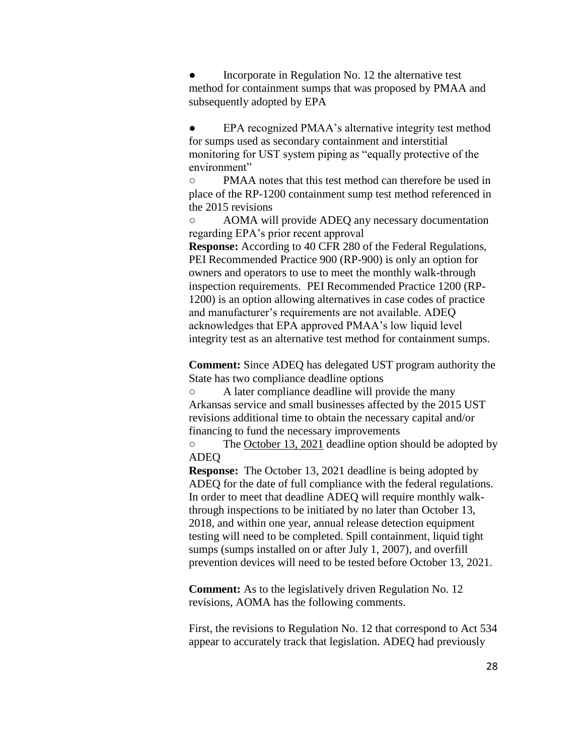Incorporate in Regulation No. 12 the alternative test method for containment sumps that was proposed by PMAA and subsequently adopted by EPA

• EPA recognized PMAA's alternative integrity test method for sumps used as secondary containment and interstitial monitoring for UST system piping as "equally protective of the environment"

○ PMAA notes that this test method can therefore be used in place of the RP-1200 containment sump test method referenced in the 2015 revisions

AOMA will provide ADEQ any necessary documentation regarding EPA's prior recent approval

**Response:** According to 40 CFR 280 of the Federal Regulations, PEI Recommended Practice 900 (RP-900) is only an option for owners and operators to use to meet the monthly walk-through inspection requirements. PEI Recommended Practice 1200 (RP-1200) is an option allowing alternatives in case codes of practice and manufacturer's requirements are not available. ADEQ acknowledges that EPA approved PMAA's low liquid level integrity test as an alternative test method for containment sumps.

**Comment:** Since ADEQ has delegated UST program authority the State has two compliance deadline options

○ A later compliance deadline will provide the many Arkansas service and small businesses affected by the 2015 UST revisions additional time to obtain the necessary capital and/or financing to fund the necessary improvements

○ The <u>October 13, 2021</u> deadline option should be adopted by ADEQ

**Response:** The October 13, 2021 deadline is being adopted by ADEQ for the date of full compliance with the federal regulations. In order to meet that deadline ADEQ will require monthly walkthrough inspections to be initiated by no later than October 13, 2018, and within one year, annual release detection equipment testing will need to be completed. Spill containment, liquid tight sumps (sumps installed on or after July 1, 2007), and overfill prevention devices will need to be tested before October 13, 2021.

**Comment:** As to the legislatively driven Regulation No. 12 revisions, AOMA has the following comments.

First, the revisions to Regulation No. 12 that correspond to Act 534 appear to accurately track that legislation. ADEQ had previously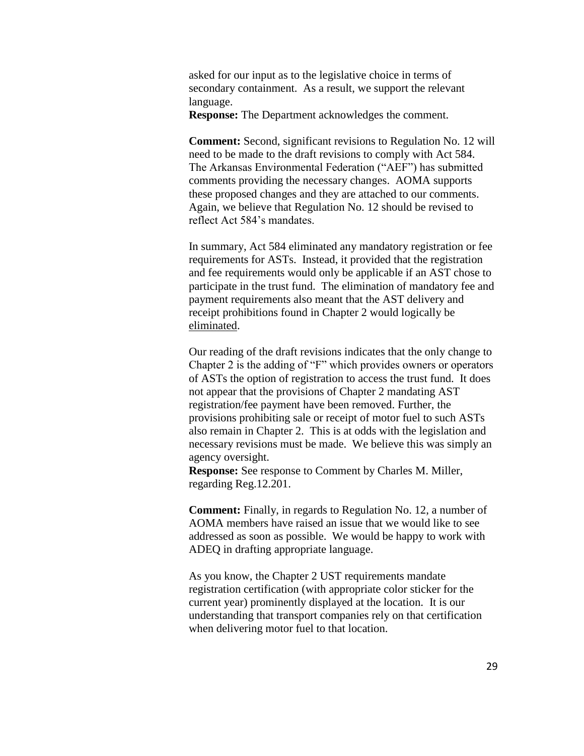asked for our input as to the legislative choice in terms of secondary containment. As a result, we support the relevant language.

**Response:** The Department acknowledges the comment.

**Comment:** Second, significant revisions to Regulation No. 12 will need to be made to the draft revisions to comply with Act 584. The Arkansas Environmental Federation ("AEF") has submitted comments providing the necessary changes. AOMA supports these proposed changes and they are attached to our comments. Again, we believe that Regulation No. 12 should be revised to reflect Act 584's mandates.

In summary, Act 584 eliminated any mandatory registration or fee requirements for ASTs. Instead, it provided that the registration and fee requirements would only be applicable if an AST chose to participate in the trust fund. The elimination of mandatory fee and payment requirements also meant that the AST delivery and receipt prohibitions found in Chapter 2 would logically be eliminated.

Our reading of the draft revisions indicates that the only change to Chapter 2 is the adding of "F" which provides owners or operators of ASTs the option of registration to access the trust fund. It does not appear that the provisions of Chapter 2 mandating AST registration/fee payment have been removed. Further, the provisions prohibiting sale or receipt of motor fuel to such ASTs also remain in Chapter 2. This is at odds with the legislation and necessary revisions must be made. We believe this was simply an agency oversight.

**Response:** See response to Comment by Charles M. Miller, regarding Reg.12.201.

**Comment:** Finally, in regards to Regulation No. 12, a number of AOMA members have raised an issue that we would like to see addressed as soon as possible. We would be happy to work with ADEQ in drafting appropriate language.

As you know, the Chapter 2 UST requirements mandate registration certification (with appropriate color sticker for the current year) prominently displayed at the location. It is our understanding that transport companies rely on that certification when delivering motor fuel to that location.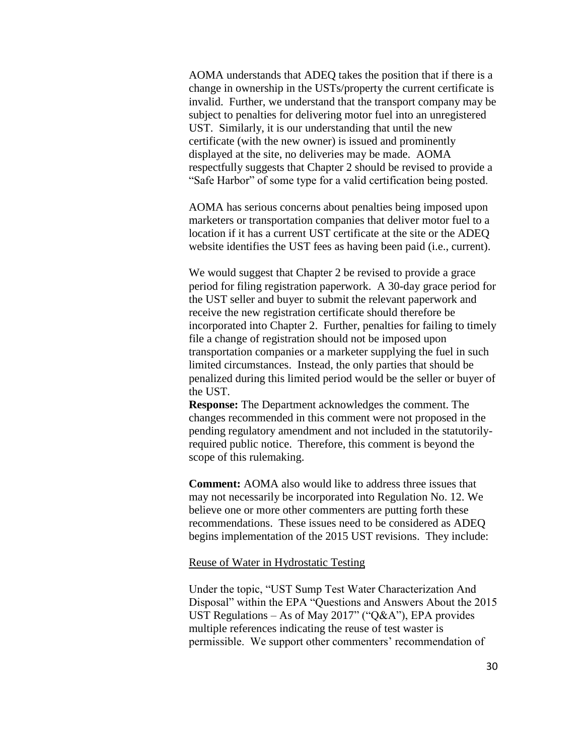AOMA understands that ADEQ takes the position that if there is a change in ownership in the USTs/property the current certificate is invalid. Further, we understand that the transport company may be subject to penalties for delivering motor fuel into an unregistered UST. Similarly, it is our understanding that until the new certificate (with the new owner) is issued and prominently displayed at the site, no deliveries may be made. AOMA respectfully suggests that Chapter 2 should be revised to provide a "Safe Harbor" of some type for a valid certification being posted.

AOMA has serious concerns about penalties being imposed upon marketers or transportation companies that deliver motor fuel to a location if it has a current UST certificate at the site or the ADEQ website identifies the UST fees as having been paid (i.e., current).

We would suggest that Chapter 2 be revised to provide a grace period for filing registration paperwork. A 30-day grace period for the UST seller and buyer to submit the relevant paperwork and receive the new registration certificate should therefore be incorporated into Chapter 2. Further, penalties for failing to timely file a change of registration should not be imposed upon transportation companies or a marketer supplying the fuel in such limited circumstances. Instead, the only parties that should be penalized during this limited period would be the seller or buyer of the UST.

**Response:** The Department acknowledges the comment. The changes recommended in this comment were not proposed in the pending regulatory amendment and not included in the statutorilyrequired public notice. Therefore, this comment is beyond the scope of this rulemaking.

**Comment:** AOMA also would like to address three issues that may not necessarily be incorporated into Regulation No. 12. We believe one or more other commenters are putting forth these recommendations. These issues need to be considered as ADEQ begins implementation of the 2015 UST revisions. They include:

#### Reuse of Water in Hydrostatic Testing

Under the topic, "UST Sump Test Water Characterization And Disposal" within the EPA "Questions and Answers About the 2015 UST Regulations – As of May 2017" ("Q&A"), EPA provides multiple references indicating the reuse of test waster is permissible. We support other commenters' recommendation of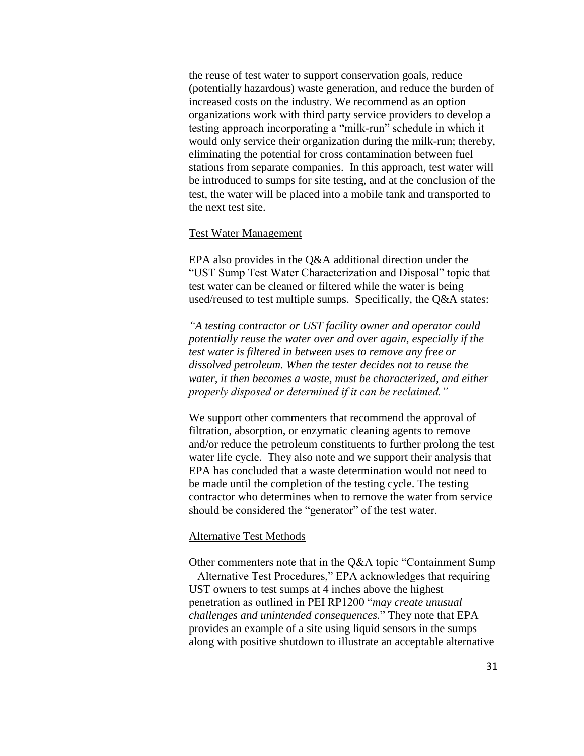the reuse of test water to support conservation goals, reduce (potentially hazardous) waste generation, and reduce the burden of increased costs on the industry. We recommend as an option organizations work with third party service providers to develop a testing approach incorporating a "milk-run" schedule in which it would only service their organization during the milk-run; thereby, eliminating the potential for cross contamination between fuel stations from separate companies. In this approach, test water will be introduced to sumps for site testing, and at the conclusion of the test, the water will be placed into a mobile tank and transported to the next test site.

#### Test Water Management

EPA also provides in the Q&A additional direction under the "UST Sump Test Water Characterization and Disposal" topic that test water can be cleaned or filtered while the water is being used/reused to test multiple sumps. Specifically, the Q&A states:

*"A testing contractor or UST facility owner and operator could potentially reuse the water over and over again, especially if the test water is filtered in between uses to remove any free or dissolved petroleum. When the tester decides not to reuse the water, it then becomes a waste, must be characterized, and either properly disposed or determined if it can be reclaimed."*

We support other commenters that recommend the approval of filtration, absorption, or enzymatic cleaning agents to remove and/or reduce the petroleum constituents to further prolong the test water life cycle. They also note and we support their analysis that EPA has concluded that a waste determination would not need to be made until the completion of the testing cycle. The testing contractor who determines when to remove the water from service should be considered the "generator" of the test water.

#### Alternative Test Methods

Other commenters note that in the Q&A topic "Containment Sump – Alternative Test Procedures," EPA acknowledges that requiring UST owners to test sumps at 4 inches above the highest penetration as outlined in PEI RP1200 "*may create unusual challenges and unintended consequences.*" They note that EPA provides an example of a site using liquid sensors in the sumps along with positive shutdown to illustrate an acceptable alternative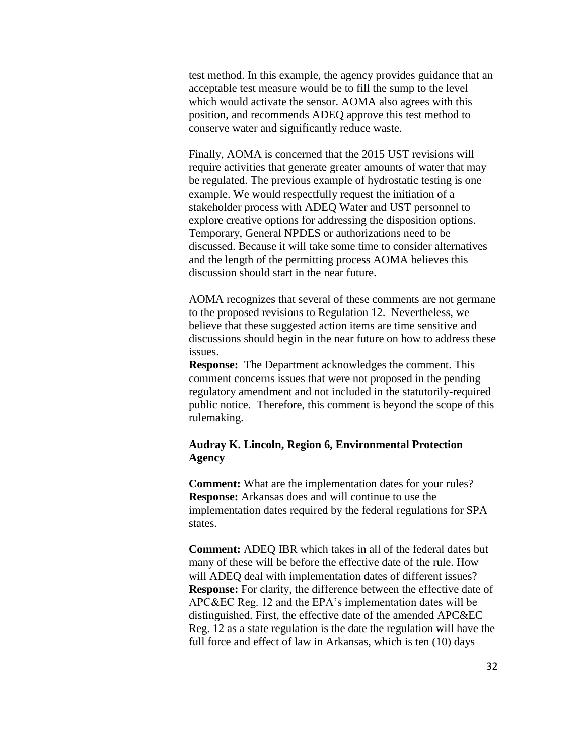test method. In this example, the agency provides guidance that an acceptable test measure would be to fill the sump to the level which would activate the sensor. AOMA also agrees with this position, and recommends ADEQ approve this test method to conserve water and significantly reduce waste.

Finally, AOMA is concerned that the 2015 UST revisions will require activities that generate greater amounts of water that may be regulated. The previous example of hydrostatic testing is one example. We would respectfully request the initiation of a stakeholder process with ADEQ Water and UST personnel to explore creative options for addressing the disposition options. Temporary, General NPDES or authorizations need to be discussed. Because it will take some time to consider alternatives and the length of the permitting process AOMA believes this discussion should start in the near future.

AOMA recognizes that several of these comments are not germane to the proposed revisions to Regulation 12. Nevertheless, we believe that these suggested action items are time sensitive and discussions should begin in the near future on how to address these issues.

**Response:** The Department acknowledges the comment. This comment concerns issues that were not proposed in the pending regulatory amendment and not included in the statutorily-required public notice. Therefore, this comment is beyond the scope of this rulemaking.

### **Audray K. Lincoln, Region 6, Environmental Protection Agency**

**Comment:** What are the implementation dates for your rules? **Response:** Arkansas does and will continue to use the implementation dates required by the federal regulations for SPA states.

**Comment:** ADEQ IBR which takes in all of the federal dates but many of these will be before the effective date of the rule. How will ADEQ deal with implementation dates of different issues? **Response:** For clarity, the difference between the effective date of APC&EC Reg. 12 and the EPA's implementation dates will be distinguished. First, the effective date of the amended APC&EC Reg. 12 as a state regulation is the date the regulation will have the full force and effect of law in Arkansas, which is ten (10) days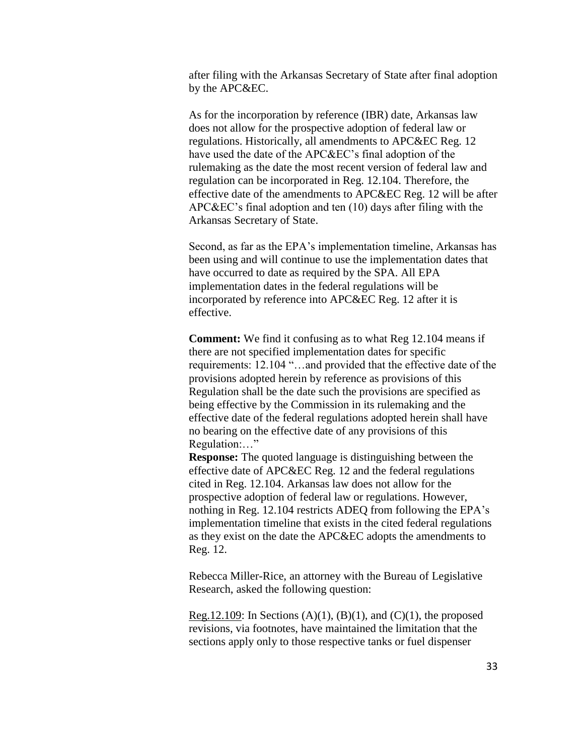after filing with the Arkansas Secretary of State after final adoption by the APC&EC.

As for the incorporation by reference (IBR) date, Arkansas law does not allow for the prospective adoption of federal law or regulations. Historically, all amendments to APC&EC Reg. 12 have used the date of the APC&EC's final adoption of the rulemaking as the date the most recent version of federal law and regulation can be incorporated in Reg. 12.104. Therefore, the effective date of the amendments to APC&EC Reg. 12 will be after APC&EC's final adoption and ten (10) days after filing with the Arkansas Secretary of State.

Second, as far as the EPA's implementation timeline, Arkansas has been using and will continue to use the implementation dates that have occurred to date as required by the SPA. All EPA implementation dates in the federal regulations will be incorporated by reference into APC&EC Reg. 12 after it is effective.

**Comment:** We find it confusing as to what Reg 12.104 means if there are not specified implementation dates for specific requirements: 12.104 "…and provided that the effective date of the provisions adopted herein by reference as provisions of this Regulation shall be the date such the provisions are specified as being effective by the Commission in its rulemaking and the effective date of the federal regulations adopted herein shall have no bearing on the effective date of any provisions of this Regulation:…"

**Response:** The quoted language is distinguishing between the effective date of APC&EC Reg. 12 and the federal regulations cited in Reg. 12.104. Arkansas law does not allow for the prospective adoption of federal law or regulations. However, nothing in Reg. 12.104 restricts ADEQ from following the EPA's implementation timeline that exists in the cited federal regulations as they exist on the date the APC&EC adopts the amendments to Reg. 12.

Rebecca Miller-Rice, an attorney with the Bureau of Legislative Research, asked the following question:

Reg.12.109: In Sections  $(A)(1)$ ,  $(B)(1)$ , and  $(C)(1)$ , the proposed revisions, via footnotes, have maintained the limitation that the sections apply only to those respective tanks or fuel dispenser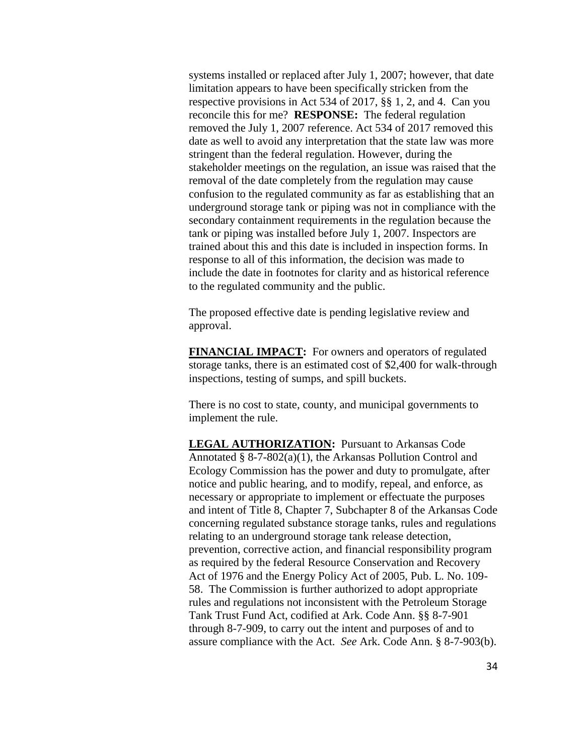systems installed or replaced after July 1, 2007; however, that date limitation appears to have been specifically stricken from the respective provisions in Act 534 of 2017, §§ 1, 2, and 4. Can you reconcile this for me? **RESPONSE:** The federal regulation removed the July 1, 2007 reference. Act 534 of 2017 removed this date as well to avoid any interpretation that the state law was more stringent than the federal regulation. However, during the stakeholder meetings on the regulation, an issue was raised that the removal of the date completely from the regulation may cause confusion to the regulated community as far as establishing that an underground storage tank or piping was not in compliance with the secondary containment requirements in the regulation because the tank or piping was installed before July 1, 2007. Inspectors are trained about this and this date is included in inspection forms. In response to all of this information, the decision was made to include the date in footnotes for clarity and as historical reference to the regulated community and the public.

The proposed effective date is pending legislative review and approval.

**FINANCIAL IMPACT:** For owners and operators of regulated storage tanks, there is an estimated cost of \$2,400 for walk-through inspections, testing of sumps, and spill buckets.

There is no cost to state, county, and municipal governments to implement the rule.

**LEGAL AUTHORIZATION:** Pursuant to Arkansas Code Annotated § 8-7-802(a)(1), the Arkansas Pollution Control and Ecology Commission has the power and duty to promulgate, after notice and public hearing, and to modify, repeal, and enforce, as necessary or appropriate to implement or effectuate the purposes and intent of Title 8, Chapter 7, Subchapter 8 of the Arkansas Code concerning regulated substance storage tanks, rules and regulations relating to an underground storage tank release detection, prevention, corrective action, and financial responsibility program as required by the federal Resource Conservation and Recovery Act of 1976 and the Energy Policy Act of 2005, Pub. L. No. 109- 58. The Commission is further authorized to adopt appropriate rules and regulations not inconsistent with the Petroleum Storage Tank Trust Fund Act, codified at Ark. Code Ann. §§ 8-7-901 through 8-7-909, to carry out the intent and purposes of and to assure compliance with the Act. *See* Ark. Code Ann. § 8-7-903(b).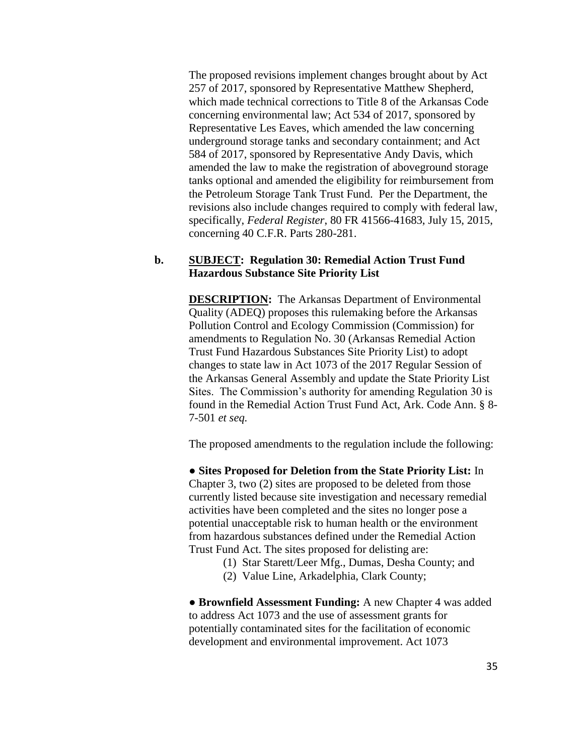The proposed revisions implement changes brought about by Act 257 of 2017, sponsored by Representative Matthew Shepherd, which made technical corrections to Title 8 of the Arkansas Code concerning environmental law; Act 534 of 2017, sponsored by Representative Les Eaves, which amended the law concerning underground storage tanks and secondary containment; and Act 584 of 2017, sponsored by Representative Andy Davis, which amended the law to make the registration of aboveground storage tanks optional and amended the eligibility for reimbursement from the Petroleum Storage Tank Trust Fund. Per the Department, the revisions also include changes required to comply with federal law, specifically, *Federal Register*, 80 FR 41566-41683, July 15, 2015, concerning 40 C.F.R. Parts 280-281.

# **b. SUBJECT: Regulation 30: Remedial Action Trust Fund Hazardous Substance Site Priority List**

**DESCRIPTION:** The Arkansas Department of Environmental Quality (ADEQ) proposes this rulemaking before the Arkansas Pollution Control and Ecology Commission (Commission) for amendments to Regulation No. 30 (Arkansas Remedial Action Trust Fund Hazardous Substances Site Priority List) to adopt changes to state law in Act 1073 of the 2017 Regular Session of the Arkansas General Assembly and update the State Priority List Sites. The Commission's authority for amending Regulation 30 is found in the Remedial Action Trust Fund Act, Ark. Code Ann. § 8- 7-501 *et seq.*

The proposed amendments to the regulation include the following:

● **Sites Proposed for Deletion from the State Priority List:** In Chapter 3, two (2) sites are proposed to be deleted from those currently listed because site investigation and necessary remedial activities have been completed and the sites no longer pose a potential unacceptable risk to human health or the environment from hazardous substances defined under the Remedial Action Trust Fund Act. The sites proposed for delisting are:

- (1) Star Starett/Leer Mfg., Dumas, Desha County; and
- (2) Value Line, Arkadelphia, Clark County;

● **Brownfield Assessment Funding:** A new Chapter 4 was added to address Act 1073 and the use of assessment grants for potentially contaminated sites for the facilitation of economic development and environmental improvement. Act 1073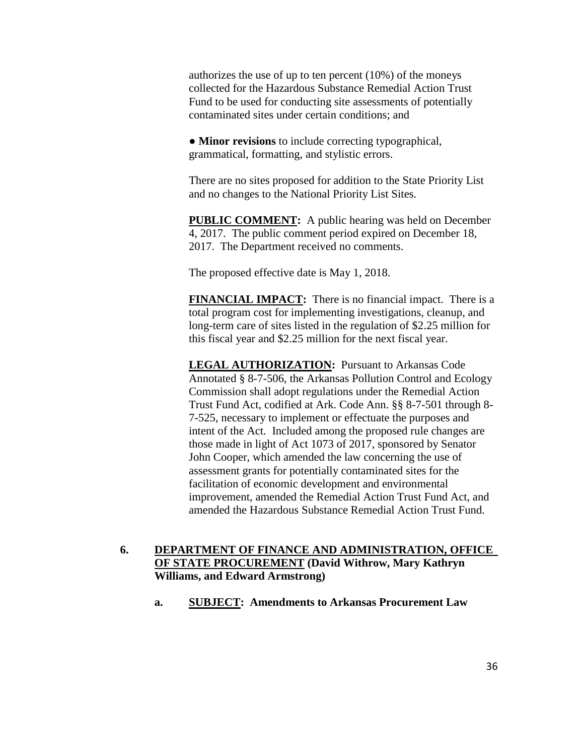authorizes the use of up to ten percent (10%) of the moneys collected for the Hazardous Substance Remedial Action Trust Fund to be used for conducting site assessments of potentially contaminated sites under certain conditions; and

● **Minor revisions** to include correcting typographical, grammatical, formatting, and stylistic errors.

There are no sites proposed for addition to the State Priority List and no changes to the National Priority List Sites.

**PUBLIC COMMENT:** A public hearing was held on December 4, 2017. The public comment period expired on December 18, 2017. The Department received no comments.

The proposed effective date is May 1, 2018.

**FINANCIAL IMPACT:** There is no financial impact. There is a total program cost for implementing investigations, cleanup, and long-term care of sites listed in the regulation of \$2.25 million for this fiscal year and \$2.25 million for the next fiscal year.

**LEGAL AUTHORIZATION:** Pursuant to Arkansas Code Annotated § 8-7-506, the Arkansas Pollution Control and Ecology Commission shall adopt regulations under the Remedial Action Trust Fund Act, codified at Ark. Code Ann. §§ 8-7-501 through 8- 7-525, necessary to implement or effectuate the purposes and intent of the Act. Included among the proposed rule changes are those made in light of Act 1073 of 2017, sponsored by Senator John Cooper, which amended the law concerning the use of assessment grants for potentially contaminated sites for the facilitation of economic development and environmental improvement, amended the Remedial Action Trust Fund Act, and amended the Hazardous Substance Remedial Action Trust Fund.

# **6. DEPARTMENT OF FINANCE AND ADMINISTRATION, OFFICE OF STATE PROCUREMENT (David Withrow, Mary Kathryn Williams, and Edward Armstrong)**

**a. SUBJECT: Amendments to Arkansas Procurement Law**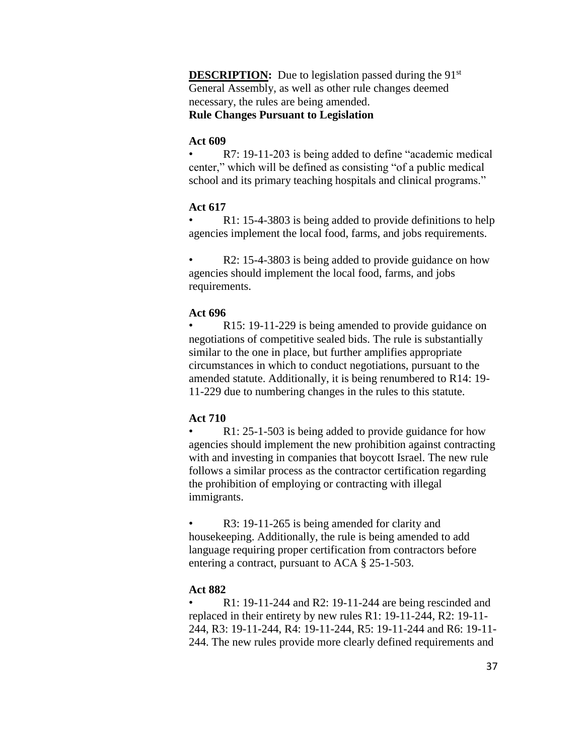**DESCRIPTION:** Due to legislation passed during the 91<sup>st</sup> General Assembly, as well as other rule changes deemed necessary, the rules are being amended. **Rule Changes Pursuant to Legislation**

#### **Act 609**

• R7: 19-11-203 is being added to define "academic medical center," which will be defined as consisting "of a public medical school and its primary teaching hospitals and clinical programs."

#### **Act 617**

R1: 15-4-3803 is being added to provide definitions to help agencies implement the local food, farms, and jobs requirements.

R2: 15-4-3803 is being added to provide guidance on how agencies should implement the local food, farms, and jobs requirements.

#### **Act 696**

R15: 19-11-229 is being amended to provide guidance on negotiations of competitive sealed bids. The rule is substantially similar to the one in place, but further amplifies appropriate circumstances in which to conduct negotiations, pursuant to the amended statute. Additionally, it is being renumbered to R14: 19- 11-229 due to numbering changes in the rules to this statute.

#### **Act 710**

R1: 25-1-503 is being added to provide guidance for how agencies should implement the new prohibition against contracting with and investing in companies that boycott Israel. The new rule follows a similar process as the contractor certification regarding the prohibition of employing or contracting with illegal immigrants.

R3: 19-11-265 is being amended for clarity and housekeeping. Additionally, the rule is being amended to add language requiring proper certification from contractors before entering a contract, pursuant to ACA § 25-1-503.

#### **Act 882**

• R1: 19-11-244 and R2: 19-11-244 are being rescinded and replaced in their entirety by new rules R1: 19-11-244, R2: 19-11- 244, R3: 19-11-244, R4: 19-11-244, R5: 19-11-244 and R6: 19-11- 244. The new rules provide more clearly defined requirements and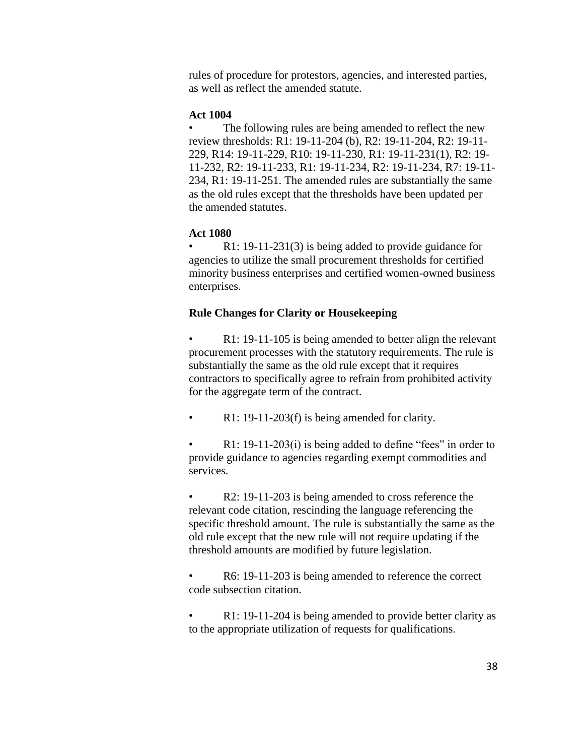rules of procedure for protestors, agencies, and interested parties, as well as reflect the amended statute.

#### **Act 1004**

• The following rules are being amended to reflect the new review thresholds: R1: 19-11-204 (b), R2: 19-11-204, R2: 19-11- 229, R14: 19-11-229, R10: 19-11-230, R1: 19-11-231(1), R2: 19- 11-232, R2: 19-11-233, R1: 19-11-234, R2: 19-11-234, R7: 19-11- 234, R1: 19-11-251. The amended rules are substantially the same as the old rules except that the thresholds have been updated per the amended statutes.

#### **Act 1080**

R1: 19-11-231(3) is being added to provide guidance for agencies to utilize the small procurement thresholds for certified minority business enterprises and certified women-owned business enterprises.

#### **Rule Changes for Clarity or Housekeeping**

R1: 19-11-105 is being amended to better align the relevant procurement processes with the statutory requirements. The rule is substantially the same as the old rule except that it requires contractors to specifically agree to refrain from prohibited activity for the aggregate term of the contract.

R1: 19-11-203(f) is being amended for clarity.

R1: 19-11-203(i) is being added to define "fees" in order to provide guidance to agencies regarding exempt commodities and services.

R2: 19-11-203 is being amended to cross reference the relevant code citation, rescinding the language referencing the specific threshold amount. The rule is substantially the same as the old rule except that the new rule will not require updating if the threshold amounts are modified by future legislation.

R6: 19-11-203 is being amended to reference the correct code subsection citation.

R1: 19-11-204 is being amended to provide better clarity as to the appropriate utilization of requests for qualifications.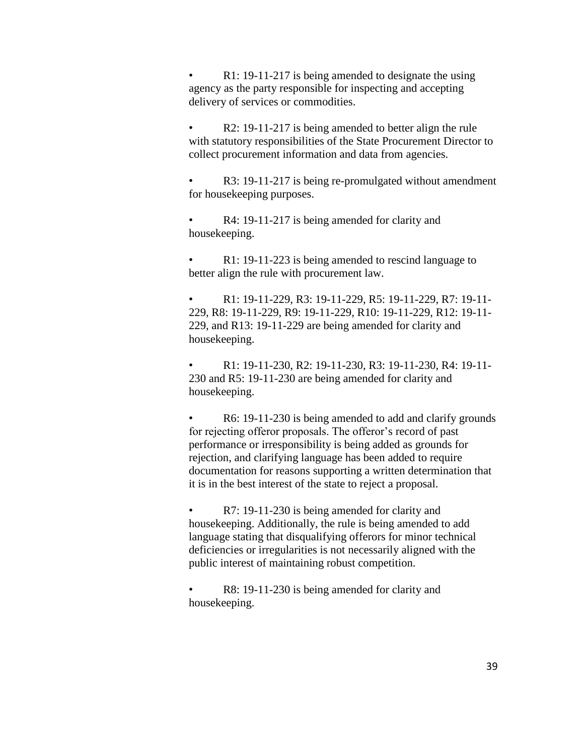R1: 19-11-217 is being amended to designate the using agency as the party responsible for inspecting and accepting delivery of services or commodities.

• R2: 19-11-217 is being amended to better align the rule with statutory responsibilities of the State Procurement Director to collect procurement information and data from agencies.

R3: 19-11-217 is being re-promulgated without amendment for housekeeping purposes.

R4: 19-11-217 is being amended for clarity and housekeeping.

R1: 19-11-223 is being amended to rescind language to better align the rule with procurement law.

• R1: 19-11-229, R3: 19-11-229, R5: 19-11-229, R7: 19-11- 229, R8: 19-11-229, R9: 19-11-229, R10: 19-11-229, R12: 19-11- 229, and R13: 19-11-229 are being amended for clarity and housekeeping.

• R1: 19-11-230, R2: 19-11-230, R3: 19-11-230, R4: 19-11-230 and R5: 19-11-230 are being amended for clarity and housekeeping.

R6: 19-11-230 is being amended to add and clarify grounds for rejecting offeror proposals. The offeror's record of past performance or irresponsibility is being added as grounds for rejection, and clarifying language has been added to require documentation for reasons supporting a written determination that it is in the best interest of the state to reject a proposal.

• R7: 19-11-230 is being amended for clarity and housekeeping. Additionally, the rule is being amended to add language stating that disqualifying offerors for minor technical deficiencies or irregularities is not necessarily aligned with the public interest of maintaining robust competition.

R8: 19-11-230 is being amended for clarity and housekeeping.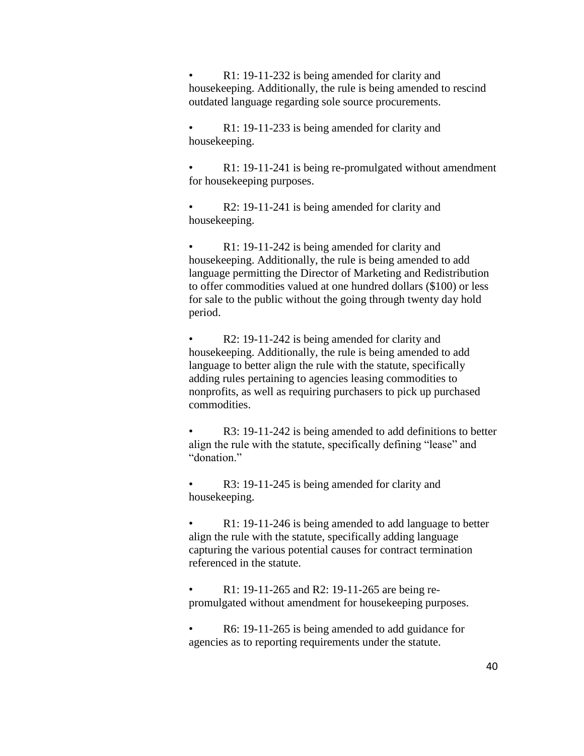R1: 19-11-232 is being amended for clarity and housekeeping. Additionally, the rule is being amended to rescind outdated language regarding sole source procurements.

R1: 19-11-233 is being amended for clarity and housekeeping.

R1: 19-11-241 is being re-promulgated without amendment for housekeeping purposes.

• R2: 19-11-241 is being amended for clarity and housekeeping.

R1: 19-11-242 is being amended for clarity and housekeeping. Additionally, the rule is being amended to add language permitting the Director of Marketing and Redistribution to offer commodities valued at one hundred dollars (\$100) or less for sale to the public without the going through twenty day hold period.

R2: 19-11-242 is being amended for clarity and housekeeping. Additionally, the rule is being amended to add language to better align the rule with the statute, specifically adding rules pertaining to agencies leasing commodities to nonprofits, as well as requiring purchasers to pick up purchased commodities.

R3: 19-11-242 is being amended to add definitions to better align the rule with the statute, specifically defining "lease" and "donation."

R3: 19-11-245 is being amended for clarity and housekeeping.

R1: 19-11-246 is being amended to add language to better align the rule with the statute, specifically adding language capturing the various potential causes for contract termination referenced in the statute.

• R1: 19-11-265 and R2: 19-11-265 are being repromulgated without amendment for housekeeping purposes.

• R6: 19-11-265 is being amended to add guidance for agencies as to reporting requirements under the statute.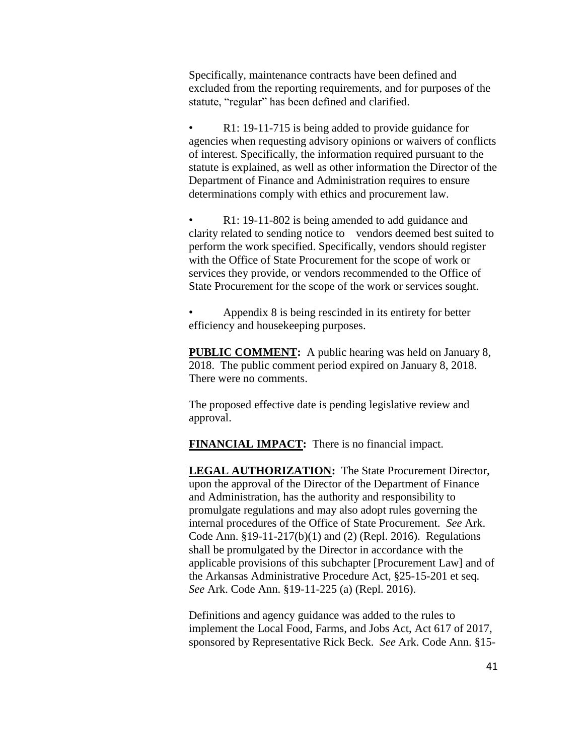Specifically, maintenance contracts have been defined and excluded from the reporting requirements, and for purposes of the statute, "regular" has been defined and clarified.

R1: 19-11-715 is being added to provide guidance for agencies when requesting advisory opinions or waivers of conflicts of interest. Specifically, the information required pursuant to the statute is explained, as well as other information the Director of the Department of Finance and Administration requires to ensure determinations comply with ethics and procurement law.

R1: 19-11-802 is being amended to add guidance and clarity related to sending notice to vendors deemed best suited to perform the work specified. Specifically, vendors should register with the Office of State Procurement for the scope of work or services they provide, or vendors recommended to the Office of State Procurement for the scope of the work or services sought.

• Appendix 8 is being rescinded in its entirety for better efficiency and housekeeping purposes.

**PUBLIC COMMENT:** A public hearing was held on January 8, 2018. The public comment period expired on January 8, 2018. There were no comments.

The proposed effective date is pending legislative review and approval.

**FINANCIAL IMPACT:** There is no financial impact.

**LEGAL AUTHORIZATION:** The State Procurement Director, upon the approval of the Director of the Department of Finance and Administration, has the authority and responsibility to promulgate regulations and may also adopt rules governing the internal procedures of the Office of State Procurement. *See* Ark. Code Ann. §19-11-217(b)(1) and (2) (Repl. 2016). Regulations shall be promulgated by the Director in accordance with the applicable provisions of this subchapter [Procurement Law] and of the Arkansas Administrative Procedure Act, §25-15-201 et seq. *See* Ark. Code Ann. §19-11-225 (a) (Repl. 2016).

Definitions and agency guidance was added to the rules to implement the Local Food, Farms, and Jobs Act, Act 617 of 2017, sponsored by Representative Rick Beck. *See* Ark. Code Ann. §15-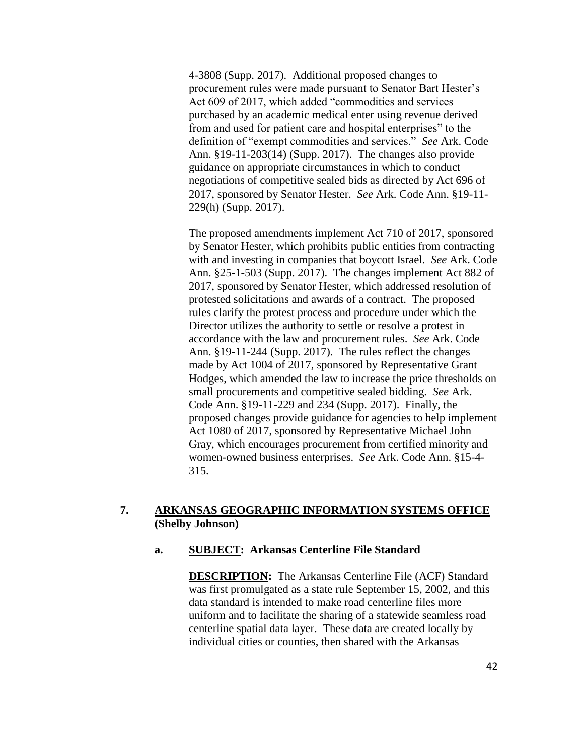4-3808 (Supp. 2017). Additional proposed changes to procurement rules were made pursuant to Senator Bart Hester's Act 609 of 2017, which added "commodities and services purchased by an academic medical enter using revenue derived from and used for patient care and hospital enterprises" to the definition of "exempt commodities and services." *See* Ark. Code Ann. §19-11-203(14) (Supp. 2017). The changes also provide guidance on appropriate circumstances in which to conduct negotiations of competitive sealed bids as directed by Act 696 of 2017, sponsored by Senator Hester. *See* Ark. Code Ann. §19-11- 229(h) (Supp. 2017).

The proposed amendments implement Act 710 of 2017, sponsored by Senator Hester, which prohibits public entities from contracting with and investing in companies that boycott Israel. *See* Ark. Code Ann. §25-1-503 (Supp. 2017). The changes implement Act 882 of 2017, sponsored by Senator Hester, which addressed resolution of protested solicitations and awards of a contract. The proposed rules clarify the protest process and procedure under which the Director utilizes the authority to settle or resolve a protest in accordance with the law and procurement rules. *See* Ark. Code Ann. §19-11-244 (Supp. 2017). The rules reflect the changes made by Act 1004 of 2017, sponsored by Representative Grant Hodges, which amended the law to increase the price thresholds on small procurements and competitive sealed bidding. *See* Ark. Code Ann. §19-11-229 and 234 (Supp. 2017). Finally, the proposed changes provide guidance for agencies to help implement Act 1080 of 2017, sponsored by Representative Michael John Gray, which encourages procurement from certified minority and women-owned business enterprises. *See* Ark. Code Ann. §15-4- 315.

# **7. ARKANSAS GEOGRAPHIC INFORMATION SYSTEMS OFFICE (Shelby Johnson)**

#### **a. SUBJECT: Arkansas Centerline File Standard**

**DESCRIPTION:** The Arkansas Centerline File (ACF) Standard was first promulgated as a state rule September 15, 2002, and this data standard is intended to make road centerline files more uniform and to facilitate the sharing of a statewide seamless road centerline spatial data layer. These data are created locally by individual cities or counties, then shared with the Arkansas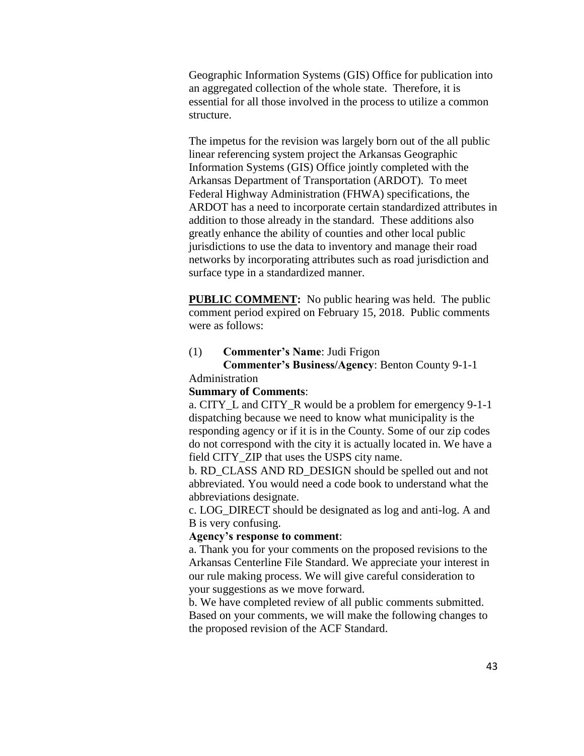Geographic Information Systems (GIS) Office for publication into an aggregated collection of the whole state. Therefore, it is essential for all those involved in the process to utilize a common structure.

The impetus for the revision was largely born out of the all public linear referencing system project the Arkansas Geographic Information Systems (GIS) Office jointly completed with the Arkansas Department of Transportation (ARDOT). To meet Federal Highway Administration (FHWA) specifications, the ARDOT has a need to incorporate certain standardized attributes in addition to those already in the standard. These additions also greatly enhance the ability of counties and other local public jurisdictions to use the data to inventory and manage their road networks by incorporating attributes such as road jurisdiction and surface type in a standardized manner.

**PUBLIC COMMENT:** No public hearing was held. The public comment period expired on February 15, 2018. Public comments were as follows:

#### (1) **Commenter's Name**: Judi Frigon

## **Commenter's Business/Agency**: Benton County 9-1-1 Administration

#### **Summary of Comments**:

a. CITY\_L and CITY\_R would be a problem for emergency 9-1-1 dispatching because we need to know what municipality is the responding agency or if it is in the County. Some of our zip codes do not correspond with the city it is actually located in. We have a field CITY ZIP that uses the USPS city name.

b. RD\_CLASS AND RD\_DESIGN should be spelled out and not abbreviated. You would need a code book to understand what the abbreviations designate.

c. LOG\_DIRECT should be designated as log and anti-log. A and B is very confusing.

#### **Agency's response to comment**:

a. Thank you for your comments on the proposed revisions to the Arkansas Centerline File Standard. We appreciate your interest in our rule making process. We will give careful consideration to your suggestions as we move forward.

b. We have completed review of all public comments submitted. Based on your comments, we will make the following changes to the proposed revision of the ACF Standard.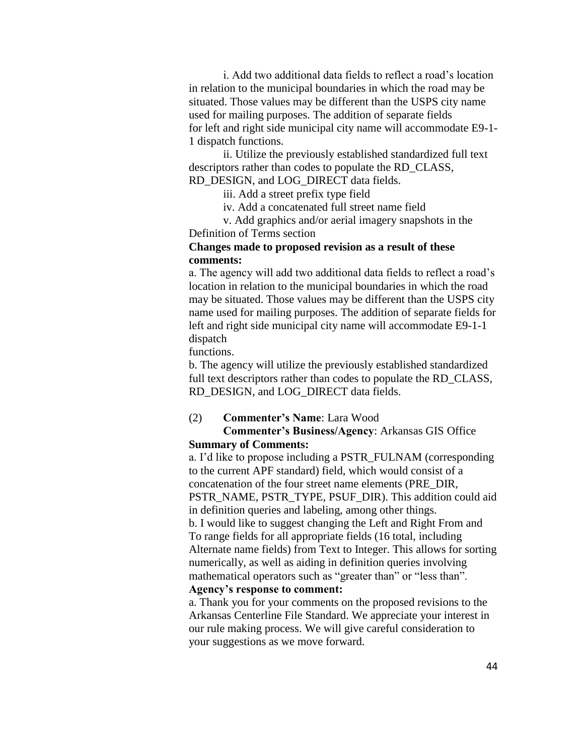i. Add two additional data fields to reflect a road's location in relation to the municipal boundaries in which the road may be situated. Those values may be different than the USPS city name used for mailing purposes. The addition of separate fields for left and right side municipal city name will accommodate E9-1- 1 dispatch functions.

ii. Utilize the previously established standardized full text descriptors rather than codes to populate the RD\_CLASS, RD\_DESIGN, and LOG\_DIRECT data fields.

iii. Add a street prefix type field

iv. Add a concatenated full street name field

v. Add graphics and/or aerial imagery snapshots in the Definition of Terms section

## **Changes made to proposed revision as a result of these comments:**

a. The agency will add two additional data fields to reflect a road's location in relation to the municipal boundaries in which the road may be situated. Those values may be different than the USPS city name used for mailing purposes. The addition of separate fields for left and right side municipal city name will accommodate E9-1-1 dispatch

functions.

b. The agency will utilize the previously established standardized full text descriptors rather than codes to populate the RD\_CLASS, RD\_DESIGN, and LOG\_DIRECT data fields.

#### (2) **Commenter's Name**: Lara Wood

## **Commenter's Business/Agency**: Arkansas GIS Office **Summary of Comments:**

a. I'd like to propose including a PSTR\_FULNAM (corresponding to the current APF standard) field, which would consist of a concatenation of the four street name elements (PRE\_DIR, PSTR\_NAME, PSTR\_TYPE, PSUF\_DIR). This addition could aid in definition queries and labeling, among other things. b. I would like to suggest changing the Left and Right From and To range fields for all appropriate fields (16 total, including Alternate name fields) from Text to Integer. This allows for sorting numerically, as well as aiding in definition queries involving mathematical operators such as "greater than" or "less than". **Agency's response to comment:**

a. Thank you for your comments on the proposed revisions to the Arkansas Centerline File Standard. We appreciate your interest in our rule making process. We will give careful consideration to your suggestions as we move forward.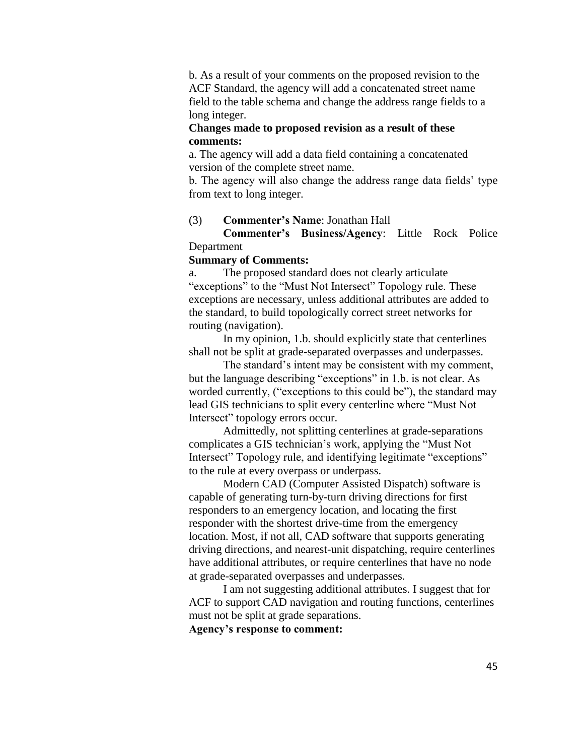b. As a result of your comments on the proposed revision to the ACF Standard, the agency will add a concatenated street name field to the table schema and change the address range fields to a long integer.

## **Changes made to proposed revision as a result of these comments:**

a. The agency will add a data field containing a concatenated version of the complete street name.

b. The agency will also change the address range data fields' type from text to long integer.

## (3) **Commenter's Name**: Jonathan Hall

**Commenter's Business/Agency**: Little Rock Police Department

#### **Summary of Comments:**

a. The proposed standard does not clearly articulate "exceptions" to the "Must Not Intersect" Topology rule. These exceptions are necessary, unless additional attributes are added to the standard, to build topologically correct street networks for routing (navigation).

In my opinion, 1.b. should explicitly state that centerlines shall not be split at grade-separated overpasses and underpasses.

The standard's intent may be consistent with my comment, but the language describing "exceptions" in 1.b. is not clear. As worded currently, ("exceptions to this could be"), the standard may lead GIS technicians to split every centerline where "Must Not Intersect" topology errors occur.

Admittedly, not splitting centerlines at grade-separations complicates a GIS technician's work, applying the "Must Not Intersect" Topology rule, and identifying legitimate "exceptions" to the rule at every overpass or underpass.

Modern CAD (Computer Assisted Dispatch) software is capable of generating turn-by-turn driving directions for first responders to an emergency location, and locating the first responder with the shortest drive-time from the emergency location. Most, if not all, CAD software that supports generating driving directions, and nearest-unit dispatching, require centerlines have additional attributes, or require centerlines that have no node at grade-separated overpasses and underpasses.

I am not suggesting additional attributes. I suggest that for ACF to support CAD navigation and routing functions, centerlines must not be split at grade separations.

**Agency's response to comment:**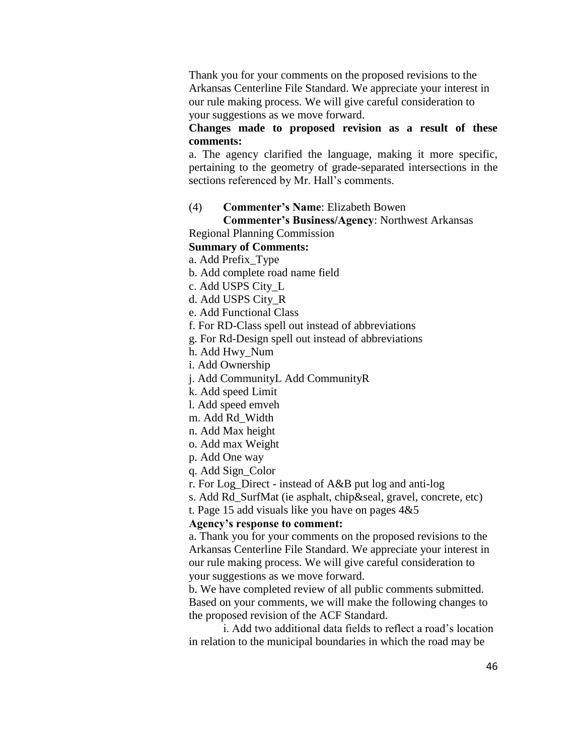Thank you for your comments on the proposed revisions to the Arkansas Centerline File Standard. We appreciate your interest in our rule making process. We will give careful consideration to your suggestions as we move forward.

#### **Changes made to proposed revision as a result of these comments:**

a. The agency clarified the language, making it more specific, pertaining to the geometry of grade-separated intersections in the sections referenced by Mr. Hall's comments.

#### (4) **Commenter's Name**: Elizabeth Bowen

# **Commenter's Business/Agency**: Northwest Arkansas

# Regional Planning Commission

# **Summary of Comments:**

a. Add Prefix\_Type

- b. Add complete road name field
- c. Add USPS City\_L
- d. Add USPS City\_R
- e. Add Functional Class
- f. For RD-Class spell out instead of abbreviations
- g. For Rd-Design spell out instead of abbreviations
- h. Add Hwy\_Num
- i. Add Ownership

j. Add CommunityL Add CommunityR

k. Add speed Limit

l. Add speed emveh

- m. Add Rd\_Width
- n. Add Max height
- o. Add max Weight
- p. Add One way
- q. Add Sign\_Color
- r. For Log\_Direct instead of A&B put log and anti-log
- s. Add Rd\_SurfMat (ie asphalt, chip&seal, gravel, concrete, etc)
- t. Page 15 add visuals like you have on pages  $4&5$

#### **Agency's response to comment:**

a. Thank you for your comments on the proposed revisions to the Arkansas Centerline File Standard. We appreciate your interest in our rule making process. We will give careful consideration to your suggestions as we move forward.

b. We have completed review of all public comments submitted. Based on your comments, we will make the following changes to the proposed revision of the ACF Standard.

i. Add two additional data fields to reflect a road's location in relation to the municipal boundaries in which the road may be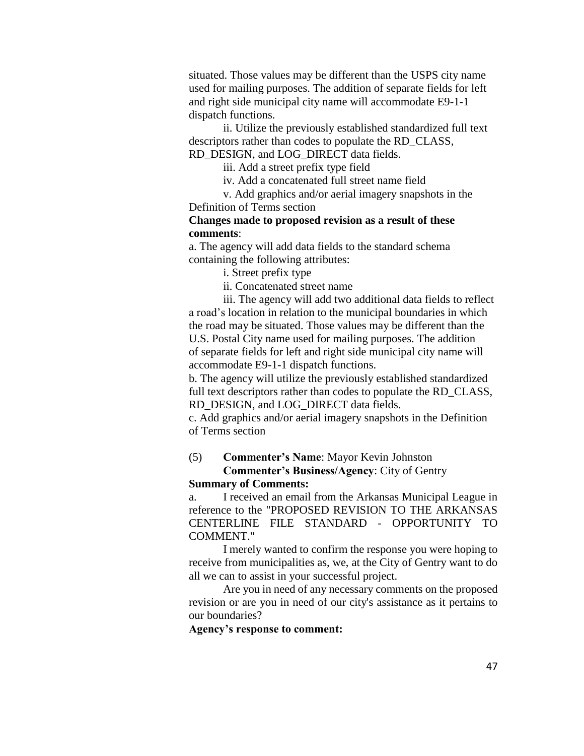situated. Those values may be different than the USPS city name used for mailing purposes. The addition of separate fields for left and right side municipal city name will accommodate E9-1-1 dispatch functions.

ii. Utilize the previously established standardized full text descriptors rather than codes to populate the RD\_CLASS, RD\_DESIGN, and LOG\_DIRECT data fields.

iii. Add a street prefix type field

iv. Add a concatenated full street name field

v. Add graphics and/or aerial imagery snapshots in the Definition of Terms section

#### **Changes made to proposed revision as a result of these comments**:

a. The agency will add data fields to the standard schema containing the following attributes:

i. Street prefix type

ii. Concatenated street name

iii. The agency will add two additional data fields to reflect a road's location in relation to the municipal boundaries in which the road may be situated. Those values may be different than the U.S. Postal City name used for mailing purposes. The addition of separate fields for left and right side municipal city name will accommodate E9-1-1 dispatch functions.

b. The agency will utilize the previously established standardized full text descriptors rather than codes to populate the RD CLASS, RD\_DESIGN, and LOG\_DIRECT data fields.

c. Add graphics and/or aerial imagery snapshots in the Definition of Terms section

## (5) **Commenter's Name**: Mayor Kevin Johnston

#### **Commenter's Business/Agency**: City of Gentry **Summary of Comments:**

a. I received an email from the Arkansas Municipal League in reference to the "PROPOSED REVISION TO THE ARKANSAS CENTERLINE FILE STANDARD - OPPORTUNITY TO COMMENT."

I merely wanted to confirm the response you were hoping to receive from municipalities as, we, at the City of Gentry want to do all we can to assist in your successful project.

Are you in need of any necessary comments on the proposed revision or are you in need of our city's assistance as it pertains to our boundaries?

#### **Agency's response to comment:**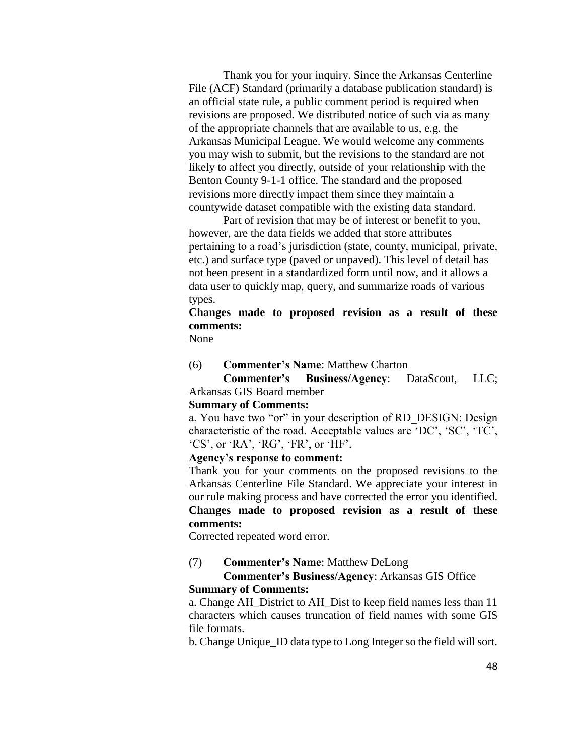Thank you for your inquiry. Since the Arkansas Centerline File (ACF) Standard (primarily a database publication standard) is an official state rule, a public comment period is required when revisions are proposed. We distributed notice of such via as many of the appropriate channels that are available to us, e.g. the Arkansas Municipal League. We would welcome any comments you may wish to submit, but the revisions to the standard are not likely to affect you directly, outside of your relationship with the Benton County 9-1-1 office. The standard and the proposed revisions more directly impact them since they maintain a countywide dataset compatible with the existing data standard.

Part of revision that may be of interest or benefit to you, however, are the data fields we added that store attributes pertaining to a road's jurisdiction (state, county, municipal, private, etc.) and surface type (paved or unpaved). This level of detail has not been present in a standardized form until now, and it allows a data user to quickly map, query, and summarize roads of various types.

# **Changes made to proposed revision as a result of these comments:**

None

(6) **Commenter's Name**: Matthew Charton

**Commenter's Business/Agency**: DataScout, LLC; Arkansas GIS Board member

#### **Summary of Comments:**

a. You have two "or" in your description of RD DESIGN: Design characteristic of the road. Acceptable values are 'DC', 'SC', 'TC', 'CS', or 'RA', 'RG', 'FR', or 'HF'.

#### **Agency's response to comment:**

Thank you for your comments on the proposed revisions to the Arkansas Centerline File Standard. We appreciate your interest in our rule making process and have corrected the error you identified. **Changes made to proposed revision as a result of these comments:**

Corrected repeated word error.

## (7) **Commenter's Name**: Matthew DeLong

**Commenter's Business/Agency**: Arkansas GIS Office **Summary of Comments:**

a. Change AH\_District to AH\_Dist to keep field names less than 11 characters which causes truncation of field names with some GIS file formats.

b. Change Unique\_ID data type to Long Integer so the field will sort.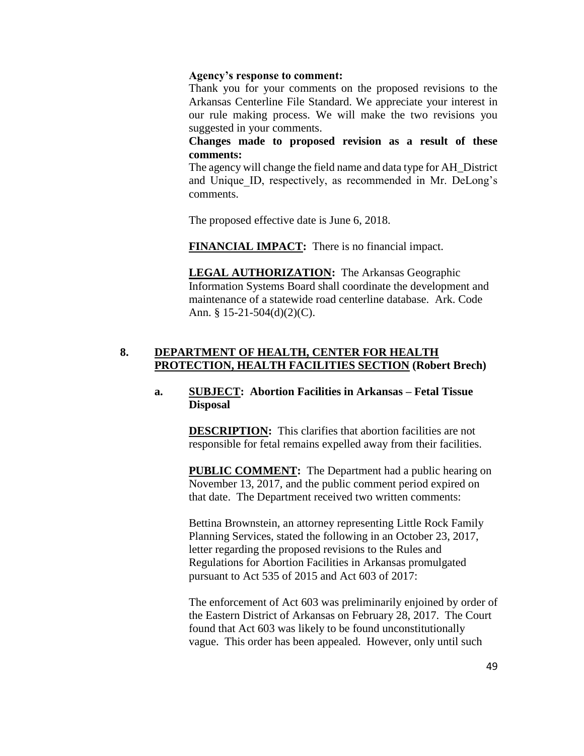#### **Agency's response to comment:**

Thank you for your comments on the proposed revisions to the Arkansas Centerline File Standard. We appreciate your interest in our rule making process. We will make the two revisions you suggested in your comments.

**Changes made to proposed revision as a result of these comments:**

The agency will change the field name and data type for AH\_District and Unique ID, respectively, as recommended in Mr. DeLong's comments.

The proposed effective date is June 6, 2018.

**FINANCIAL IMPACT:** There is no financial impact.

**LEGAL AUTHORIZATION:** The Arkansas Geographic Information Systems Board shall coordinate the development and maintenance of a statewide road centerline database. Ark. Code Ann. § 15-21-504(d)(2)(C).

# **8. DEPARTMENT OF HEALTH, CENTER FOR HEALTH PROTECTION, HEALTH FACILITIES SECTION (Robert Brech)**

## **a. SUBJECT: Abortion Facilities in Arkansas – Fetal Tissue Disposal**

**DESCRIPTION:** This clarifies that abortion facilities are not responsible for fetal remains expelled away from their facilities.

**PUBLIC COMMENT:** The Department had a public hearing on November 13, 2017, and the public comment period expired on that date. The Department received two written comments:

Bettina Brownstein, an attorney representing Little Rock Family Planning Services, stated the following in an October 23, 2017, letter regarding the proposed revisions to the Rules and Regulations for Abortion Facilities in Arkansas promulgated pursuant to Act 535 of 2015 and Act 603 of 2017:

The enforcement of Act 603 was preliminarily enjoined by order of the Eastern District of Arkansas on February 28, 2017. The Court found that Act 603 was likely to be found unconstitutionally vague. This order has been appealed. However, only until such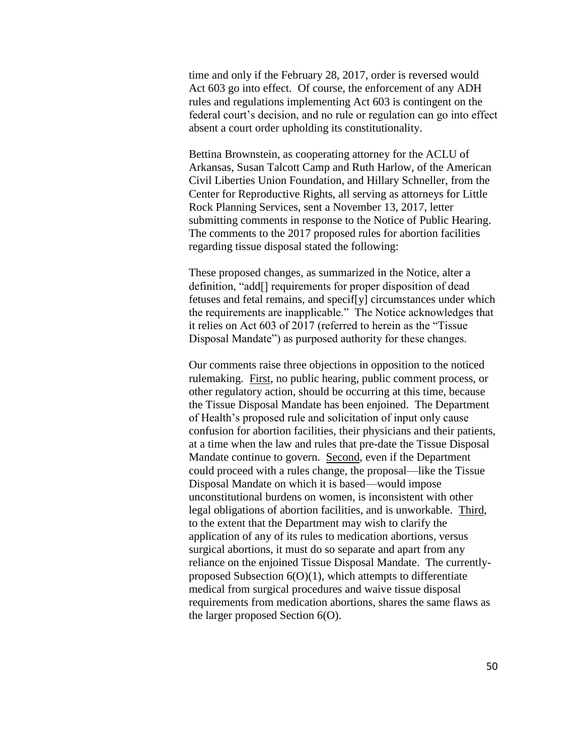time and only if the February 28, 2017, order is reversed would Act 603 go into effect. Of course, the enforcement of any ADH rules and regulations implementing Act 603 is contingent on the federal court's decision, and no rule or regulation can go into effect absent a court order upholding its constitutionality.

Bettina Brownstein, as cooperating attorney for the ACLU of Arkansas, Susan Talcott Camp and Ruth Harlow, of the American Civil Liberties Union Foundation, and Hillary Schneller, from the Center for Reproductive Rights, all serving as attorneys for Little Rock Planning Services, sent a November 13, 2017, letter submitting comments in response to the Notice of Public Hearing. The comments to the 2017 proposed rules for abortion facilities regarding tissue disposal stated the following:

These proposed changes, as summarized in the Notice, alter a definition, "add[] requirements for proper disposition of dead fetuses and fetal remains, and specif[y] circumstances under which the requirements are inapplicable." The Notice acknowledges that it relies on Act 603 of 2017 (referred to herein as the "Tissue Disposal Mandate") as purposed authority for these changes.

Our comments raise three objections in opposition to the noticed rulemaking. First, no public hearing, public comment process, or other regulatory action, should be occurring at this time, because the Tissue Disposal Mandate has been enjoined. The Department of Health's proposed rule and solicitation of input only cause confusion for abortion facilities, their physicians and their patients, at a time when the law and rules that pre-date the Tissue Disposal Mandate continue to govern. Second, even if the Department could proceed with a rules change, the proposal—like the Tissue Disposal Mandate on which it is based—would impose unconstitutional burdens on women, is inconsistent with other legal obligations of abortion facilities, and is unworkable. Third, to the extent that the Department may wish to clarify the application of any of its rules to medication abortions, versus surgical abortions, it must do so separate and apart from any reliance on the enjoined Tissue Disposal Mandate. The currentlyproposed Subsection  $6(0)(1)$ , which attempts to differentiate medical from surgical procedures and waive tissue disposal requirements from medication abortions, shares the same flaws as the larger proposed Section 6(O).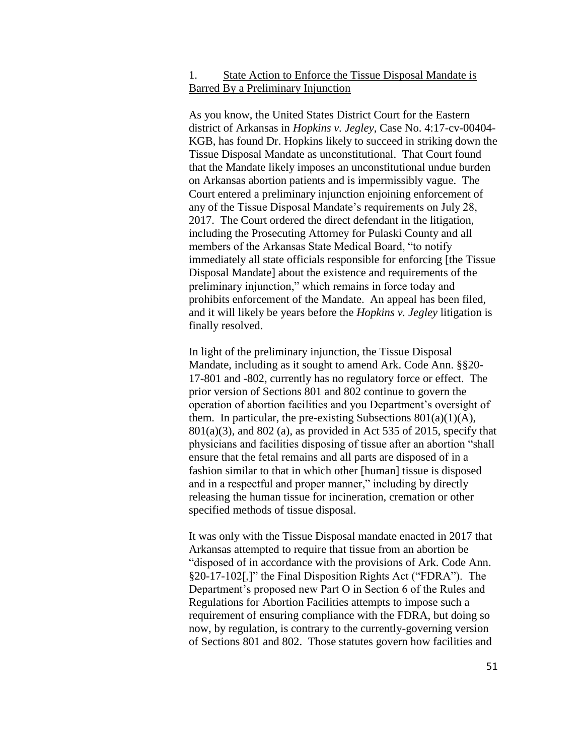## 1. State Action to Enforce the Tissue Disposal Mandate is Barred By a Preliminary Injunction

As you know, the United States District Court for the Eastern district of Arkansas in *Hopkins v. Jegley*, Case No. 4:17-cv-00404- KGB, has found Dr. Hopkins likely to succeed in striking down the Tissue Disposal Mandate as unconstitutional. That Court found that the Mandate likely imposes an unconstitutional undue burden on Arkansas abortion patients and is impermissibly vague. The Court entered a preliminary injunction enjoining enforcement of any of the Tissue Disposal Mandate's requirements on July 28, 2017. The Court ordered the direct defendant in the litigation, including the Prosecuting Attorney for Pulaski County and all members of the Arkansas State Medical Board, "to notify immediately all state officials responsible for enforcing [the Tissue Disposal Mandate] about the existence and requirements of the preliminary injunction," which remains in force today and prohibits enforcement of the Mandate. An appeal has been filed, and it will likely be years before the *Hopkins v. Jegley* litigation is finally resolved.

In light of the preliminary injunction, the Tissue Disposal Mandate, including as it sought to amend Ark. Code Ann. §§20- 17-801 and -802, currently has no regulatory force or effect. The prior version of Sections 801 and 802 continue to govern the operation of abortion facilities and you Department's oversight of them. In particular, the pre-existing Subsections  $801(a)(1)(A)$ ,  $801(a)(3)$ , and  $802(a)$ , as provided in Act 535 of 2015, specify that physicians and facilities disposing of tissue after an abortion "shall ensure that the fetal remains and all parts are disposed of in a fashion similar to that in which other [human] tissue is disposed and in a respectful and proper manner," including by directly releasing the human tissue for incineration, cremation or other specified methods of tissue disposal.

It was only with the Tissue Disposal mandate enacted in 2017 that Arkansas attempted to require that tissue from an abortion be "disposed of in accordance with the provisions of Ark. Code Ann. §20-17-102[,]" the Final Disposition Rights Act ("FDRA"). The Department's proposed new Part O in Section 6 of the Rules and Regulations for Abortion Facilities attempts to impose such a requirement of ensuring compliance with the FDRA, but doing so now, by regulation, is contrary to the currently-governing version of Sections 801 and 802. Those statutes govern how facilities and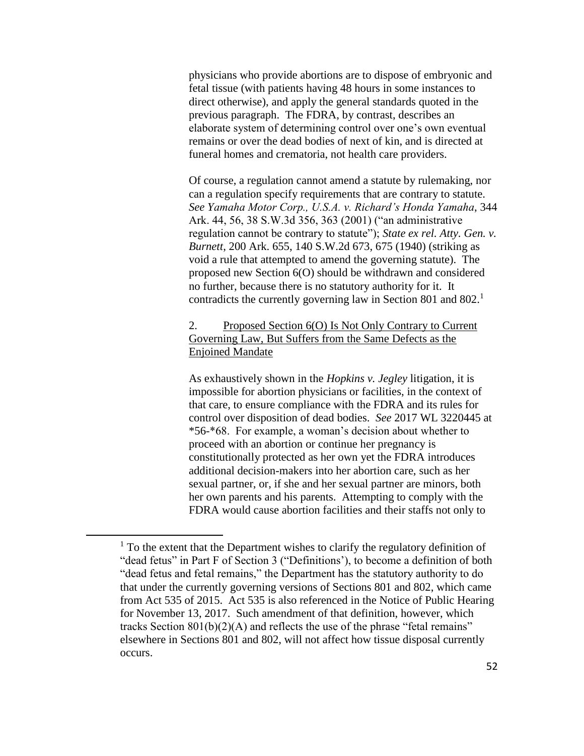physicians who provide abortions are to dispose of embryonic and fetal tissue (with patients having 48 hours in some instances to direct otherwise), and apply the general standards quoted in the previous paragraph. The FDRA, by contrast, describes an elaborate system of determining control over one's own eventual remains or over the dead bodies of next of kin, and is directed at funeral homes and crematoria, not health care providers.

Of course, a regulation cannot amend a statute by rulemaking, nor can a regulation specify requirements that are contrary to statute. *See Yamaha Motor Corp., U.S.A. v. Richard's Honda Yamaha*, 344 Ark. 44, 56, 38 S.W.3d 356, 363 (2001) ("an administrative regulation cannot be contrary to statute"); *State ex rel. Atty. Gen. v. Burnett*, 200 Ark. 655, 140 S.W.2d 673, 675 (1940) (striking as void a rule that attempted to amend the governing statute). The proposed new Section 6(O) should be withdrawn and considered no further, because there is no statutory authority for it. It contradicts the currently governing law in Section 801 and 802.<sup>1</sup>

# 2. Proposed Section 6(O) Is Not Only Contrary to Current Governing Law, But Suffers from the Same Defects as the Enjoined Mandate

As exhaustively shown in the *Hopkins v. Jegley* litigation, it is impossible for abortion physicians or facilities, in the context of that care, to ensure compliance with the FDRA and its rules for control over disposition of dead bodies. *See* 2017 WL 3220445 at \*56-\*68. For example, a woman's decision about whether to proceed with an abortion or continue her pregnancy is constitutionally protected as her own yet the FDRA introduces additional decision-makers into her abortion care, such as her sexual partner, or, if she and her sexual partner are minors, both her own parents and his parents. Attempting to comply with the FDRA would cause abortion facilities and their staffs not only to

 $\overline{a}$ 

 $<sup>1</sup>$  To the extent that the Department wishes to clarify the regulatory definition of</sup> "dead fetus" in Part F of Section 3 ("Definitions'), to become a definition of both "dead fetus and fetal remains," the Department has the statutory authority to do that under the currently governing versions of Sections 801 and 802, which came from Act 535 of 2015. Act 535 is also referenced in the Notice of Public Hearing for November 13, 2017. Such amendment of that definition, however, which tracks Section 801(b)(2)(A) and reflects the use of the phrase "fetal remains" elsewhere in Sections 801 and 802, will not affect how tissue disposal currently occurs.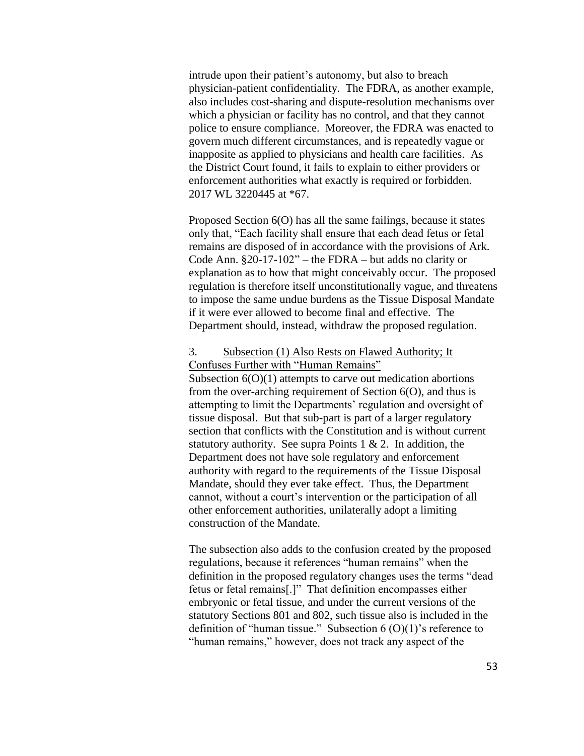intrude upon their patient's autonomy, but also to breach physician-patient confidentiality. The FDRA, as another example, also includes cost-sharing and dispute-resolution mechanisms over which a physician or facility has no control, and that they cannot police to ensure compliance. Moreover, the FDRA was enacted to govern much different circumstances, and is repeatedly vague or inapposite as applied to physicians and health care facilities. As the District Court found, it fails to explain to either providers or enforcement authorities what exactly is required or forbidden. 2017 WL 3220445 at \*67.

Proposed Section 6(O) has all the same failings, because it states only that, "Each facility shall ensure that each dead fetus or fetal remains are disposed of in accordance with the provisions of Ark. Code Ann. §20-17-102" – the FDRA – but adds no clarity or explanation as to how that might conceivably occur. The proposed regulation is therefore itself unconstitutionally vague, and threatens to impose the same undue burdens as the Tissue Disposal Mandate if it were ever allowed to become final and effective. The Department should, instead, withdraw the proposed regulation.

#### 3. Subsection (1) Also Rests on Flawed Authority; It Confuses Further with "Human Remains"

Subsection  $6(O)(1)$  attempts to carve out medication abortions from the over-arching requirement of Section 6(O), and thus is attempting to limit the Departments' regulation and oversight of tissue disposal. But that sub-part is part of a larger regulatory section that conflicts with the Constitution and is without current statutory authority. See supra Points  $1 \& 2$ . In addition, the Department does not have sole regulatory and enforcement authority with regard to the requirements of the Tissue Disposal Mandate, should they ever take effect. Thus, the Department cannot, without a court's intervention or the participation of all other enforcement authorities, unilaterally adopt a limiting construction of the Mandate.

The subsection also adds to the confusion created by the proposed regulations, because it references "human remains" when the definition in the proposed regulatory changes uses the terms "dead fetus or fetal remains[.]" That definition encompasses either embryonic or fetal tissue, and under the current versions of the statutory Sections 801 and 802, such tissue also is included in the definition of "human tissue." Subsection  $6(0)(1)$ 's reference to "human remains," however, does not track any aspect of the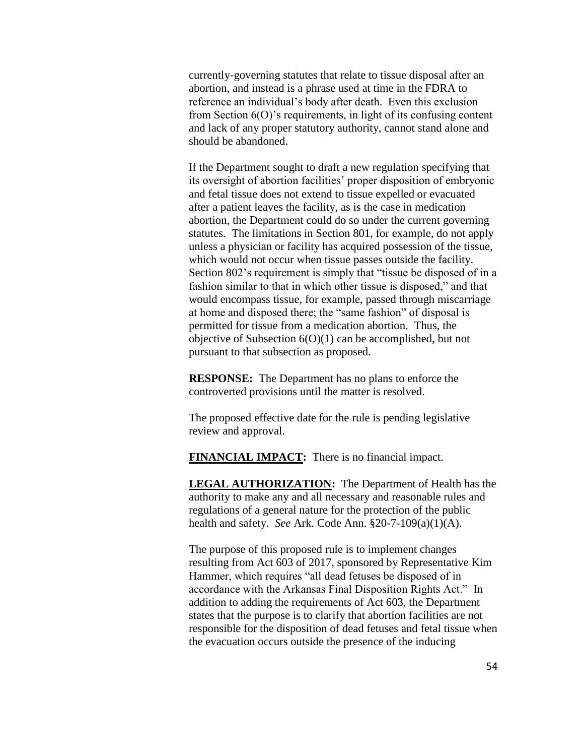currently-governing statutes that relate to tissue disposal after an abortion, and instead is a phrase used at time in the FDRA to reference an individual's body after death. Even this exclusion from Section 6(O)'s requirements, in light of its confusing content and lack of any proper statutory authority, cannot stand alone and should be abandoned.

If the Department sought to draft a new regulation specifying that its oversight of abortion facilities' proper disposition of embryonic and fetal tissue does not extend to tissue expelled or evacuated after a patient leaves the facility, as is the case in medication abortion, the Department could do so under the current governing statutes. The limitations in Section 801, for example, do not apply unless a physician or facility has acquired possession of the tissue, which would not occur when tissue passes outside the facility. Section 802's requirement is simply that "tissue be disposed of in a fashion similar to that in which other tissue is disposed," and that would encompass tissue, for example, passed through miscarriage at home and disposed there; the "same fashion" of disposal is permitted for tissue from a medication abortion. Thus, the objective of Subsection  $6(0)(1)$  can be accomplished, but not pursuant to that subsection as proposed.

**RESPONSE:** The Department has no plans to enforce the controverted provisions until the matter is resolved.

The proposed effective date for the rule is pending legislative review and approval.

**FINANCIAL IMPACT:** There is no financial impact.

**LEGAL AUTHORIZATION:** The Department of Health has the authority to make any and all necessary and reasonable rules and regulations of a general nature for the protection of the public health and safety. *See* Ark. Code Ann. §20-7-109(a)(1)(A).

The purpose of this proposed rule is to implement changes resulting from Act 603 of 2017, sponsored by Representative Kim Hammer, which requires "all dead fetuses be disposed of in accordance with the Arkansas Final Disposition Rights Act." In addition to adding the requirements of Act 603, the Department states that the purpose is to clarify that abortion facilities are not responsible for the disposition of dead fetuses and fetal tissue when the evacuation occurs outside the presence of the inducing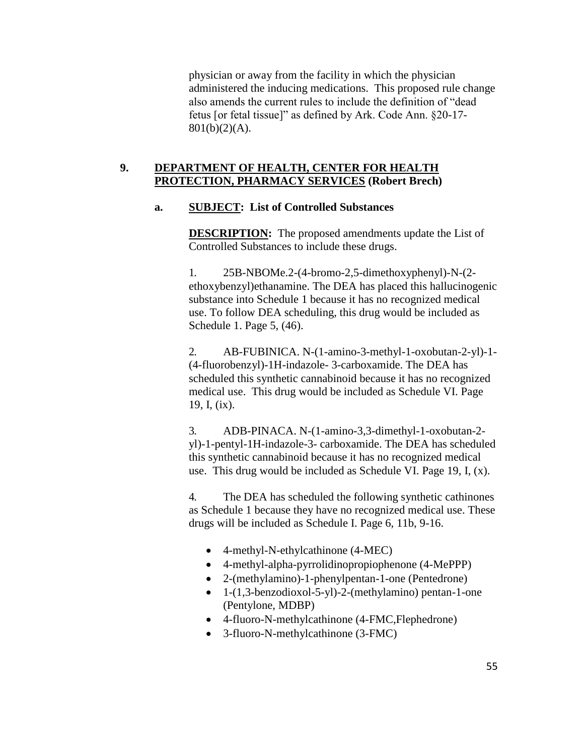physician or away from the facility in which the physician administered the inducing medications. This proposed rule change also amends the current rules to include the definition of "dead fetus [or fetal tissue]" as defined by Ark. Code Ann. §20-17- 801(b)(2)(A).

## **9. DEPARTMENT OF HEALTH, CENTER FOR HEALTH PROTECTION, PHARMACY SERVICES (Robert Brech)**

## **a. SUBJECT: List of Controlled Substances**

**DESCRIPTION:** The proposed amendments update the List of Controlled Substances to include these drugs.

1. 25B-NBOMe.2-(4-bromo-2,5-dimethoxyphenyl)-N-(2 ethoxybenzyl)ethanamine. The DEA has placed this hallucinogenic substance into Schedule 1 because it has no recognized medical use. To follow DEA scheduling, this drug would be included as Schedule 1. Page 5, (46).

2. AB-FUBINICA. N-(1-amino-3-methyl-1-oxobutan-2-yl)-1- (4-fluorobenzyl)-1H-indazole- 3-carboxamide. The DEA has scheduled this synthetic cannabinoid because it has no recognized medical use. This drug would be included as Schedule VI. Page 19, I, (ix).

3. ADB-PINACA. N-(1-amino-3,3-dimethyl-1-oxobutan-2 yl)-1-pentyl-1H-indazole-3- carboxamide. The DEA has scheduled this synthetic cannabinoid because it has no recognized medical use. This drug would be included as Schedule VI. Page 19, I, (x).

4. The DEA has scheduled the following synthetic cathinones as Schedule 1 because they have no recognized medical use. These drugs will be included as Schedule I. Page 6, 11b, 9-16.

- 4-methyl-N-ethylcathinone (4-MEC)
- 4-methyl-alpha-pyrrolidinopropiophenone (4-MePPP)
- 2-(methylamino)-1-phenylpentan-1-one (Pentedrone)
- 1-(1,3-benzodioxol-5-yl)-2-(methylamino) pentan-1-one (Pentylone, MDBP)
- 4-fluoro-N-methylcathinone (4-FMC,Flephedrone)
- 3-fluoro-N-methylcathinone (3-FMC)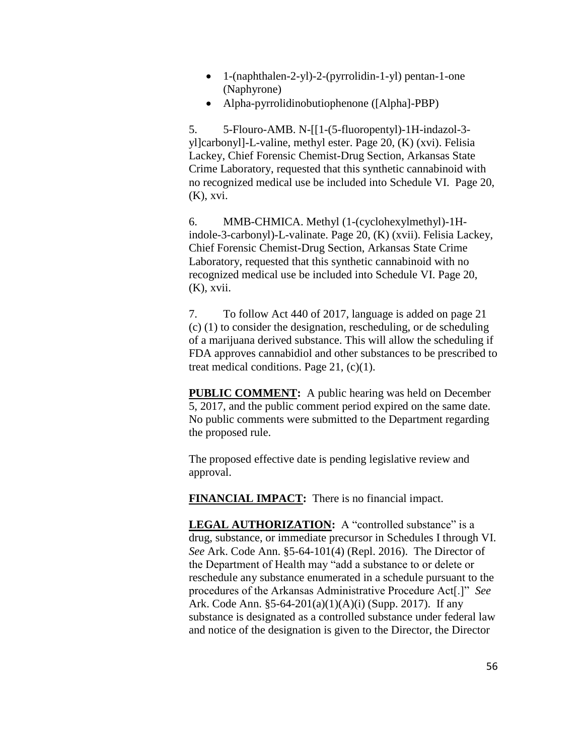- 1-(naphthalen-2-yl)-2-(pyrrolidin-1-yl) pentan-1-one (Naphyrone)
- Alpha-pyrrolidinobutiophenone ([Alpha]-PBP)

5. 5-Flouro-AMB. N-[[1-(5-fluoropentyl)-1H-indazol-3 yl]carbonyl]-L-valine, methyl ester. Page 20, (K) (xvi). Felisia Lackey, Chief Forensic Chemist-Drug Section, Arkansas State Crime Laboratory, requested that this synthetic cannabinoid with no recognized medical use be included into Schedule VI. Page 20, (K), xvi.

6. MMB-CHMICA. Methyl (1-(cyclohexylmethyl)-1Hindole-3-carbonyl)-L-valinate. Page 20, (K) (xvii). Felisia Lackey, Chief Forensic Chemist-Drug Section, Arkansas State Crime Laboratory, requested that this synthetic cannabinoid with no recognized medical use be included into Schedule VI. Page 20, (K), xvii.

7. To follow Act 440 of 2017, language is added on page 21 (c) (1) to consider the designation, rescheduling, or de scheduling of a marijuana derived substance. This will allow the scheduling if FDA approves cannabidiol and other substances to be prescribed to treat medical conditions. Page 21, (c)(1).

**PUBLIC COMMENT:** A public hearing was held on December 5, 2017, and the public comment period expired on the same date. No public comments were submitted to the Department regarding the proposed rule.

The proposed effective date is pending legislative review and approval.

**FINANCIAL IMPACT:** There is no financial impact.

LEGAL AUTHORIZATION: A "controlled substance" is a drug, substance, or immediate precursor in Schedules I through VI. *See* Ark. Code Ann. §5-64-101(4) (Repl. 2016). The Director of the Department of Health may "add a substance to or delete or reschedule any substance enumerated in a schedule pursuant to the procedures of the Arkansas Administrative Procedure Act[.]" *See* Ark. Code Ann. §5-64-201(a)(1)(A)(i) (Supp. 2017). If any substance is designated as a controlled substance under federal law and notice of the designation is given to the Director, the Director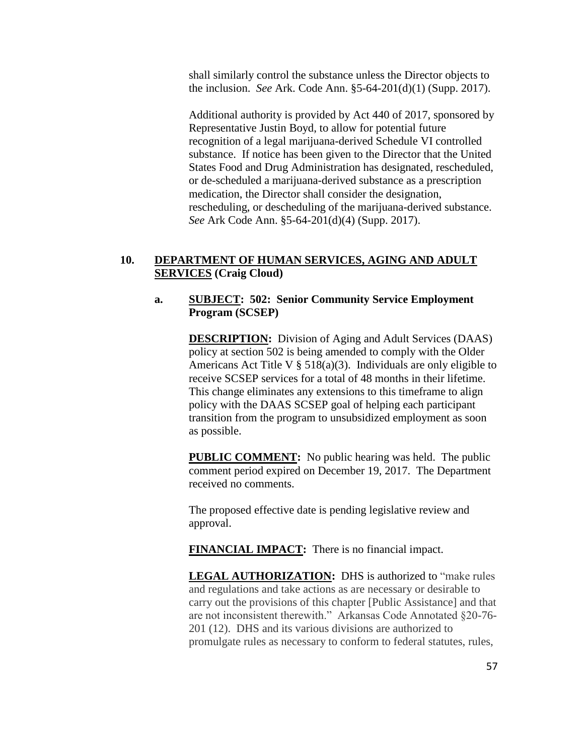shall similarly control the substance unless the Director objects to the inclusion. *See* Ark. Code Ann. §5-64-201(d)(1) (Supp. 2017).

Additional authority is provided by Act 440 of 2017, sponsored by Representative Justin Boyd, to allow for potential future recognition of a legal marijuana-derived Schedule VI controlled substance. If notice has been given to the Director that the United States Food and Drug Administration has designated, rescheduled, or de-scheduled a marijuana-derived substance as a prescription medication, the Director shall consider the designation, rescheduling, or descheduling of the marijuana-derived substance. *See* Ark Code Ann. §5-64-201(d)(4) (Supp. 2017).

## **10. DEPARTMENT OF HUMAN SERVICES, AGING AND ADULT SERVICES (Craig Cloud)**

#### **a. SUBJECT: 502: Senior Community Service Employment Program (SCSEP)**

**DESCRIPTION:** Division of Aging and Adult Services (DAAS) policy at section 502 is being amended to comply with the Older Americans Act Title V  $\S$  518(a)(3). Individuals are only eligible to receive SCSEP services for a total of 48 months in their lifetime. This change eliminates any extensions to this timeframe to align policy with the DAAS SCSEP goal of helping each participant transition from the program to unsubsidized employment as soon as possible.

**PUBLIC COMMENT:** No public hearing was held. The public comment period expired on December 19, 2017. The Department received no comments.

The proposed effective date is pending legislative review and approval.

**FINANCIAL IMPACT:** There is no financial impact.

**LEGAL AUTHORIZATION:** DHS is authorized to "make rules and regulations and take actions as are necessary or desirable to carry out the provisions of this chapter [Public Assistance] and that are not inconsistent therewith." Arkansas Code Annotated §20-76- 201 (12). DHS and its various divisions are authorized to promulgate rules as necessary to conform to federal statutes, rules,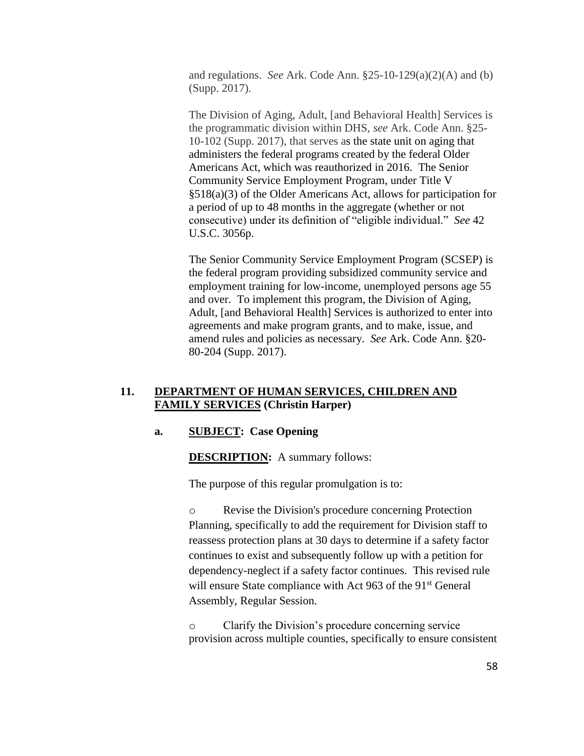and regulations. *See* Ark. Code Ann. §25-10-129(a)(2)(A) and (b) (Supp. 2017).

The Division of Aging, Adult, [and Behavioral Health] Services is the programmatic division within DHS, *see* Ark. Code Ann. §25- 10-102 (Supp. 2017), that serves as the state unit on aging that administers the federal programs created by the federal Older Americans Act, which was reauthorized in 2016. The Senior Community Service Employment Program, under Title V §518(a)(3) of the Older Americans Act, allows for participation for a period of up to 48 months in the aggregate (whether or not consecutive) under its definition of "eligible individual." *See* 42 U.S.C. 3056p.

The Senior Community Service Employment Program (SCSEP) is the federal program providing subsidized community service and employment training for low-income, unemployed persons age 55 and over. To implement this program, the Division of Aging, Adult, [and Behavioral Health] Services is authorized to enter into agreements and make program grants, and to make, issue, and amend rules and policies as necessary. *See* Ark. Code Ann. §20- 80-204 (Supp. 2017).

## **11. DEPARTMENT OF HUMAN SERVICES, CHILDREN AND FAMILY SERVICES (Christin Harper)**

## **a. SUBJECT: Case Opening**

**DESCRIPTION:** A summary follows:

The purpose of this regular promulgation is to:

o Revise the Division's procedure concerning Protection Planning, specifically to add the requirement for Division staff to reassess protection plans at 30 days to determine if a safety factor continues to exist and subsequently follow up with a petition for dependency-neglect if a safety factor continues. This revised rule will ensure State compliance with Act 963 of the 91<sup>st</sup> General Assembly, Regular Session.

o Clarify the Division's procedure concerning service provision across multiple counties, specifically to ensure consistent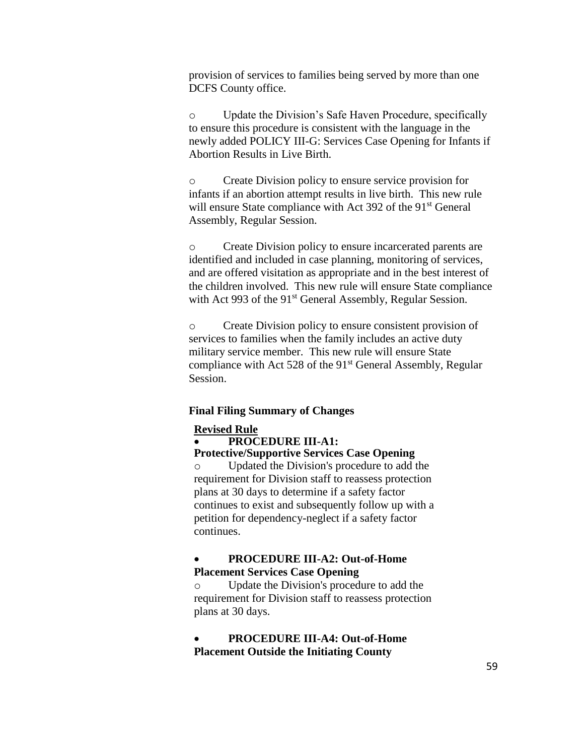provision of services to families being served by more than one DCFS County office.

o Update the Division's Safe Haven Procedure, specifically to ensure this procedure is consistent with the language in the newly added POLICY III-G: Services Case Opening for Infants if Abortion Results in Live Birth.

o Create Division policy to ensure service provision for infants if an abortion attempt results in live birth. This new rule will ensure State compliance with Act 392 of the 91<sup>st</sup> General Assembly, Regular Session.

o Create Division policy to ensure incarcerated parents are identified and included in case planning, monitoring of services, and are offered visitation as appropriate and in the best interest of the children involved. This new rule will ensure State compliance with Act 993 of the 91<sup>st</sup> General Assembly, Regular Session.

o Create Division policy to ensure consistent provision of services to families when the family includes an active duty military service member. This new rule will ensure State compliance with Act 528 of the  $91<sup>st</sup>$  General Assembly, Regular Session.

#### **Final Filing Summary of Changes**

#### **Revised Rule**

**PROCEDURE III-A1:** 

**Protective/Supportive Services Case Opening**

o Updated the Division's procedure to add the requirement for Division staff to reassess protection plans at 30 days to determine if a safety factor continues to exist and subsequently follow up with a petition for dependency-neglect if a safety factor continues.

## **PROCEDURE III-A2: Out-of-Home Placement Services Case Opening**

o Update the Division's procedure to add the requirement for Division staff to reassess protection plans at 30 days.

 **PROCEDURE III-A4: Out-of-Home Placement Outside the Initiating County**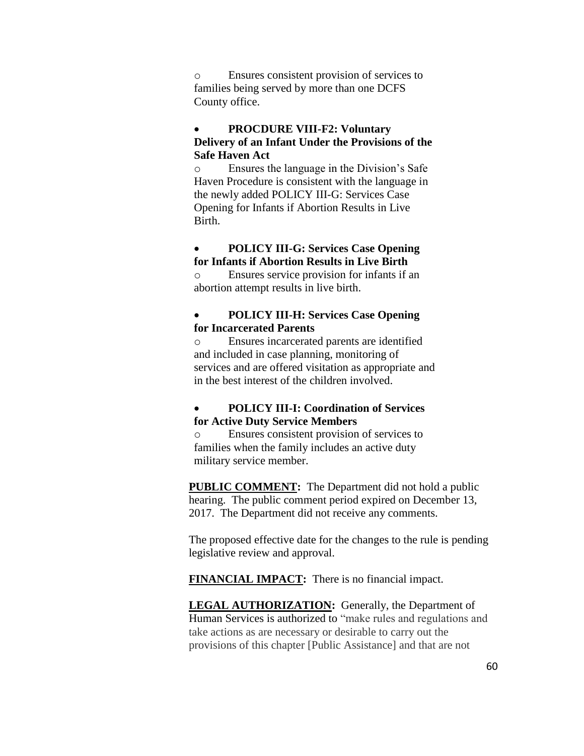o Ensures consistent provision of services to families being served by more than one DCFS County office.

## **PROCDURE VIII-F2: Voluntary Delivery of an Infant Under the Provisions of the Safe Haven Act**

o Ensures the language in the Division's Safe Haven Procedure is consistent with the language in the newly added POLICY III-G: Services Case Opening for Infants if Abortion Results in Live Birth.

# **POLICY III-G: Services Case Opening for Infants if Abortion Results in Live Birth**

o Ensures service provision for infants if an abortion attempt results in live birth.

#### **POLICY III-H: Services Case Opening for Incarcerated Parents**

o Ensures incarcerated parents are identified and included in case planning, monitoring of services and are offered visitation as appropriate and in the best interest of the children involved.

# **POLICY III-I: Coordination of Services for Active Duty Service Members**

o Ensures consistent provision of services to families when the family includes an active duty military service member.

**PUBLIC COMMENT:** The Department did not hold a public hearing. The public comment period expired on December 13, 2017. The Department did not receive any comments.

The proposed effective date for the changes to the rule is pending legislative review and approval.

**FINANCIAL IMPACT:** There is no financial impact.

**LEGAL AUTHORIZATION:** Generally, the Department of Human Services is authorized to "make rules and regulations and take actions as are necessary or desirable to carry out the provisions of this chapter [Public Assistance] and that are not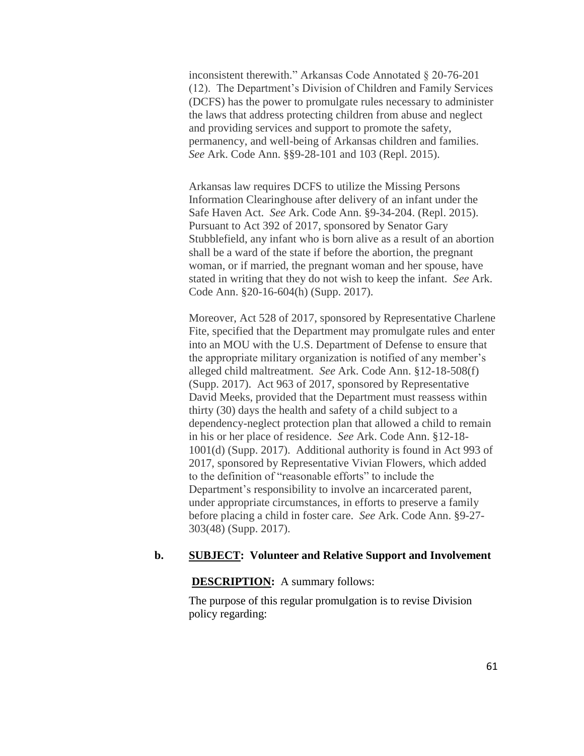inconsistent therewith." Arkansas Code Annotated § 20-76-201 (12). The Department's Division of Children and Family Services (DCFS) has the power to promulgate rules necessary to administer the laws that address protecting children from abuse and neglect and providing services and support to promote the safety, permanency, and well-being of Arkansas children and families. *See* Ark. Code Ann. §§9-28-101 and 103 (Repl. 2015).

Arkansas law requires DCFS to utilize the Missing Persons Information Clearinghouse after delivery of an infant under the Safe Haven Act. *See* Ark. Code Ann. §9-34-204. (Repl. 2015). Pursuant to Act 392 of 2017, sponsored by Senator Gary Stubblefield, any infant who is born alive as a result of an abortion shall be a ward of the state if before the abortion, the pregnant woman, or if married, the pregnant woman and her spouse, have stated in writing that they do not wish to keep the infant. *See* Ark. Code Ann. §20-16-604(h) (Supp. 2017).

Moreover, Act 528 of 2017, sponsored by Representative Charlene Fite, specified that the Department may promulgate rules and enter into an MOU with the U.S. Department of Defense to ensure that the appropriate military organization is notified of any member's alleged child maltreatment. *See* Ark. Code Ann. §12-18-508(f) (Supp. 2017). Act 963 of 2017, sponsored by Representative David Meeks, provided that the Department must reassess within thirty (30) days the health and safety of a child subject to a dependency-neglect protection plan that allowed a child to remain in his or her place of residence. *See* Ark. Code Ann. §12-18- 1001(d) (Supp. 2017). Additional authority is found in Act 993 of 2017, sponsored by Representative Vivian Flowers, which added to the definition of "reasonable efforts" to include the Department's responsibility to involve an incarcerated parent, under appropriate circumstances, in efforts to preserve a family before placing a child in foster care. *See* Ark. Code Ann. §9-27- 303(48) (Supp. 2017).

#### **b. SUBJECT: Volunteer and Relative Support and Involvement**

#### **DESCRIPTION:** A summary follows:

The purpose of this regular promulgation is to revise Division policy regarding: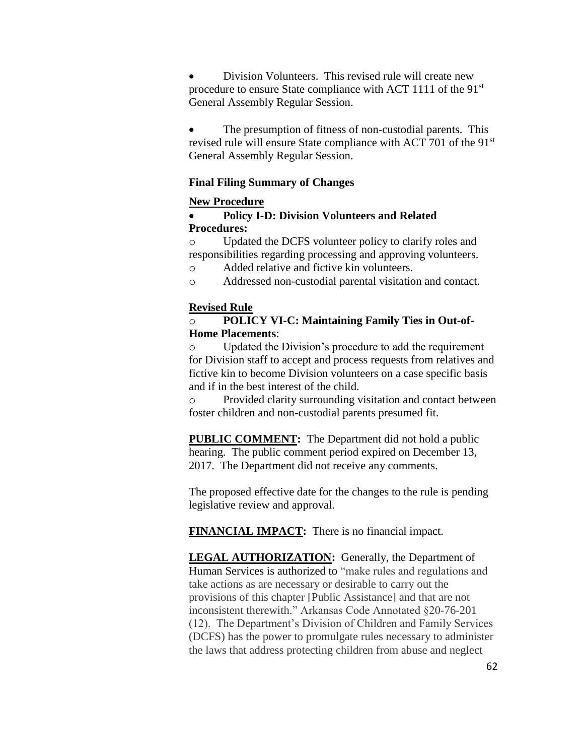Division Volunteers. This revised rule will create new procedure to ensure State compliance with ACT 1111 of the 91<sup>st</sup> General Assembly Regular Session.

• The presumption of fitness of non-custodial parents. This revised rule will ensure State compliance with ACT 701 of the 91<sup>st</sup> General Assembly Regular Session.

# **Final Filing Summary of Changes**

# **New Procedure**

# **Policy I-D: Division Volunteers and Related Procedures:**

o Updated the DCFS volunteer policy to clarify roles and responsibilities regarding processing and approving volunteers.

o Added relative and fictive kin volunteers.

o Addressed non-custodial parental visitation and contact.

# **Revised Rule**

# o **POLICY VI-C: Maintaining Family Ties in Out-of-Home Placements**:

o Updated the Division's procedure to add the requirement for Division staff to accept and process requests from relatives and fictive kin to become Division volunteers on a case specific basis and if in the best interest of the child.

o Provided clarity surrounding visitation and contact between foster children and non-custodial parents presumed fit.

**PUBLIC COMMENT:** The Department did not hold a public hearing. The public comment period expired on December 13, 2017. The Department did not receive any comments.

The proposed effective date for the changes to the rule is pending legislative review and approval.

**FINANCIAL IMPACT:** There is no financial impact.

**LEGAL AUTHORIZATION:** Generally, the Department of Human Services is authorized to "make rules and regulations and take actions as are necessary or desirable to carry out the provisions of this chapter [Public Assistance] and that are not inconsistent therewith." Arkansas Code Annotated §20-76-201 (12). The Department's Division of Children and Family Services (DCFS) has the power to promulgate rules necessary to administer the laws that address protecting children from abuse and neglect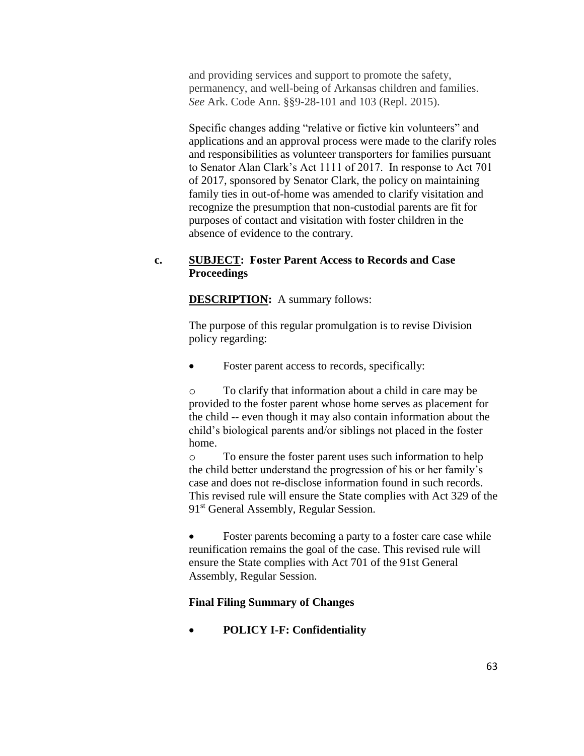and providing services and support to promote the safety, permanency, and well-being of Arkansas children and families. *See* Ark. Code Ann. §§9-28-101 and 103 (Repl. 2015).

Specific changes adding "relative or fictive kin volunteers" and applications and an approval process were made to the clarify roles and responsibilities as volunteer transporters for families pursuant to Senator Alan Clark's Act 1111 of 2017. In response to Act 701 of 2017, sponsored by Senator Clark, the policy on maintaining family ties in out-of-home was amended to clarify visitation and recognize the presumption that non-custodial parents are fit for purposes of contact and visitation with foster children in the absence of evidence to the contrary.

## **c. SUBJECT: Foster Parent Access to Records and Case Proceedings**

**DESCRIPTION:** A summary follows:

The purpose of this regular promulgation is to revise Division policy regarding:

Foster parent access to records, specifically:

o To clarify that information about a child in care may be provided to the foster parent whose home serves as placement for the child -- even though it may also contain information about the child's biological parents and/or siblings not placed in the foster home.

o To ensure the foster parent uses such information to help the child better understand the progression of his or her family's case and does not re-disclose information found in such records. This revised rule will ensure the State complies with Act 329 of the 91<sup>st</sup> General Assembly, Regular Session.

• Foster parents becoming a party to a foster care case while reunification remains the goal of the case. This revised rule will ensure the State complies with Act 701 of the 91st General Assembly, Regular Session.

## **Final Filing Summary of Changes**

**POLICY I-F: Confidentiality**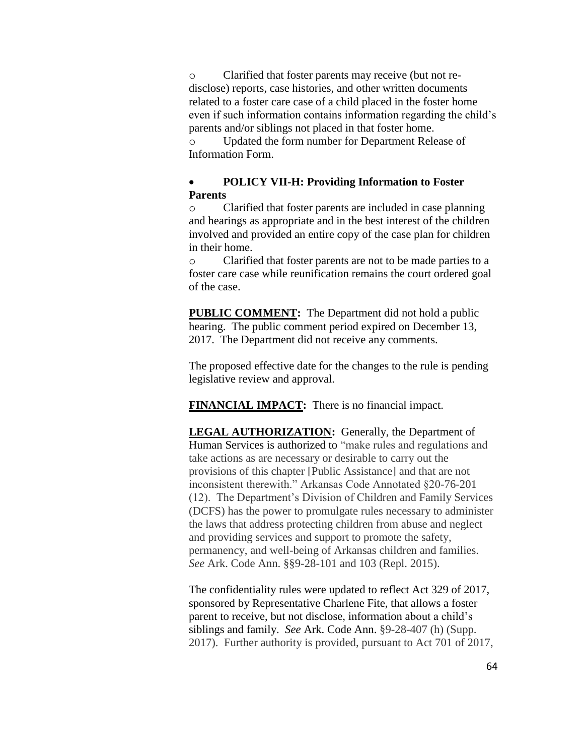o Clarified that foster parents may receive (but not redisclose) reports, case histories, and other written documents related to a foster care case of a child placed in the foster home even if such information contains information regarding the child's parents and/or siblings not placed in that foster home.

o Updated the form number for Department Release of Information Form.

## **POLICY VII-H: Providing Information to Foster Parents**

o Clarified that foster parents are included in case planning and hearings as appropriate and in the best interest of the children involved and provided an entire copy of the case plan for children in their home.

o Clarified that foster parents are not to be made parties to a foster care case while reunification remains the court ordered goal of the case.

**PUBLIC COMMENT:** The Department did not hold a public hearing. The public comment period expired on December 13, 2017. The Department did not receive any comments.

The proposed effective date for the changes to the rule is pending legislative review and approval.

**FINANCIAL IMPACT:** There is no financial impact.

**LEGAL AUTHORIZATION:** Generally, the Department of Human Services is authorized to "make rules and regulations and take actions as are necessary or desirable to carry out the provisions of this chapter [Public Assistance] and that are not inconsistent therewith." Arkansas Code Annotated §20-76-201 (12). The Department's Division of Children and Family Services (DCFS) has the power to promulgate rules necessary to administer the laws that address protecting children from abuse and neglect and providing services and support to promote the safety, permanency, and well-being of Arkansas children and families. *See* Ark. Code Ann. §§9-28-101 and 103 (Repl. 2015).

The confidentiality rules were updated to reflect Act 329 of 2017, sponsored by Representative Charlene Fite, that allows a foster parent to receive, but not disclose, information about a child's siblings and family. *See* Ark. Code Ann. §9-28-407 (h) (Supp. 2017). Further authority is provided, pursuant to Act 701 of 2017,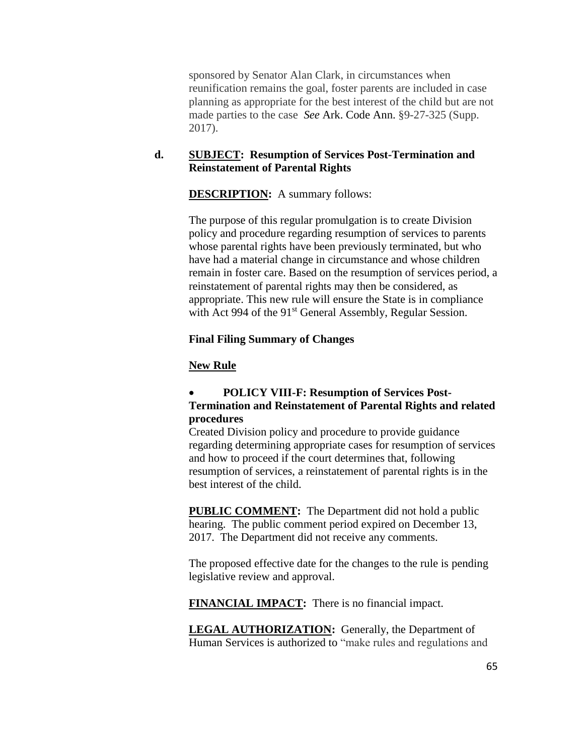sponsored by Senator Alan Clark, in circumstances when reunification remains the goal, foster parents are included in case planning as appropriate for the best interest of the child but are not made parties to the case *See* Ark. Code Ann. §9-27-325 (Supp. 2017).

# **d. SUBJECT: Resumption of Services Post-Termination and Reinstatement of Parental Rights**

# **DESCRIPTION:** A summary follows:

The purpose of this regular promulgation is to create Division policy and procedure regarding resumption of services to parents whose parental rights have been previously terminated, but who have had a material change in circumstance and whose children remain in foster care. Based on the resumption of services period, a reinstatement of parental rights may then be considered, as appropriate. This new rule will ensure the State is in compliance with Act 994 of the 91<sup>st</sup> General Assembly, Regular Session.

## **Final Filing Summary of Changes**

## **New Rule**

# **POLICY VIII-F: Resumption of Services Post-Termination and Reinstatement of Parental Rights and related procedures**

Created Division policy and procedure to provide guidance regarding determining appropriate cases for resumption of services and how to proceed if the court determines that, following resumption of services, a reinstatement of parental rights is in the best interest of the child.

**PUBLIC COMMENT:** The Department did not hold a public hearing. The public comment period expired on December 13, 2017. The Department did not receive any comments.

The proposed effective date for the changes to the rule is pending legislative review and approval.

**FINANCIAL IMPACT:** There is no financial impact.

**LEGAL AUTHORIZATION:** Generally, the Department of Human Services is authorized to "make rules and regulations and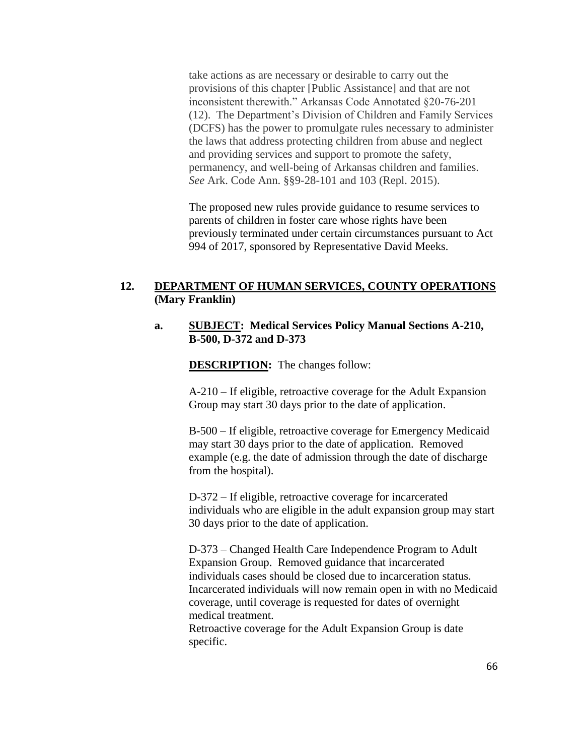take actions as are necessary or desirable to carry out the provisions of this chapter [Public Assistance] and that are not inconsistent therewith." Arkansas Code Annotated §20-76-201 (12). The Department's Division of Children and Family Services (DCFS) has the power to promulgate rules necessary to administer the laws that address protecting children from abuse and neglect and providing services and support to promote the safety, permanency, and well-being of Arkansas children and families. *See* Ark. Code Ann. §§9-28-101 and 103 (Repl. 2015).

The proposed new rules provide guidance to resume services to parents of children in foster care whose rights have been previously terminated under certain circumstances pursuant to Act 994 of 2017, sponsored by Representative David Meeks.

## **12. DEPARTMENT OF HUMAN SERVICES, COUNTY OPERATIONS (Mary Franklin)**

#### **a. SUBJECT: Medical Services Policy Manual Sections A-210, B-500, D-372 and D-373**

**DESCRIPTION:** The changes follow:

A-210 – If eligible, retroactive coverage for the Adult Expansion Group may start 30 days prior to the date of application.

B-500 – If eligible, retroactive coverage for Emergency Medicaid may start 30 days prior to the date of application. Removed example (e.g. the date of admission through the date of discharge from the hospital).

D-372 – If eligible, retroactive coverage for incarcerated individuals who are eligible in the adult expansion group may start 30 days prior to the date of application.

D-373 – Changed Health Care Independence Program to Adult Expansion Group. Removed guidance that incarcerated individuals cases should be closed due to incarceration status. Incarcerated individuals will now remain open in with no Medicaid coverage, until coverage is requested for dates of overnight medical treatment.

Retroactive coverage for the Adult Expansion Group is date specific.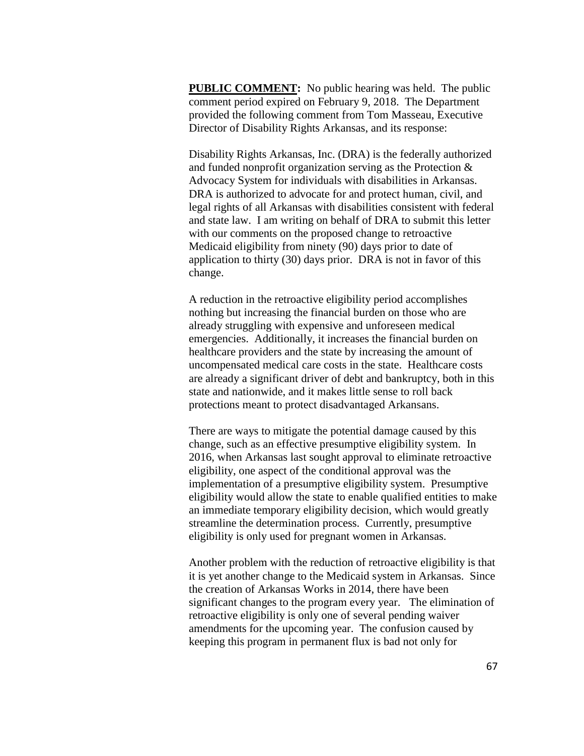**PUBLIC COMMENT:** No public hearing was held. The public comment period expired on February 9, 2018. The Department provided the following comment from Tom Masseau, Executive Director of Disability Rights Arkansas, and its response:

Disability Rights Arkansas, Inc. (DRA) is the federally authorized and funded nonprofit organization serving as the Protection & Advocacy System for individuals with disabilities in Arkansas. DRA is authorized to advocate for and protect human, civil, and legal rights of all Arkansas with disabilities consistent with federal and state law. I am writing on behalf of DRA to submit this letter with our comments on the proposed change to retroactive Medicaid eligibility from ninety (90) days prior to date of application to thirty (30) days prior. DRA is not in favor of this change.

A reduction in the retroactive eligibility period accomplishes nothing but increasing the financial burden on those who are already struggling with expensive and unforeseen medical emergencies. Additionally, it increases the financial burden on healthcare providers and the state by increasing the amount of uncompensated medical care costs in the state. Healthcare costs are already a significant driver of debt and bankruptcy, both in this state and nationwide, and it makes little sense to roll back protections meant to protect disadvantaged Arkansans.

There are ways to mitigate the potential damage caused by this change, such as an effective presumptive eligibility system. In 2016, when Arkansas last sought approval to eliminate retroactive eligibility, one aspect of the conditional approval was the implementation of a presumptive eligibility system. Presumptive eligibility would allow the state to enable qualified entities to make an immediate temporary eligibility decision, which would greatly streamline the determination process. Currently, presumptive eligibility is only used for pregnant women in Arkansas.

Another problem with the reduction of retroactive eligibility is that it is yet another change to the Medicaid system in Arkansas. Since the creation of Arkansas Works in 2014, there have been significant changes to the program every year. The elimination of retroactive eligibility is only one of several pending waiver amendments for the upcoming year. The confusion caused by keeping this program in permanent flux is bad not only for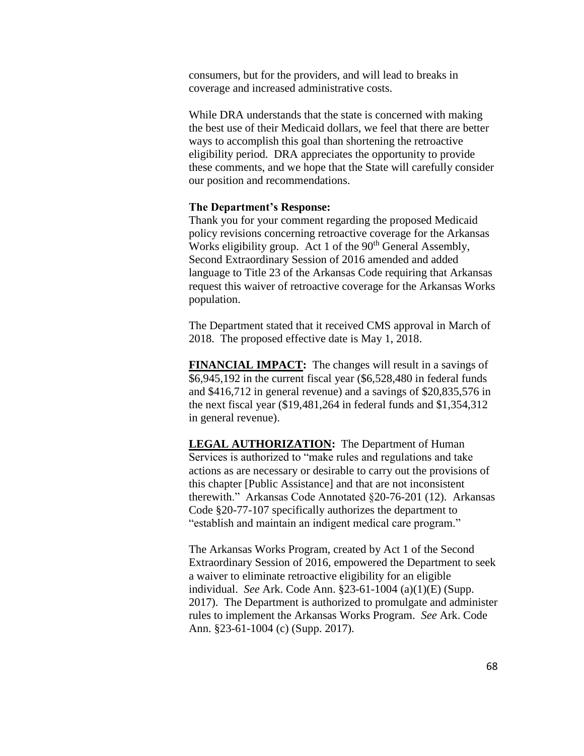consumers, but for the providers, and will lead to breaks in coverage and increased administrative costs.

While DRA understands that the state is concerned with making the best use of their Medicaid dollars, we feel that there are better ways to accomplish this goal than shortening the retroactive eligibility period. DRA appreciates the opportunity to provide these comments, and we hope that the State will carefully consider our position and recommendations.

#### **The Department's Response:**

Thank you for your comment regarding the proposed Medicaid policy revisions concerning retroactive coverage for the Arkansas Works eligibility group. Act 1 of the  $90<sup>th</sup>$  General Assembly, Second Extraordinary Session of 2016 amended and added language to Title 23 of the Arkansas Code requiring that Arkansas request this waiver of retroactive coverage for the Arkansas Works population.

The Department stated that it received CMS approval in March of 2018. The proposed effective date is May 1, 2018.

**FINANCIAL IMPACT:** The changes will result in a savings of \$6,945,192 in the current fiscal year (\$6,528,480 in federal funds and \$416,712 in general revenue) and a savings of \$20,835,576 in the next fiscal year (\$19,481,264 in federal funds and \$1,354,312 in general revenue).

**LEGAL AUTHORIZATION:** The Department of Human Services is authorized to "make rules and regulations and take actions as are necessary or desirable to carry out the provisions of this chapter [Public Assistance] and that are not inconsistent therewith." Arkansas Code Annotated §20-76-201 (12). Arkansas Code §20-77-107 specifically authorizes the department to "establish and maintain an indigent medical care program."

The Arkansas Works Program, created by Act 1 of the Second Extraordinary Session of 2016, empowered the Department to seek a waiver to eliminate retroactive eligibility for an eligible individual. *See* Ark. Code Ann. §23-61-1004 (a)(1)(E) (Supp. 2017). The Department is authorized to promulgate and administer rules to implement the Arkansas Works Program. *See* Ark. Code Ann. §23-61-1004 (c) (Supp. 2017).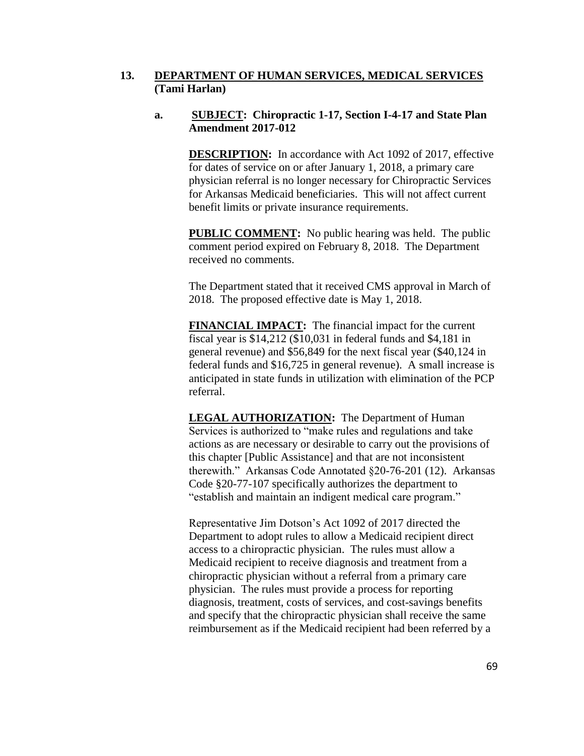#### **13. DEPARTMENT OF HUMAN SERVICES, MEDICAL SERVICES (Tami Harlan)**

#### **a. SUBJECT: Chiropractic 1-17, Section I-4-17 and State Plan Amendment 2017-012**

**DESCRIPTION:** In accordance with Act 1092 of 2017, effective for dates of service on or after January 1, 2018, a primary care physician referral is no longer necessary for Chiropractic Services for Arkansas Medicaid beneficiaries. This will not affect current benefit limits or private insurance requirements.

**PUBLIC COMMENT:** No public hearing was held. The public comment period expired on February 8, 2018. The Department received no comments.

The Department stated that it received CMS approval in March of 2018. The proposed effective date is May 1, 2018.

**FINANCIAL IMPACT:** The financial impact for the current fiscal year is \$14,212 (\$10,031 in federal funds and \$4,181 in general revenue) and \$56,849 for the next fiscal year (\$40,124 in federal funds and \$16,725 in general revenue). A small increase is anticipated in state funds in utilization with elimination of the PCP referral.

**LEGAL AUTHORIZATION:** The Department of Human Services is authorized to "make rules and regulations and take actions as are necessary or desirable to carry out the provisions of this chapter [Public Assistance] and that are not inconsistent therewith." Arkansas Code Annotated §20-76-201 (12). Arkansas Code §20-77-107 specifically authorizes the department to "establish and maintain an indigent medical care program."

Representative Jim Dotson's Act 1092 of 2017 directed the Department to adopt rules to allow a Medicaid recipient direct access to a chiropractic physician. The rules must allow a Medicaid recipient to receive diagnosis and treatment from a chiropractic physician without a referral from a primary care physician. The rules must provide a process for reporting diagnosis, treatment, costs of services, and cost-savings benefits and specify that the chiropractic physician shall receive the same reimbursement as if the Medicaid recipient had been referred by a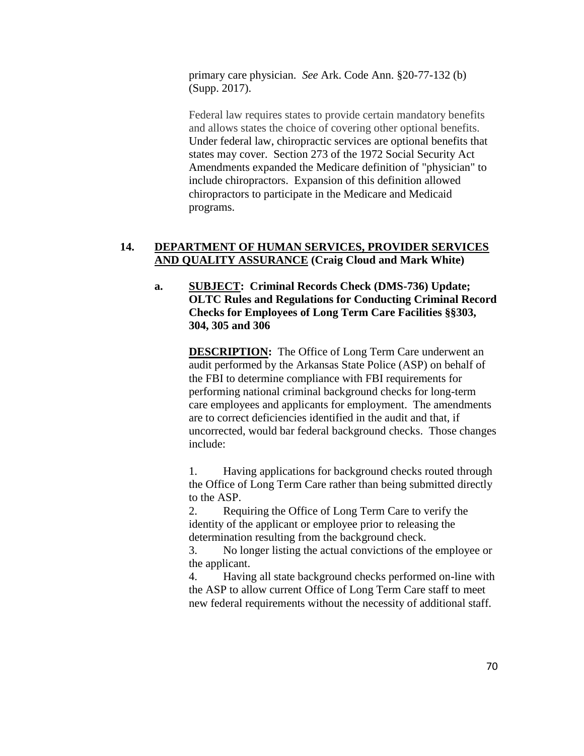primary care physician. *See* Ark. Code Ann. §20-77-132 (b) (Supp. 2017).

Federal law requires states to provide certain mandatory benefits and allows states the choice of covering other optional benefits. Under federal law, chiropractic services are optional benefits that states may cover. Section 273 of the 1972 Social Security Act Amendments expanded the Medicare definition of "physician" to include chiropractors. Expansion of this definition allowed chiropractors to participate in the Medicare and Medicaid programs.

# **14. DEPARTMENT OF HUMAN SERVICES, PROVIDER SERVICES AND QUALITY ASSURANCE (Craig Cloud and Mark White)**

# **a. SUBJECT: Criminal Records Check (DMS-736) Update; OLTC Rules and Regulations for Conducting Criminal Record Checks for Employees of Long Term Care Facilities §§303, 304, 305 and 306**

**DESCRIPTION:** The Office of Long Term Care underwent an audit performed by the Arkansas State Police (ASP) on behalf of the FBI to determine compliance with FBI requirements for performing national criminal background checks for long-term care employees and applicants for employment. The amendments are to correct deficiencies identified in the audit and that, if uncorrected, would bar federal background checks. Those changes include:

1. Having applications for background checks routed through the Office of Long Term Care rather than being submitted directly to the ASP.

2. Requiring the Office of Long Term Care to verify the identity of the applicant or employee prior to releasing the determination resulting from the background check.

3. No longer listing the actual convictions of the employee or the applicant.

4. Having all state background checks performed on-line with the ASP to allow current Office of Long Term Care staff to meet new federal requirements without the necessity of additional staff.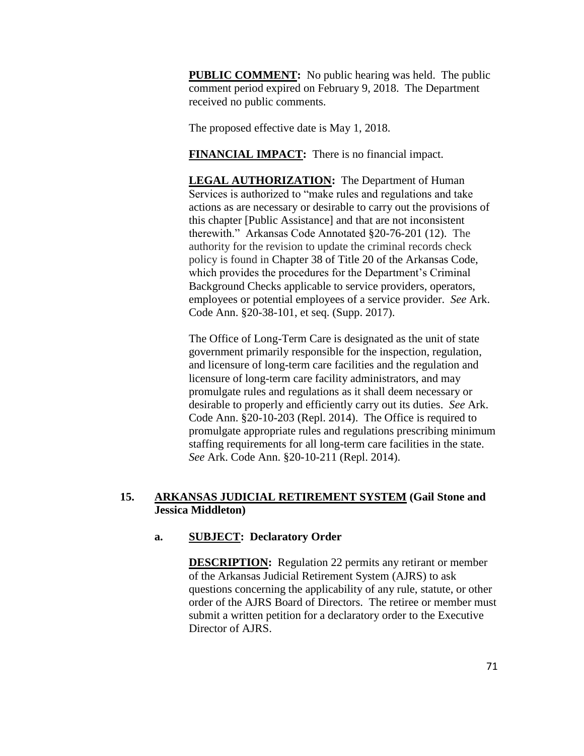**PUBLIC COMMENT:** No public hearing was held. The public comment period expired on February 9, 2018. The Department received no public comments.

The proposed effective date is May 1, 2018.

**FINANCIAL IMPACT:** There is no financial impact.

**LEGAL AUTHORIZATION:** The Department of Human Services is authorized to "make rules and regulations and take actions as are necessary or desirable to carry out the provisions of this chapter [Public Assistance] and that are not inconsistent therewith." Arkansas Code Annotated §20-76-201 (12). The authority for the revision to update the criminal records check policy is found in Chapter 38 of Title 20 of the Arkansas Code, which provides the procedures for the Department's Criminal Background Checks applicable to service providers, operators, employees or potential employees of a service provider. *See* Ark. Code Ann. §20-38-101, et seq. (Supp. 2017).

The Office of Long-Term Care is designated as the unit of state government primarily responsible for the inspection, regulation, and licensure of long-term care facilities and the regulation and licensure of long-term care facility administrators, and may promulgate rules and regulations as it shall deem necessary or desirable to properly and efficiently carry out its duties. *See* Ark. Code Ann. §20-10-203 (Repl. 2014). The Office is required to promulgate appropriate rules and regulations prescribing minimum staffing requirements for all long-term care facilities in the state. *See* Ark. Code Ann. §20-10-211 (Repl. 2014).

# **15. ARKANSAS JUDICIAL RETIREMENT SYSTEM (Gail Stone and Jessica Middleton)**

# **a. SUBJECT: Declaratory Order**

**DESCRIPTION:** Regulation 22 permits any retirant or member of the Arkansas Judicial Retirement System (AJRS) to ask questions concerning the applicability of any rule, statute, or other order of the AJRS Board of Directors. The retiree or member must submit a written petition for a declaratory order to the Executive Director of AJRS.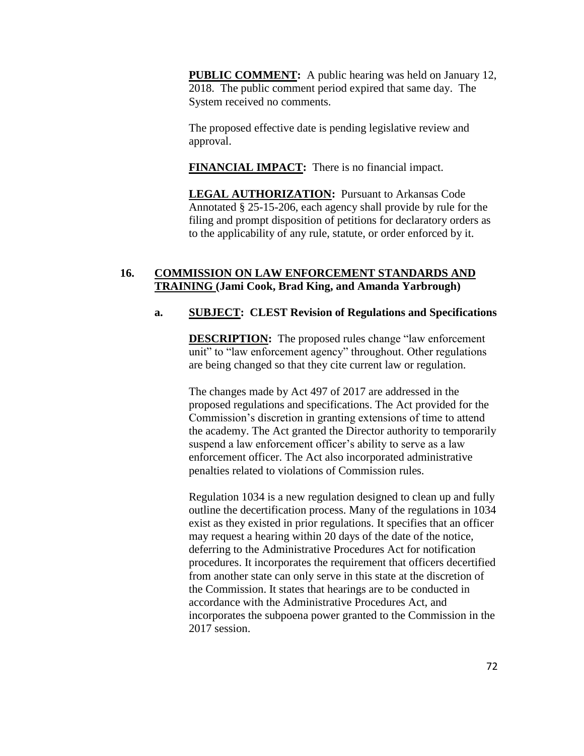**PUBLIC COMMENT:** A public hearing was held on January 12, 2018. The public comment period expired that same day. The System received no comments.

The proposed effective date is pending legislative review and approval.

**FINANCIAL IMPACT:** There is no financial impact.

**LEGAL AUTHORIZATION:** Pursuant to Arkansas Code Annotated § 25-15-206, each agency shall provide by rule for the filing and prompt disposition of petitions for declaratory orders as to the applicability of any rule, statute, or order enforced by it.

# **16. COMMISSION ON LAW ENFORCEMENT STANDARDS AND TRAINING (Jami Cook, Brad King, and Amanda Yarbrough)**

# **a. SUBJECT: CLEST Revision of Regulations and Specifications**

**DESCRIPTION:** The proposed rules change "law enforcement" unit" to "law enforcement agency" throughout. Other regulations are being changed so that they cite current law or regulation.

The changes made by Act 497 of 2017 are addressed in the proposed regulations and specifications. The Act provided for the Commission's discretion in granting extensions of time to attend the academy. The Act granted the Director authority to temporarily suspend a law enforcement officer's ability to serve as a law enforcement officer. The Act also incorporated administrative penalties related to violations of Commission rules.

Regulation 1034 is a new regulation designed to clean up and fully outline the decertification process. Many of the regulations in 1034 exist as they existed in prior regulations. It specifies that an officer may request a hearing within 20 days of the date of the notice, deferring to the Administrative Procedures Act for notification procedures. It incorporates the requirement that officers decertified from another state can only serve in this state at the discretion of the Commission. It states that hearings are to be conducted in accordance with the Administrative Procedures Act, and incorporates the subpoena power granted to the Commission in the 2017 session.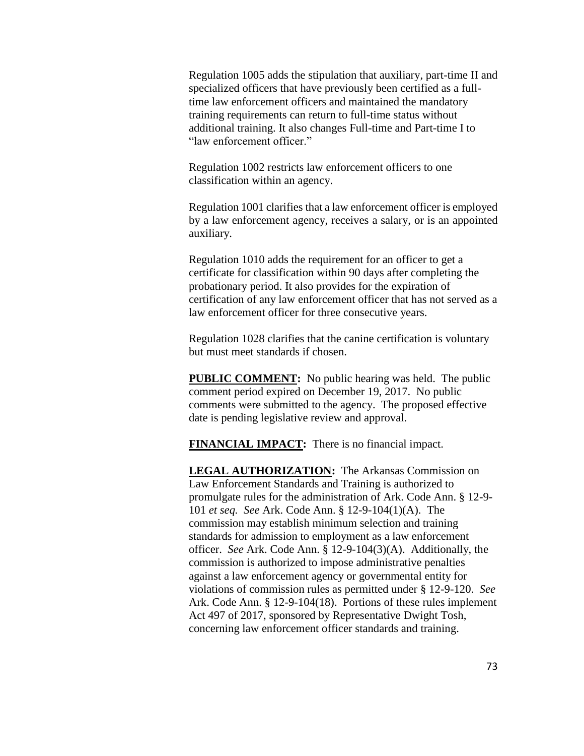Regulation 1005 adds the stipulation that auxiliary, part-time II and specialized officers that have previously been certified as a fulltime law enforcement officers and maintained the mandatory training requirements can return to full-time status without additional training. It also changes Full-time and Part-time I to "law enforcement officer."

Regulation 1002 restricts law enforcement officers to one classification within an agency.

Regulation 1001 clarifies that a law enforcement officer is employed by a law enforcement agency, receives a salary, or is an appointed auxiliary.

Regulation 1010 adds the requirement for an officer to get a certificate for classification within 90 days after completing the probationary period. It also provides for the expiration of certification of any law enforcement officer that has not served as a law enforcement officer for three consecutive years.

Regulation 1028 clarifies that the canine certification is voluntary but must meet standards if chosen.

**PUBLIC COMMENT:** No public hearing was held. The public comment period expired on December 19, 2017. No public comments were submitted to the agency. The proposed effective date is pending legislative review and approval.

**FINANCIAL IMPACT:** There is no financial impact.

**LEGAL AUTHORIZATION:** The Arkansas Commission on Law Enforcement Standards and Training is authorized to promulgate rules for the administration of Ark. Code Ann. § 12-9- 101 *et seq. See* Ark. Code Ann. § 12-9-104(1)(A). The commission may establish minimum selection and training standards for admission to employment as a law enforcement officer. *See* Ark. Code Ann. § 12-9-104(3)(A). Additionally, the commission is authorized to impose administrative penalties against a law enforcement agency or governmental entity for violations of commission rules as permitted under § 12-9-120. *See*  Ark. Code Ann. § 12-9-104(18). Portions of these rules implement Act 497 of 2017, sponsored by Representative Dwight Tosh, concerning law enforcement officer standards and training.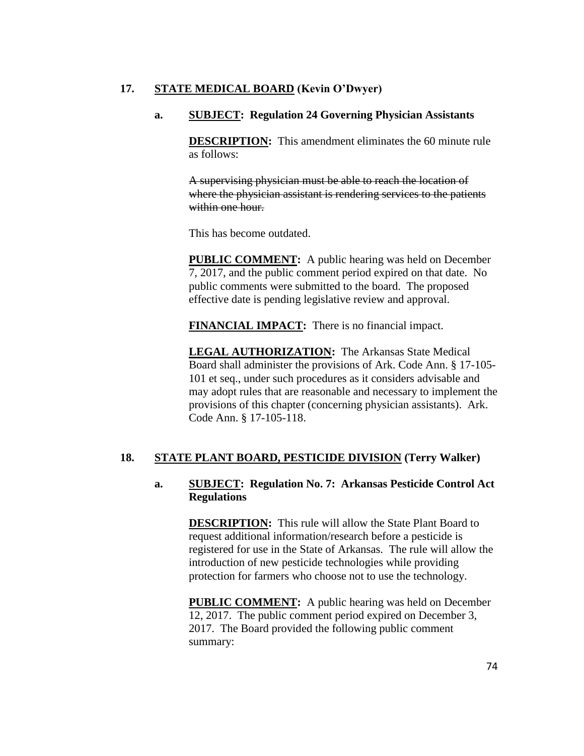# **17. STATE MEDICAL BOARD (Kevin O'Dwyer)**

### **a. SUBJECT: Regulation 24 Governing Physician Assistants**

**DESCRIPTION:** This amendment eliminates the 60 minute rule as follows:

A supervising physician must be able to reach the location of where the physician assistant is rendering services to the patients within one hour.

This has become outdated.

**PUBLIC COMMENT:** A public hearing was held on December 7, 2017, and the public comment period expired on that date. No public comments were submitted to the board. The proposed effective date is pending legislative review and approval.

**FINANCIAL IMPACT:** There is no financial impact.

**LEGAL AUTHORIZATION:** The Arkansas State Medical Board shall administer the provisions of Ark. Code Ann. § 17-105- 101 et seq., under such procedures as it considers advisable and may adopt rules that are reasonable and necessary to implement the provisions of this chapter (concerning physician assistants). Ark. Code Ann. § 17-105-118.

#### **18. STATE PLANT BOARD, PESTICIDE DIVISION (Terry Walker)**

## **a. SUBJECT: Regulation No. 7: Arkansas Pesticide Control Act Regulations**

**DESCRIPTION:** This rule will allow the State Plant Board to request additional information/research before a pesticide is registered for use in the State of Arkansas. The rule will allow the introduction of new pesticide technologies while providing protection for farmers who choose not to use the technology.

**PUBLIC COMMENT:** A public hearing was held on December 12, 2017. The public comment period expired on December 3, 2017. The Board provided the following public comment summary: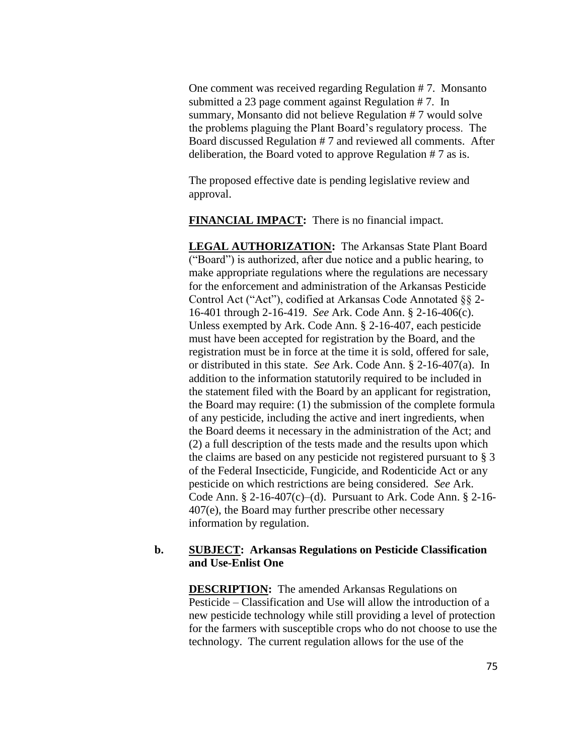One comment was received regarding Regulation # 7. Monsanto submitted a 23 page comment against Regulation # 7. In summary, Monsanto did not believe Regulation # 7 would solve the problems plaguing the Plant Board's regulatory process. The Board discussed Regulation # 7 and reviewed all comments. After deliberation, the Board voted to approve Regulation # 7 as is.

The proposed effective date is pending legislative review and approval.

**FINANCIAL IMPACT:** There is no financial impact.

**LEGAL AUTHORIZATION:** The Arkansas State Plant Board ("Board") is authorized, after due notice and a public hearing, to make appropriate regulations where the regulations are necessary for the enforcement and administration of the Arkansas Pesticide Control Act ("Act"), codified at Arkansas Code Annotated §§ 2- 16-401 through 2-16-419. *See* Ark. Code Ann. § 2-16-406(c). Unless exempted by Ark. Code Ann. § 2-16-407, each pesticide must have been accepted for registration by the Board, and the registration must be in force at the time it is sold, offered for sale, or distributed in this state. *See* Ark. Code Ann. § 2-16-407(a). In addition to the information statutorily required to be included in the statement filed with the Board by an applicant for registration, the Board may require: (1) the submission of the complete formula of any pesticide, including the active and inert ingredients, when the Board deems it necessary in the administration of the Act; and (2) a full description of the tests made and the results upon which the claims are based on any pesticide not registered pursuant to § 3 of the Federal Insecticide, Fungicide, and Rodenticide Act or any pesticide on which restrictions are being considered. *See* Ark. Code Ann. § 2-16-407(c)–(d). Pursuant to Ark. Code Ann. § 2-16- 407(e), the Board may further prescribe other necessary information by regulation.

# **b. SUBJECT: Arkansas Regulations on Pesticide Classification and Use-Enlist One**

**DESCRIPTION:** The amended Arkansas Regulations on Pesticide – Classification and Use will allow the introduction of a new pesticide technology while still providing a level of protection for the farmers with susceptible crops who do not choose to use the technology. The current regulation allows for the use of the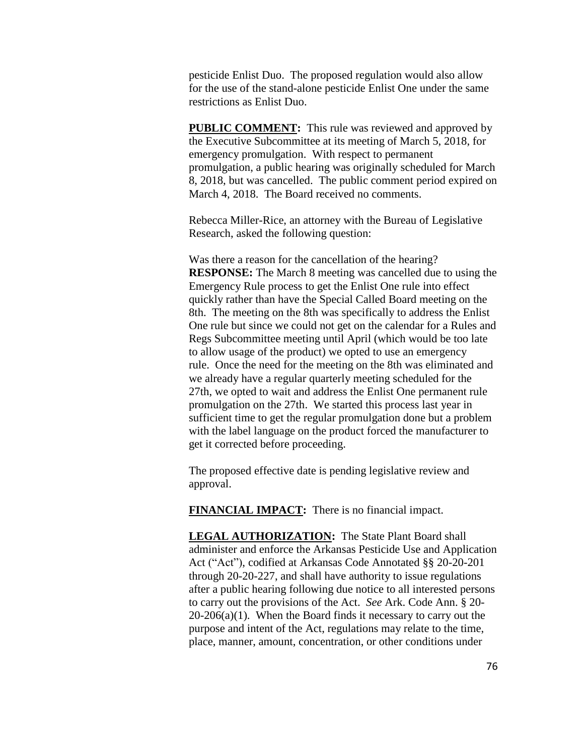pesticide Enlist Duo. The proposed regulation would also allow for the use of the stand-alone pesticide Enlist One under the same restrictions as Enlist Duo.

**PUBLIC COMMENT:** This rule was reviewed and approved by the Executive Subcommittee at its meeting of March 5, 2018, for emergency promulgation. With respect to permanent promulgation, a public hearing was originally scheduled for March 8, 2018, but was cancelled. The public comment period expired on March 4, 2018. The Board received no comments.

Rebecca Miller-Rice, an attorney with the Bureau of Legislative Research, asked the following question:

Was there a reason for the cancellation of the hearing? **RESPONSE:** The March 8 meeting was cancelled due to using the Emergency Rule process to get the Enlist One rule into effect quickly rather than have the Special Called Board meeting on the 8th. The meeting on the 8th was specifically to address the Enlist One rule but since we could not get on the calendar for a Rules and Regs Subcommittee meeting until April (which would be too late to allow usage of the product) we opted to use an emergency rule. Once the need for the meeting on the 8th was eliminated and we already have a regular quarterly meeting scheduled for the 27th, we opted to wait and address the Enlist One permanent rule promulgation on the 27th. We started this process last year in sufficient time to get the regular promulgation done but a problem with the label language on the product forced the manufacturer to get it corrected before proceeding.

The proposed effective date is pending legislative review and approval.

**FINANCIAL IMPACT:** There is no financial impact.

**LEGAL AUTHORIZATION:** The State Plant Board shall administer and enforce the Arkansas Pesticide Use and Application Act ("Act"), codified at Arkansas Code Annotated §§ 20-20-201 through 20-20-227, and shall have authority to issue regulations after a public hearing following due notice to all interested persons to carry out the provisions of the Act. *See* Ark. Code Ann. § 20-  $20-206(a)(1)$ . When the Board finds it necessary to carry out the purpose and intent of the Act, regulations may relate to the time, place, manner, amount, concentration, or other conditions under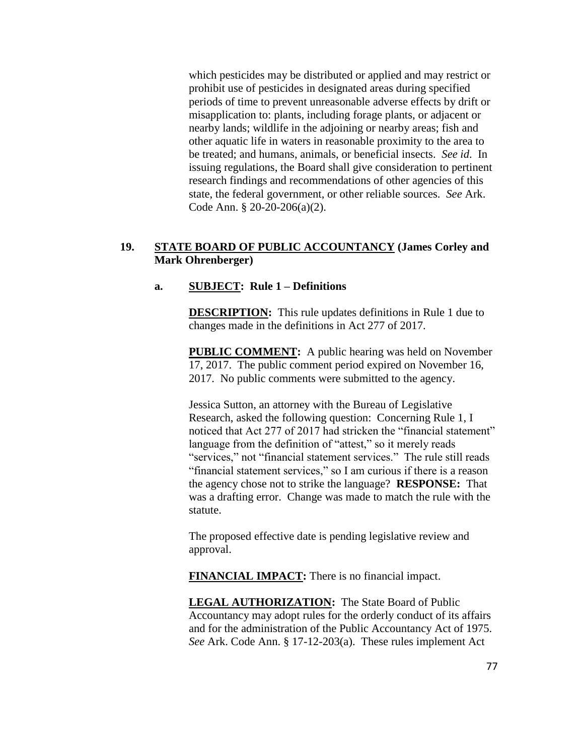which pesticides may be distributed or applied and may restrict or prohibit use of pesticides in designated areas during specified periods of time to prevent unreasonable adverse effects by drift or misapplication to: plants, including forage plants, or adjacent or nearby lands; wildlife in the adjoining or nearby areas; fish and other aquatic life in waters in reasonable proximity to the area to be treated; and humans, animals, or beneficial insects. *See id*. In issuing regulations, the Board shall give consideration to pertinent research findings and recommendations of other agencies of this state, the federal government, or other reliable sources. *See* Ark. Code Ann. § 20-20-206(a)(2).

# **19. STATE BOARD OF PUBLIC ACCOUNTANCY (James Corley and Mark Ohrenberger)**

### **a. SUBJECT: Rule 1 – Definitions**

**DESCRIPTION:** This rule updates definitions in Rule 1 due to changes made in the definitions in Act 277 of 2017.

**PUBLIC COMMENT:** A public hearing was held on November 17, 2017. The public comment period expired on November 16, 2017. No public comments were submitted to the agency.

Jessica Sutton, an attorney with the Bureau of Legislative Research, asked the following question: Concerning Rule 1, I noticed that Act 277 of 2017 had stricken the "financial statement" language from the definition of "attest," so it merely reads "services," not "financial statement services." The rule still reads "financial statement services," so I am curious if there is a reason the agency chose not to strike the language? **RESPONSE:** That was a drafting error. Change was made to match the rule with the statute.

The proposed effective date is pending legislative review and approval.

**FINANCIAL IMPACT:** There is no financial impact.

**LEGAL AUTHORIZATION:** The State Board of Public Accountancy may adopt rules for the orderly conduct of its affairs and for the administration of the Public Accountancy Act of 1975. *See* Ark. Code Ann. § 17-12-203(a). These rules implement Act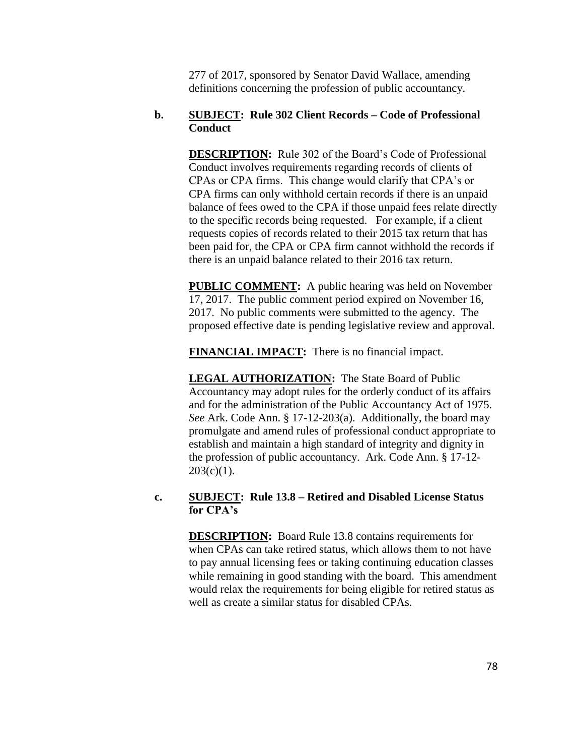277 of 2017, sponsored by Senator David Wallace, amending definitions concerning the profession of public accountancy.

# **b. SUBJECT: Rule 302 Client Records – Code of Professional Conduct**

**DESCRIPTION:** Rule 302 of the Board's Code of Professional Conduct involves requirements regarding records of clients of CPAs or CPA firms. This change would clarify that CPA's or CPA firms can only withhold certain records if there is an unpaid balance of fees owed to the CPA if those unpaid fees relate directly to the specific records being requested. For example, if a client requests copies of records related to their 2015 tax return that has been paid for, the CPA or CPA firm cannot withhold the records if there is an unpaid balance related to their 2016 tax return.

**PUBLIC COMMENT:** A public hearing was held on November 17, 2017. The public comment period expired on November 16, 2017. No public comments were submitted to the agency. The proposed effective date is pending legislative review and approval.

**FINANCIAL IMPACT:** There is no financial impact.

**LEGAL AUTHORIZATION:** The State Board of Public Accountancy may adopt rules for the orderly conduct of its affairs and for the administration of the Public Accountancy Act of 1975. *See* Ark. Code Ann. § 17-12-203(a). Additionally, the board may promulgate and amend rules of professional conduct appropriate to establish and maintain a high standard of integrity and dignity in the profession of public accountancy. Ark. Code Ann. § 17-12-  $203(c)(1)$ .

### **c. SUBJECT: Rule 13.8 – Retired and Disabled License Status for CPA's**

**DESCRIPTION:** Board Rule 13.8 contains requirements for when CPAs can take retired status, which allows them to not have to pay annual licensing fees or taking continuing education classes while remaining in good standing with the board. This amendment would relax the requirements for being eligible for retired status as well as create a similar status for disabled CPAs.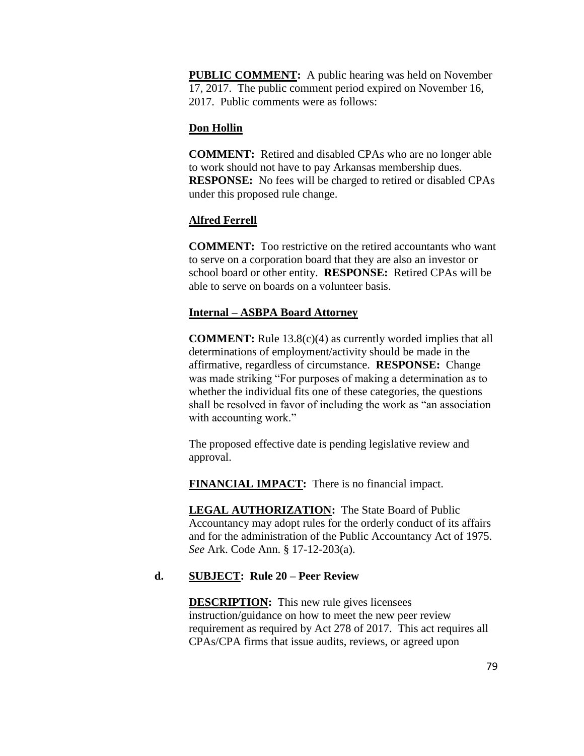**PUBLIC COMMENT:** A public hearing was held on November 17, 2017. The public comment period expired on November 16, 2017. Public comments were as follows:

# **Don Hollin**

**COMMENT:** Retired and disabled CPAs who are no longer able to work should not have to pay Arkansas membership dues. **RESPONSE:** No fees will be charged to retired or disabled CPAs under this proposed rule change.

# **Alfred Ferrell**

**COMMENT:** Too restrictive on the retired accountants who want to serve on a corporation board that they are also an investor or school board or other entity. **RESPONSE:** Retired CPAs will be able to serve on boards on a volunteer basis.

# **Internal – ASBPA Board Attorney**

**COMMENT:** Rule 13.8(c)(4) as currently worded implies that all determinations of employment/activity should be made in the affirmative, regardless of circumstance. **RESPONSE:** Change was made striking "For purposes of making a determination as to whether the individual fits one of these categories, the questions shall be resolved in favor of including the work as "an association with accounting work."

The proposed effective date is pending legislative review and approval.

**FINANCIAL IMPACT:** There is no financial impact.

**LEGAL AUTHORIZATION:** The State Board of Public Accountancy may adopt rules for the orderly conduct of its affairs and for the administration of the Public Accountancy Act of 1975. *See* Ark. Code Ann. § 17-12-203(a).

# **d. SUBJECT: Rule 20 – Peer Review**

**DESCRIPTION:** This new rule gives licensees instruction/guidance on how to meet the new peer review requirement as required by Act 278 of 2017. This act requires all CPAs/CPA firms that issue audits, reviews, or agreed upon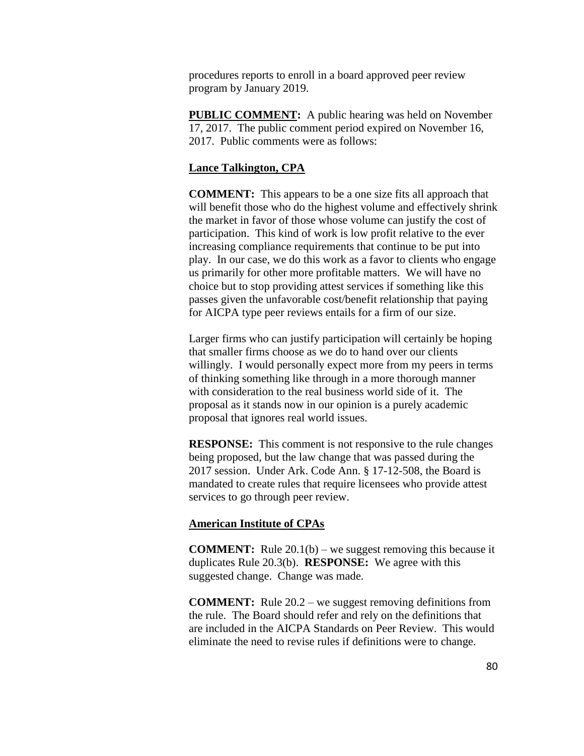procedures reports to enroll in a board approved peer review program by January 2019.

**PUBLIC COMMENT:** A public hearing was held on November 17, 2017. The public comment period expired on November 16, 2017. Public comments were as follows:

#### **Lance Talkington, CPA**

**COMMENT:** This appears to be a one size fits all approach that will benefit those who do the highest volume and effectively shrink the market in favor of those whose volume can justify the cost of participation. This kind of work is low profit relative to the ever increasing compliance requirements that continue to be put into play. In our case, we do this work as a favor to clients who engage us primarily for other more profitable matters. We will have no choice but to stop providing attest services if something like this passes given the unfavorable cost/benefit relationship that paying for AICPA type peer reviews entails for a firm of our size.

Larger firms who can justify participation will certainly be hoping that smaller firms choose as we do to hand over our clients willingly. I would personally expect more from my peers in terms of thinking something like through in a more thorough manner with consideration to the real business world side of it. The proposal as it stands now in our opinion is a purely academic proposal that ignores real world issues.

**RESPONSE:** This comment is not responsive to the rule changes being proposed, but the law change that was passed during the 2017 session. Under Ark. Code Ann. § 17-12-508, the Board is mandated to create rules that require licensees who provide attest services to go through peer review.

#### **American Institute of CPAs**

**COMMENT:** Rule 20.1(b) – we suggest removing this because it duplicates Rule 20.3(b). **RESPONSE:** We agree with this suggested change. Change was made.

**COMMENT:** Rule 20.2 – we suggest removing definitions from the rule. The Board should refer and rely on the definitions that are included in the AICPA Standards on Peer Review. This would eliminate the need to revise rules if definitions were to change.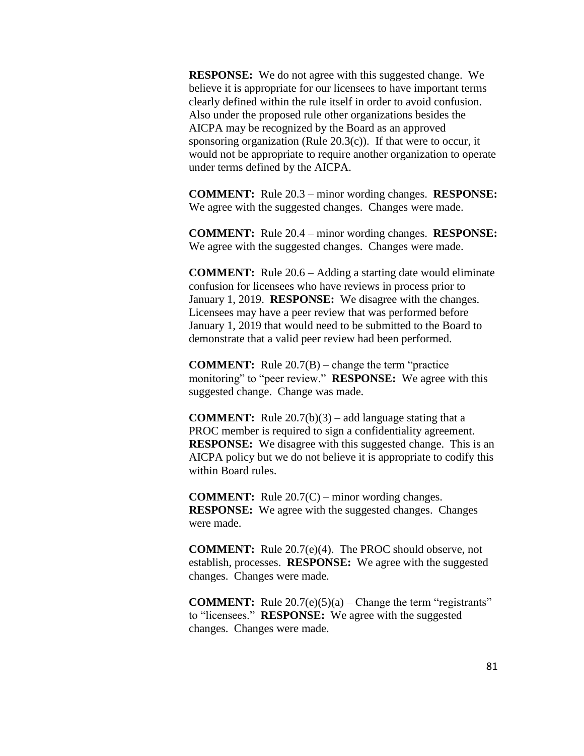**RESPONSE:** We do not agree with this suggested change. We believe it is appropriate for our licensees to have important terms clearly defined within the rule itself in order to avoid confusion. Also under the proposed rule other organizations besides the AICPA may be recognized by the Board as an approved sponsoring organization (Rule  $20.3(c)$ ). If that were to occur, it would not be appropriate to require another organization to operate under terms defined by the AICPA.

**COMMENT:** Rule 20.3 – minor wording changes. **RESPONSE:**  We agree with the suggested changes. Changes were made.

**COMMENT:** Rule 20.4 – minor wording changes. **RESPONSE:**  We agree with the suggested changes. Changes were made.

**COMMENT:** Rule 20.6 – Adding a starting date would eliminate confusion for licensees who have reviews in process prior to January 1, 2019. **RESPONSE:** We disagree with the changes. Licensees may have a peer review that was performed before January 1, 2019 that would need to be submitted to the Board to demonstrate that a valid peer review had been performed.

**COMMENT:** Rule 20.7(B) – change the term "practice monitoring" to "peer review." **RESPONSE:** We agree with this suggested change. Change was made.

**COMMENT:** Rule 20.7(b)(3) – add language stating that a PROC member is required to sign a confidentiality agreement. **RESPONSE:** We disagree with this suggested change. This is an AICPA policy but we do not believe it is appropriate to codify this within Board rules.

**COMMENT:** Rule 20.7(C) – minor wording changes. **RESPONSE:** We agree with the suggested changes. Changes were made.

**COMMENT:** Rule 20.7(e)(4). The PROC should observe, not establish, processes. **RESPONSE:** We agree with the suggested changes. Changes were made.

**COMMENT:** Rule 20.7(e)(5)(a) – Change the term "registrants" to "licensees." **RESPONSE:** We agree with the suggested changes. Changes were made.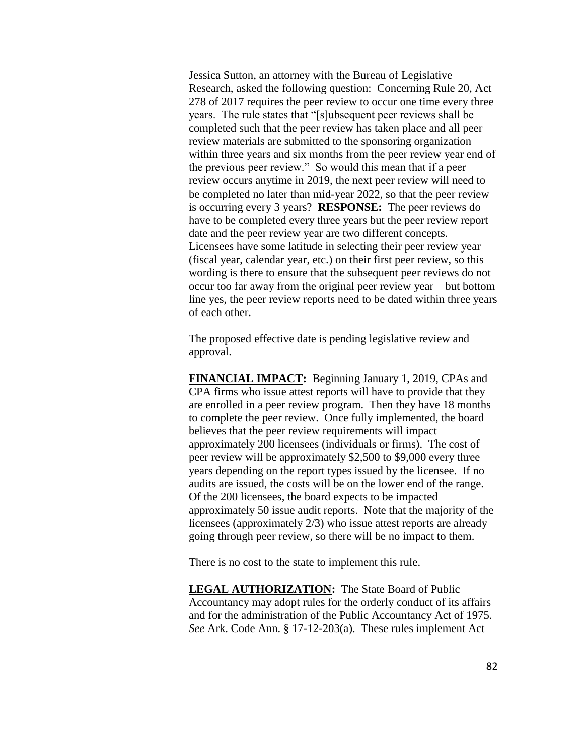Jessica Sutton, an attorney with the Bureau of Legislative Research, asked the following question: Concerning Rule 20, Act 278 of 2017 requires the peer review to occur one time every three years. The rule states that "[s]ubsequent peer reviews shall be completed such that the peer review has taken place and all peer review materials are submitted to the sponsoring organization within three years and six months from the peer review year end of the previous peer review." So would this mean that if a peer review occurs anytime in 2019, the next peer review will need to be completed no later than mid-year 2022, so that the peer review is occurring every 3 years? **RESPONSE:** The peer reviews do have to be completed every three years but the peer review report date and the peer review year are two different concepts. Licensees have some latitude in selecting their peer review year (fiscal year, calendar year, etc.) on their first peer review, so this wording is there to ensure that the subsequent peer reviews do not occur too far away from the original peer review year – but bottom line yes, the peer review reports need to be dated within three years of each other.

The proposed effective date is pending legislative review and approval.

**FINANCIAL IMPACT:** Beginning January 1, 2019, CPAs and CPA firms who issue attest reports will have to provide that they are enrolled in a peer review program. Then they have 18 months to complete the peer review. Once fully implemented, the board believes that the peer review requirements will impact approximately 200 licensees (individuals or firms). The cost of peer review will be approximately \$2,500 to \$9,000 every three years depending on the report types issued by the licensee. If no audits are issued, the costs will be on the lower end of the range. Of the 200 licensees, the board expects to be impacted approximately 50 issue audit reports. Note that the majority of the licensees (approximately 2/3) who issue attest reports are already going through peer review, so there will be no impact to them.

There is no cost to the state to implement this rule.

**LEGAL AUTHORIZATION:** The State Board of Public Accountancy may adopt rules for the orderly conduct of its affairs and for the administration of the Public Accountancy Act of 1975. *See* Ark. Code Ann. § 17-12-203(a). These rules implement Act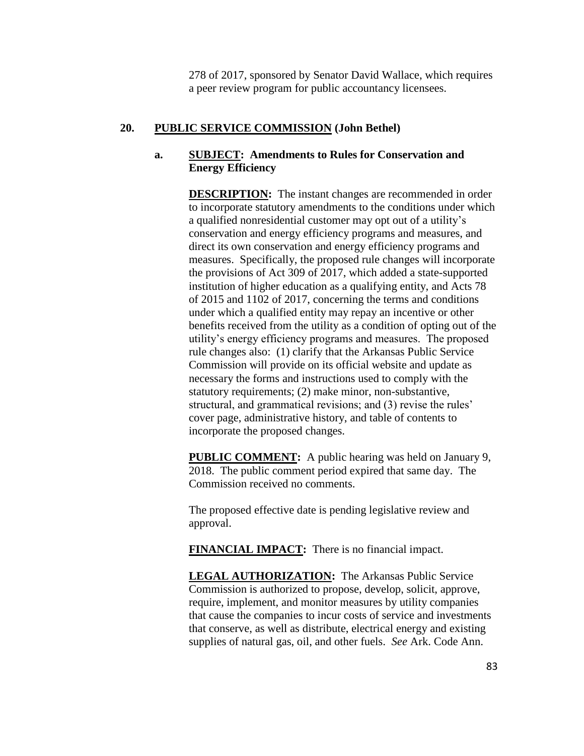278 of 2017, sponsored by Senator David Wallace, which requires a peer review program for public accountancy licensees.

## **20. PUBLIC SERVICE COMMISSION (John Bethel)**

# **a. SUBJECT: Amendments to Rules for Conservation and Energy Efficiency**

**DESCRIPTION:** The instant changes are recommended in order to incorporate statutory amendments to the conditions under which a qualified nonresidential customer may opt out of a utility's conservation and energy efficiency programs and measures, and direct its own conservation and energy efficiency programs and measures. Specifically, the proposed rule changes will incorporate the provisions of Act 309 of 2017, which added a state-supported institution of higher education as a qualifying entity, and Acts 78 of 2015 and 1102 of 2017, concerning the terms and conditions under which a qualified entity may repay an incentive or other benefits received from the utility as a condition of opting out of the utility's energy efficiency programs and measures. The proposed rule changes also: (1) clarify that the Arkansas Public Service Commission will provide on its official website and update as necessary the forms and instructions used to comply with the statutory requirements; (2) make minor, non-substantive, structural, and grammatical revisions; and (3) revise the rules' cover page, administrative history, and table of contents to incorporate the proposed changes.

**PUBLIC COMMENT:** A public hearing was held on January 9, 2018. The public comment period expired that same day. The Commission received no comments.

The proposed effective date is pending legislative review and approval.

**FINANCIAL IMPACT:** There is no financial impact.

**LEGAL AUTHORIZATION:** The Arkansas Public Service Commission is authorized to propose, develop, solicit, approve, require, implement, and monitor measures by utility companies that cause the companies to incur costs of service and investments that conserve, as well as distribute, electrical energy and existing supplies of natural gas, oil, and other fuels. *See* Ark. Code Ann.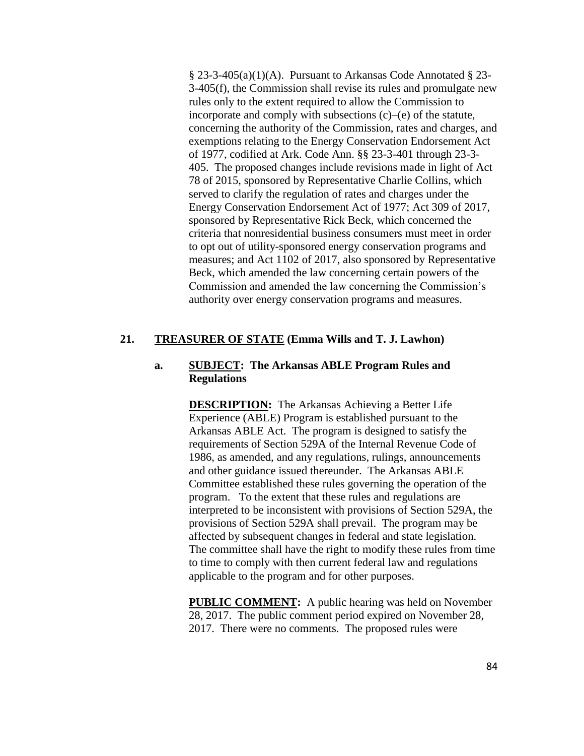§ 23-3-405(a)(1)(A). Pursuant to Arkansas Code Annotated § 23- 3-405(f), the Commission shall revise its rules and promulgate new rules only to the extent required to allow the Commission to incorporate and comply with subsections  $(c)$ – $(e)$  of the statute, concerning the authority of the Commission, rates and charges, and exemptions relating to the Energy Conservation Endorsement Act of 1977, codified at Ark. Code Ann. §§ 23-3-401 through 23-3- 405. The proposed changes include revisions made in light of Act 78 of 2015, sponsored by Representative Charlie Collins, which served to clarify the regulation of rates and charges under the Energy Conservation Endorsement Act of 1977; Act 309 of 2017, sponsored by Representative Rick Beck, which concerned the criteria that nonresidential business consumers must meet in order to opt out of utility-sponsored energy conservation programs and measures; and Act 1102 of 2017, also sponsored by Representative Beck, which amended the law concerning certain powers of the Commission and amended the law concerning the Commission's authority over energy conservation programs and measures.

### **21. TREASURER OF STATE (Emma Wills and T. J. Lawhon)**

### **a. SUBJECT: The Arkansas ABLE Program Rules and Regulations**

**DESCRIPTION:** The Arkansas Achieving a Better Life Experience (ABLE) Program is established pursuant to the Arkansas ABLE Act. The program is designed to satisfy the requirements of Section 529A of the Internal Revenue Code of 1986, as amended, and any regulations, rulings, announcements and other guidance issued thereunder. The Arkansas ABLE Committee established these rules governing the operation of the program. To the extent that these rules and regulations are interpreted to be inconsistent with provisions of Section 529A, the provisions of Section 529A shall prevail. The program may be affected by subsequent changes in federal and state legislation. The committee shall have the right to modify these rules from time to time to comply with then current federal law and regulations applicable to the program and for other purposes.

**PUBLIC COMMENT:** A public hearing was held on November 28, 2017. The public comment period expired on November 28, 2017. There were no comments. The proposed rules were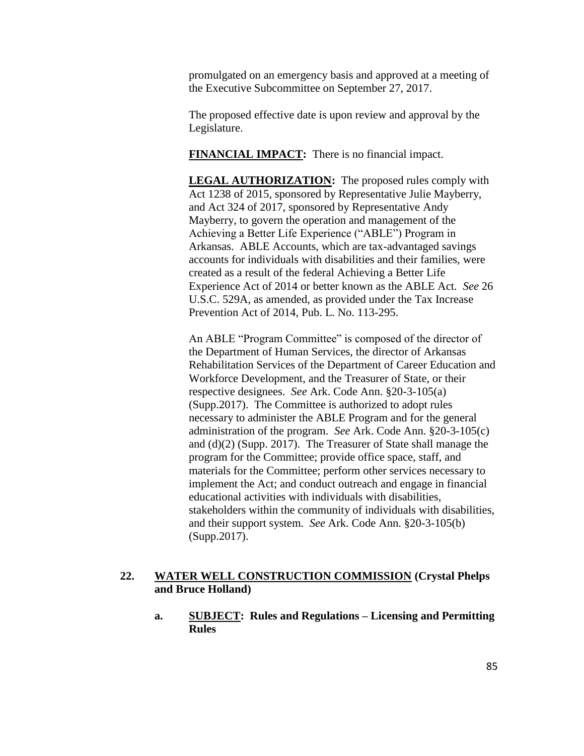promulgated on an emergency basis and approved at a meeting of the Executive Subcommittee on September 27, 2017.

The proposed effective date is upon review and approval by the Legislature.

**FINANCIAL IMPACT:** There is no financial impact.

**LEGAL AUTHORIZATION:** The proposed rules comply with Act 1238 of 2015, sponsored by Representative Julie Mayberry, and Act 324 of 2017, sponsored by Representative Andy Mayberry, to govern the operation and management of the Achieving a Better Life Experience ("ABLE") Program in Arkansas. ABLE Accounts, which are tax-advantaged savings accounts for individuals with disabilities and their families, were created as a result of the federal Achieving a Better Life Experience Act of 2014 or better known as the ABLE Act. *See* 26 U.S.C. 529A, as amended, as provided under the Tax Increase Prevention Act of 2014, Pub. L. No. 113-295.

An ABLE "Program Committee" is composed of the director of the Department of Human Services, the director of Arkansas Rehabilitation Services of the Department of Career Education and Workforce Development, and the Treasurer of State, or their respective designees. *See* Ark. Code Ann. §20-3-105(a) (Supp.2017). The Committee is authorized to adopt rules necessary to administer the ABLE Program and for the general administration of the program. *See* Ark. Code Ann. §20-3-105(c) and (d)(2) (Supp. 2017). The Treasurer of State shall manage the program for the Committee; provide office space, staff, and materials for the Committee; perform other services necessary to implement the Act; and conduct outreach and engage in financial educational activities with individuals with disabilities, stakeholders within the community of individuals with disabilities, and their support system. *See* Ark. Code Ann. §20-3-105(b) (Supp.2017).

### **22. WATER WELL CONSTRUCTION COMMISSION (Crystal Phelps and Bruce Holland)**

**a. SUBJECT: Rules and Regulations – Licensing and Permitting Rules**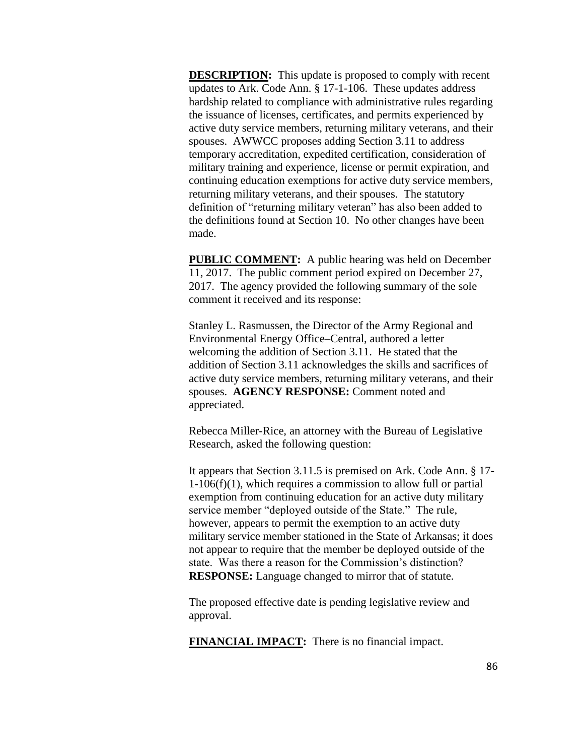**DESCRIPTION:** This update is proposed to comply with recent updates to Ark. Code Ann. § 17-1-106. These updates address hardship related to compliance with administrative rules regarding the issuance of licenses, certificates, and permits experienced by active duty service members, returning military veterans, and their spouses. AWWCC proposes adding Section 3.11 to address temporary accreditation, expedited certification, consideration of military training and experience, license or permit expiration, and continuing education exemptions for active duty service members, returning military veterans, and their spouses. The statutory definition of "returning military veteran" has also been added to the definitions found at Section 10. No other changes have been made.

**PUBLIC COMMENT:** A public hearing was held on December 11, 2017. The public comment period expired on December 27, 2017. The agency provided the following summary of the sole comment it received and its response:

Stanley L. Rasmussen, the Director of the Army Regional and Environmental Energy Office–Central, authored a letter welcoming the addition of Section 3.11. He stated that the addition of Section 3.11 acknowledges the skills and sacrifices of active duty service members, returning military veterans, and their spouses. **AGENCY RESPONSE:** Comment noted and appreciated.

Rebecca Miller-Rice, an attorney with the Bureau of Legislative Research, asked the following question:

It appears that Section 3.11.5 is premised on Ark. Code Ann. § 17- 1-106(f)(1), which requires a commission to allow full or partial exemption from continuing education for an active duty military service member "deployed outside of the State." The rule, however, appears to permit the exemption to an active duty military service member stationed in the State of Arkansas; it does not appear to require that the member be deployed outside of the state. Was there a reason for the Commission's distinction? **RESPONSE:** Language changed to mirror that of statute.

The proposed effective date is pending legislative review and approval.

**FINANCIAL IMPACT:** There is no financial impact.